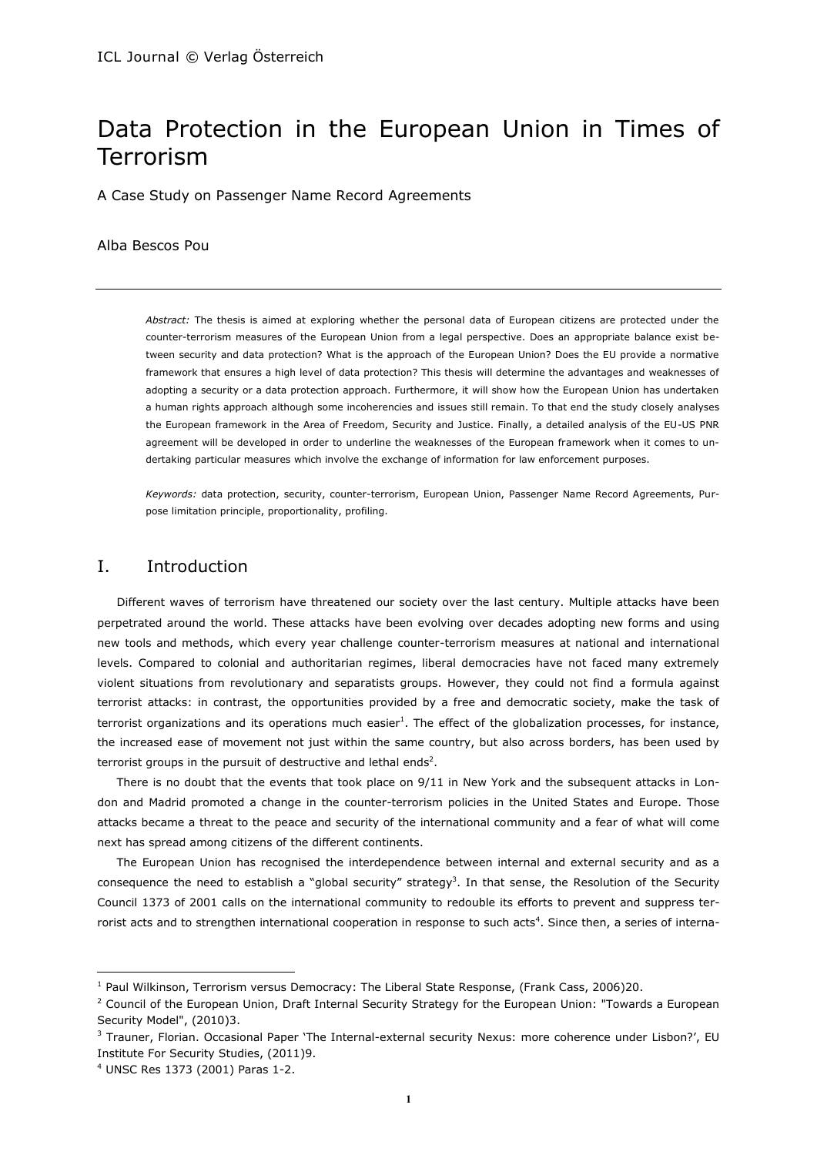# Data Protection in the European Union in Times of Terrorism

A Case Study on Passenger Name Record Agreements

#### Alba Bescos Pou

*Abstract:* The thesis is aimed at exploring whether the personal data of European citizens are protected under the counter-terrorism measures of the European Union from a legal perspective. Does an appropriate balance exist between security and data protection? What is the approach of the European Union? Does the EU provide a normative framework that ensures a high level of data protection? This thesis will determine the advantages and weaknesses of adopting a security or a data protection approach. Furthermore, it will show how the European Union has undertaken a human rights approach although some incoherencies and issues still remain. To that end the study closely analyses the European framework in the Area of Freedom, Security and Justice. Finally, a detailed analysis of the EU-US PNR agreement will be developed in order to underline the weaknesses of the European framework when it comes to undertaking particular measures which involve the exchange of information for law enforcement purposes.

*Keywords:* data protection, security, counter-terrorism, European Union, Passenger Name Record Agreements, Purpose limitation principle, proportionality, profiling.

# I. Introduction

Different waves of terrorism have threatened our society over the last century. Multiple attacks have been perpetrated around the world. These attacks have been evolving over decades adopting new forms and using new tools and methods, which every year challenge counter-terrorism measures at national and international levels. Compared to colonial and authoritarian regimes, liberal democracies have not faced many extremely violent situations from revolutionary and separatists groups. However, they could not find a formula against terrorist attacks: in contrast, the opportunities provided by a free and democratic society, make the task of terrorist organizations and its operations much easier<sup>1</sup>. The effect of the globalization processes, for instance, the increased ease of movement not just within the same country, but also across borders, has been used by terrorist groups in the pursuit of destructive and lethal ends<sup>2</sup>.

There is no doubt that the events that took place on 9/11 in New York and the subsequent attacks in London and Madrid promoted a change in the counter-terrorism policies in the United States and Europe. Those attacks became a threat to the peace and security of the international community and a fear of what will come next has spread among citizens of the different continents.

The European Union has recognised the interdependence between internal and external security and as a consequence the need to establish a "global security" strategy<sup>3</sup>. In that sense, the Resolution of the Security Council 1373 of 2001 calls on the international community to redouble its efforts to prevent and suppress terrorist acts and to strengthen international cooperation in response to such acts<sup>4</sup>. Since then, a series of interna-

 $1$  Paul Wilkinson, Terrorism versus Democracy: The Liberal State Response, (Frank Cass, 2006)20.

<sup>&</sup>lt;sup>2</sup> Council of the European Union, Draft Internal Security Strategy for the European Union: "Towards a European Security Model", (2010)3.

<sup>&</sup>lt;sup>3</sup> Trauner, Florian. Occasional Paper 'The Internal-external security Nexus: more coherence under Lisbon?', EU Institute For Security Studies, (2011)9.

<sup>4</sup> UNSC Res 1373 (2001) Paras 1-2.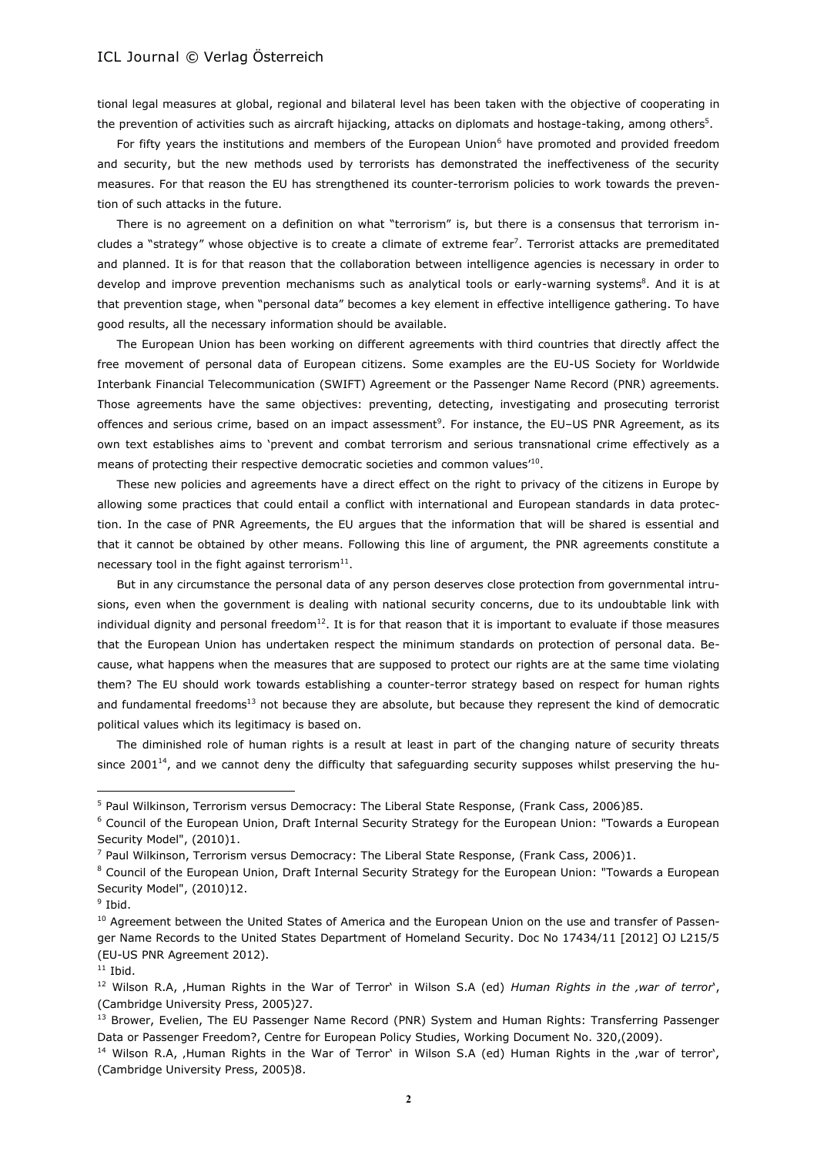tional legal measures at global, regional and bilateral level has been taken with the objective of cooperating in the prevention of activities such as aircraft hijacking, attacks on diplomats and hostage-taking, among others $^5\!$ 

For fifty years the institutions and members of the European Union<sup>6</sup> have promoted and provided freedom and security, but the new methods used by terrorists has demonstrated the ineffectiveness of the security measures. For that reason the EU has strengthened its counter-terrorism policies to work towards the prevention of such attacks in the future.

There is no agreement on a definition on what "terrorism" is, but there is a consensus that terrorism includes a "strategy" whose objective is to create a climate of extreme fear<sup>7</sup>. Terrorist attacks are premeditated and planned. It is for that reason that the collaboration between intelligence agencies is necessary in order to develop and improve prevention mechanisms such as analytical tools or early-warning systems<sup>8</sup>. And it is at that prevention stage, when "personal data" becomes a key element in effective intelligence gathering. To have good results, all the necessary information should be available.

The European Union has been working on different agreements with third countries that directly affect the free movement of personal data of European citizens. Some examples are the EU-US Society for Worldwide Interbank Financial Telecommunication (SWIFT) Agreement or the Passenger Name Record (PNR) agreements. Those agreements have the same objectives: preventing, detecting, investigating and prosecuting terrorist offences and serious crime, based on an impact assessment<sup>9</sup>. For instance, the EU-US PNR Agreement, as its own text establishes aims to 'prevent and combat terrorism and serious transnational crime effectively as a means of protecting their respective democratic societies and common values<sup>10</sup>.

These new policies and agreements have a direct effect on the right to privacy of the citizens in Europe by allowing some practices that could entail a conflict with international and European standards in data protection. In the case of PNR Agreements, the EU argues that the information that will be shared is essential and that it cannot be obtained by other means. Following this line of argument, the PNR agreements constitute a necessary tool in the fight against terrorism $^{11}$ .

But in any circumstance the personal data of any person deserves close protection from governmental intrusions, even when the government is dealing with national security concerns, due to its undoubtable link with individual dignity and personal freedom $^{12}$ . It is for that reason that it is important to evaluate if those measures that the European Union has undertaken respect the minimum standards on protection of personal data. Because, what happens when the measures that are supposed to protect our rights are at the same time violating them? The EU should work towards establishing a counter-terror strategy based on respect for human rights and fundamental freedoms<sup>13</sup> not because they are absolute, but because they represent the kind of democratic political values which its legitimacy is based on.

The diminished role of human rights is a result at least in part of the changing nature of security threats since 2001<sup>14</sup>, and we cannot deny the difficulty that safeguarding security supposes whilst preserving the hu-

<sup>5</sup> Paul Wilkinson, Terrorism versus Democracy: The Liberal State Response, (Frank Cass, 2006)85.

<sup>6</sup> Council of the European Union, Draft Internal Security Strategy for the European Union: "Towards a European Security Model", (2010)1.

<sup>7</sup> Paul Wilkinson, Terrorism versus Democracy: The Liberal State Response, (Frank Cass, 2006)1.

<sup>&</sup>lt;sup>8</sup> Council of the European Union, Draft Internal Security Strategy for the European Union: "Towards a European Security Model", (2010)12.

<sup>&</sup>lt;sup>9</sup> Ibid.

<sup>&</sup>lt;sup>10</sup> Agreement between the United States of America and the European Union on the use and transfer of Passenger Name Records to the United States Department of Homeland Security. Doc No 17434/11 [2012] OJ L215/5 (EU-US PNR Agreement 2012).

 $11$  Ibid.

<sup>&</sup>lt;sup>12</sup> Wilson R.A, Human Rights in the War of Terror' in Wilson S.A (ed) *Human Rights in the <sub>'</sub>war of terror*', (Cambridge University Press, 2005)27.

<sup>&</sup>lt;sup>13</sup> Brower, Evelien, The EU Passenger Name Record (PNR) System and Human Rights: Transferring Passenger Data or Passenger Freedom?, Centre for European Policy Studies, Working Document No. 320,(2009).

<sup>&</sup>lt;sup>14</sup> Wilson R.A, Human Rights in the War of Terror' in Wilson S.A (ed) Human Rights in the ,war of terror', (Cambridge University Press, 2005)8.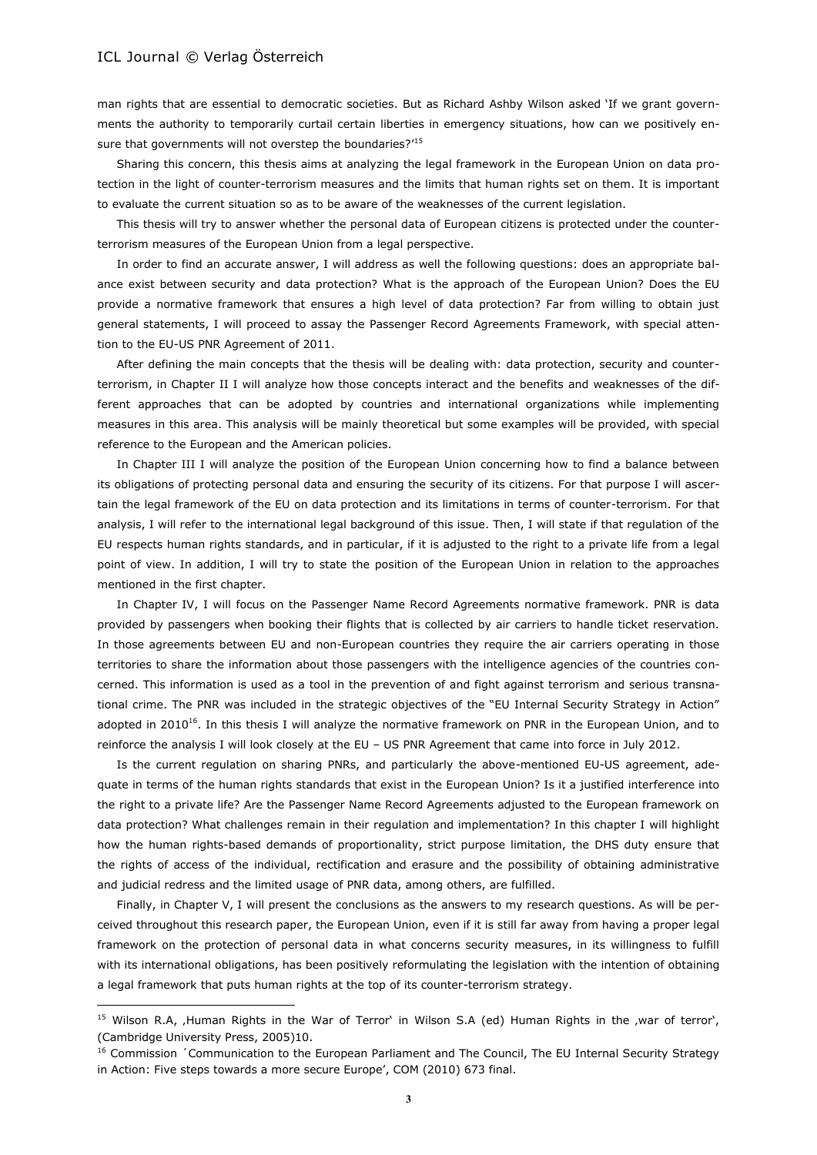$\overline{a}$ 

man rights that are essential to democratic societies. But as Richard Ashby Wilson asked 'If we grant governments the authority to temporarily curtail certain liberties in emergency situations, how can we positively ensure that governments will not overstep the boundaries?'<sup>15</sup>

Sharing this concern, this thesis aims at analyzing the legal framework in the European Union on data protection in the light of counter-terrorism measures and the limits that human rights set on them. It is important to evaluate the current situation so as to be aware of the weaknesses of the current legislation.

This thesis will try to answer whether the personal data of European citizens is protected under the counterterrorism measures of the European Union from a legal perspective.

In order to find an accurate answer, I will address as well the following questions: does an appropriate balance exist between security and data protection? What is the approach of the European Union? Does the EU provide a normative framework that ensures a high level of data protection? Far from willing to obtain just general statements, I will proceed to assay the Passenger Record Agreements Framework, with special attention to the EU-US PNR Agreement of 2011.

After defining the main concepts that the thesis will be dealing with: data protection, security and counterterrorism, in Chapter II I will analyze how those concepts interact and the benefits and weaknesses of the different approaches that can be adopted by countries and international organizations while implementing measures in this area. This analysis will be mainly theoretical but some examples will be provided, with special reference to the European and the American policies.

In Chapter III I will analyze the position of the European Union concerning how to find a balance between its obligations of protecting personal data and ensuring the security of its citizens. For that purpose I will ascertain the legal framework of the EU on data protection and its limitations in terms of counter-terrorism. For that analysis, I will refer to the international legal background of this issue. Then, I will state if that regulation of the EU respects human rights standards, and in particular, if it is adjusted to the right to a private life from a legal point of view. In addition, I will try to state the position of the European Union in relation to the approaches mentioned in the first chapter.

In Chapter IV, I will focus on the Passenger Name Record Agreements normative framework. PNR is data provided by passengers when booking their flights that is collected by air carriers to handle ticket reservation. In those agreements between EU and non-European countries they require the air carriers operating in those territories to share the information about those passengers with the intelligence agencies of the countries concerned. This information is used as a tool in the prevention of and fight against terrorism and serious transnational crime. The PNR was included in the strategic objectives of the "EU Internal Security Strategy in Action" adopted in 2010<sup>16</sup>. In this thesis I will analyze the normative framework on PNR in the European Union, and to reinforce the analysis I will look closely at the EU – US PNR Agreement that came into force in July 2012.

Is the current regulation on sharing PNRs, and particularly the above-mentioned EU-US agreement, adequate in terms of the human rights standards that exist in the European Union? Is it a justified interference into the right to a private life? Are the Passenger Name Record Agreements adjusted to the European framework on data protection? What challenges remain in their regulation and implementation? In this chapter I will highlight how the human rights-based demands of proportionality, strict purpose limitation, the DHS duty ensure that the rights of access of the individual, rectification and erasure and the possibility of obtaining administrative and judicial redress and the limited usage of PNR data, among others, are fulfilled.

Finally, in Chapter V, I will present the conclusions as the answers to my research questions. As will be perceived throughout this research paper, the European Union, even if it is still far away from having a proper legal framework on the protection of personal data in what concerns security measures, in its willingness to fulfill with its international obligations, has been positively reformulating the legislation with the intention of obtaining a legal framework that puts human rights at the top of its counter-terrorism strategy.

<sup>&</sup>lt;sup>15</sup> Wilson R.A, Human Rights in the War of Terror' in Wilson S.A (ed) Human Rights in the ,war of terror', (Cambridge University Press, 2005)10.

<sup>&</sup>lt;sup>16</sup> Commission *´*Communication to the European Parliament and The Council, The EU Internal Security Strategy in Action: Five steps towards a more secure Europe', COM (2010) 673 final.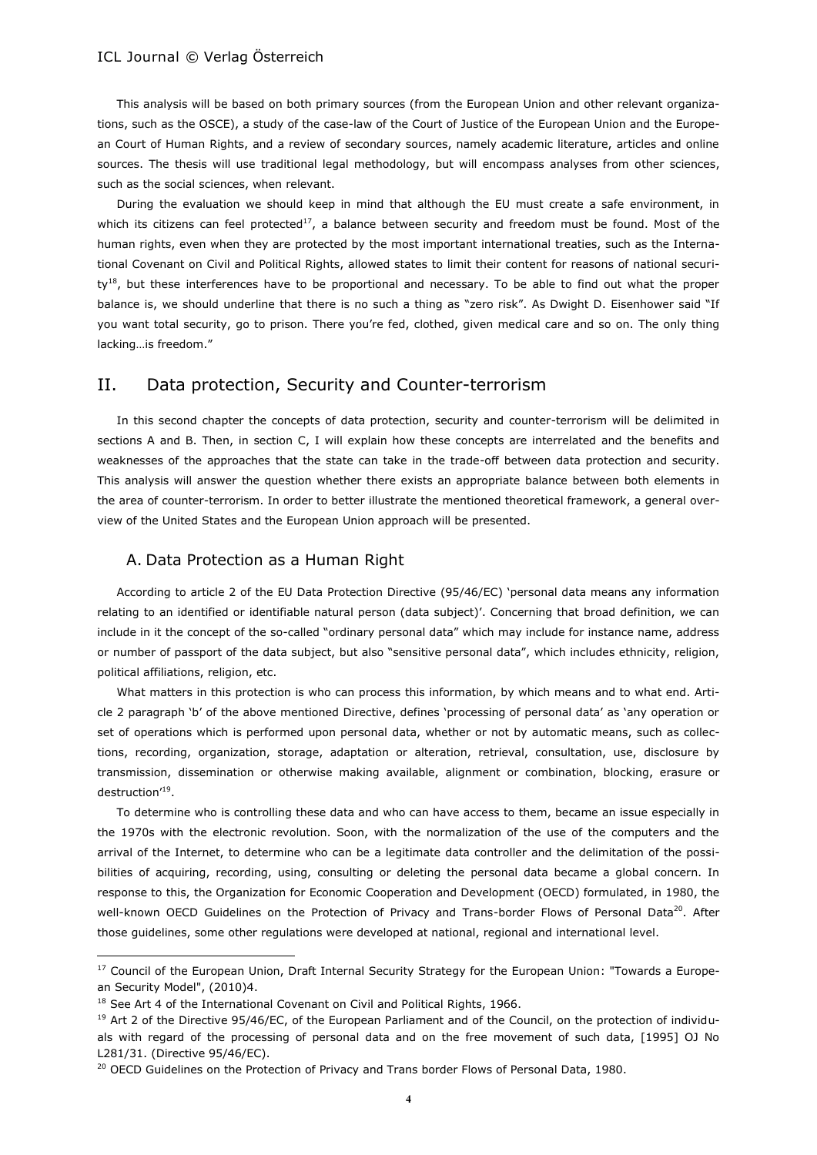This analysis will be based on both primary sources (from the European Union and other relevant organizations, such as the OSCE), a study of the case-law of the Court of Justice of the European Union and the European Court of Human Rights, and a review of secondary sources, namely academic literature, articles and online sources. The thesis will use traditional legal methodology, but will encompass analyses from other sciences, such as the social sciences, when relevant.

During the evaluation we should keep in mind that although the EU must create a safe environment, in which its citizens can feel protected<sup>17</sup>, a balance between security and freedom must be found. Most of the human rights, even when they are protected by the most important international treaties, such as the International Covenant on Civil and Political Rights, allowed states to limit their content for reasons of national securi $ty^{18}$ , but these interferences have to be proportional and necessary. To be able to find out what the proper balance is, we should underline that there is no such a thing as "zero risk". As Dwight D. Eisenhower said "If you want total security, go to prison. There you're fed, clothed, given medical care and so on. The only thing lacking…is freedom."

# II. Data protection, Security and Counter-terrorism

In this second chapter the concepts of data protection, security and counter-terrorism will be delimited in sections A and B. Then, in section C, I will explain how these concepts are interrelated and the benefits and weaknesses of the approaches that the state can take in the trade-off between data protection and security. This analysis will answer the question whether there exists an appropriate balance between both elements in the area of counter-terrorism. In order to better illustrate the mentioned theoretical framework, a general overview of the United States and the European Union approach will be presented.

#### A. Data Protection as a Human Right

According to article 2 of the EU Data Protection Directive (95/46/EC) 'personal data means any information relating to an identified or identifiable natural person (data subject)'. Concerning that broad definition, we can include in it the concept of the so-called "ordinary personal data" which may include for instance name, address or number of passport of the data subject, but also "sensitive personal data", which includes ethnicity, religion, political affiliations, religion, etc.

What matters in this protection is who can process this information, by which means and to what end. Article 2 paragraph 'b' of the above mentioned Directive, defines 'processing of personal data' as 'any operation or set of operations which is performed upon personal data, whether or not by automatic means, such as collections, recording, organization, storage, adaptation or alteration, retrieval, consultation, use, disclosure by transmission, dissemination or otherwise making available, alignment or combination, blocking, erasure or destruction'<sup>19</sup>.

To determine who is controlling these data and who can have access to them, became an issue especially in the 1970s with the electronic revolution. Soon, with the normalization of the use of the computers and the arrival of the Internet, to determine who can be a legitimate data controller and the delimitation of the possibilities of acquiring, recording, using, consulting or deleting the personal data became a global concern. In response to this, the Organization for Economic Cooperation and Development (OECD) formulated, in 1980, the well-known OECD Guidelines on the Protection of Privacy and Trans-border Flows of Personal Data<sup>20</sup>. After those guidelines, some other regulations were developed at national, regional and international level.

<sup>&</sup>lt;sup>17</sup> Council of the European Union, Draft Internal Security Strategy for the European Union: "Towards a European Security Model", (2010)4.

<sup>&</sup>lt;sup>18</sup> See Art 4 of the International Covenant on Civil and Political Rights, 1966.

 $19$  Art 2 of the Directive 95/46/EC, of the European Parliament and of the Council, on the protection of individuals with regard of the processing of personal data and on the free movement of such data, [1995] OJ No L281/31. (Directive 95/46/EC).

<sup>&</sup>lt;sup>20</sup> OECD Guidelines on the Protection of Privacy and Trans border Flows of Personal Data, 1980.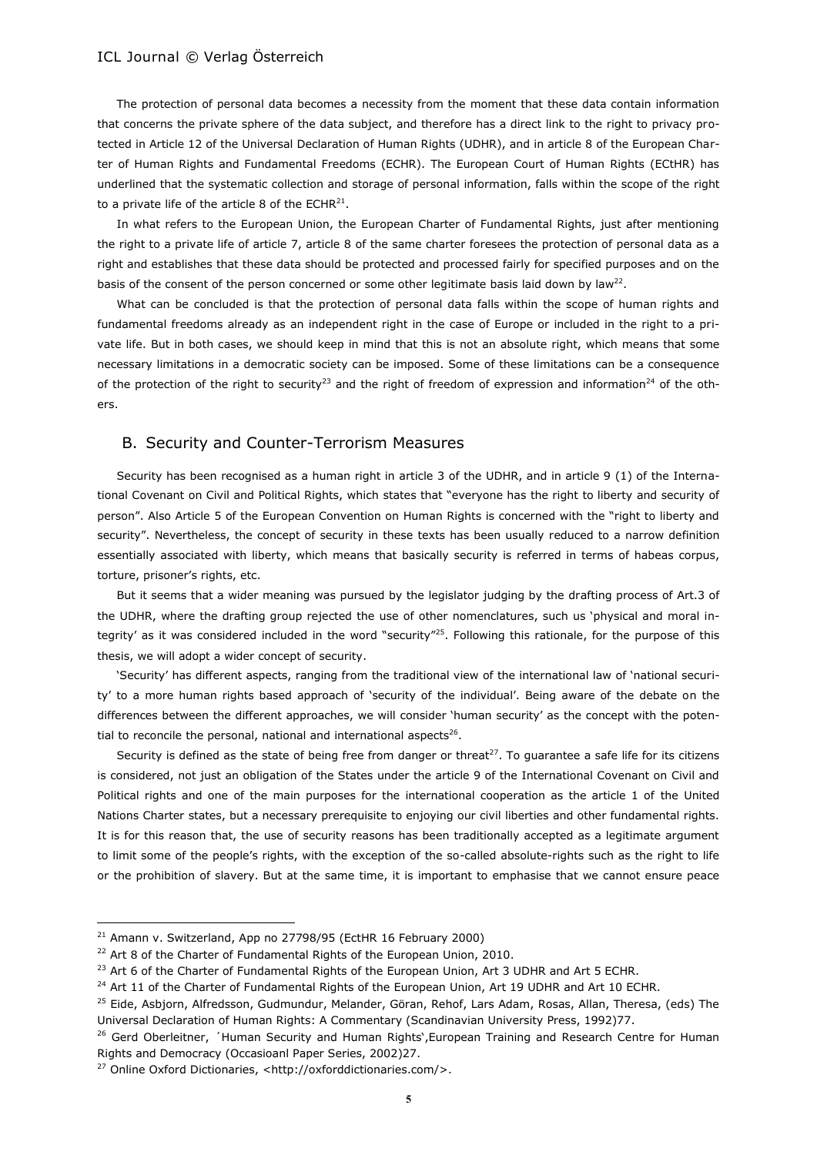The protection of personal data becomes a necessity from the moment that these data contain information that concerns the private sphere of the data subject, and therefore has a direct link to the right to privacy protected in Article 12 of the Universal Declaration of Human Rights (UDHR), and in article 8 of the European Charter of Human Rights and Fundamental Freedoms (ECHR). The European Court of Human Rights (ECtHR) has underlined that the systematic collection and storage of personal information, falls within the scope of the right to a private life of the article 8 of the ECHR<sup>21</sup>.

In what refers to the European Union, the European Charter of Fundamental Rights, just after mentioning the right to a private life of article 7, article 8 of the same charter foresees the protection of personal data as a right and establishes that these data should be protected and processed fairly for specified purposes and on the basis of the consent of the person concerned or some other legitimate basis laid down by law<sup>22</sup>.

What can be concluded is that the protection of personal data falls within the scope of human rights and fundamental freedoms already as an independent right in the case of Europe or included in the right to a private life. But in both cases, we should keep in mind that this is not an absolute right, which means that some necessary limitations in a democratic society can be imposed. Some of these limitations can be a consequence of the protection of the right to security<sup>23</sup> and the right of freedom of expression and information<sup>24</sup> of the others.

## B. Security and Counter-Terrorism Measures

Security has been recognised as a human right in article 3 of the UDHR, and in article 9 (1) of the International Covenant on Civil and Political Rights, which states that "everyone has the right to liberty and security of person". Also Article 5 of the European Convention on Human Rights is concerned with the "right to liberty and security". Nevertheless, the concept of security in these texts has been usually reduced to a narrow definition essentially associated with liberty, which means that basically security is referred in terms of habeas corpus, torture, prisoner's rights, etc.

But it seems that a wider meaning was pursued by the legislator judging by the drafting process of Art.3 of the UDHR, where the drafting group rejected the use of other nomenclatures, such us 'physical and moral integrity' as it was considered included in the word "security"<sup>25</sup>. Following this rationale, for the purpose of this thesis, we will adopt a wider concept of security.

'Security' has different aspects, ranging from the traditional view of the international law of 'national security' to a more human rights based approach of 'security of the individual'. Being aware of the debate on the differences between the different approaches, we will consider 'human security' as the concept with the potential to reconcile the personal, national and international aspects<sup>26</sup>.

Security is defined as the state of being free from danger or threat<sup>27</sup>. To guarantee a safe life for its citizens is considered, not just an obligation of the States under the article 9 of the International Covenant on Civil and Political rights and one of the main purposes for the international cooperation as the article 1 of the United Nations Charter states, but a necessary prerequisite to enjoying our civil liberties and other fundamental rights. It is for this reason that, the use of security reasons has been traditionally accepted as a legitimate argument to limit some of the people's rights, with the exception of the so-called absolute-rights such as the right to life or the prohibition of slavery. But at the same time, it is important to emphasise that we cannot ensure peace

<sup>&</sup>lt;sup>21</sup> Amann v. Switzerland, App no 27798/95 (EctHR 16 February 2000)

<sup>&</sup>lt;sup>22</sup> Art 8 of the Charter of Fundamental Rights of the European Union, 2010.

 $^{23}$  Art 6 of the Charter of Fundamental Rights of the European Union, Art 3 UDHR and Art 5 ECHR.

<sup>&</sup>lt;sup>24</sup> Art 11 of the Charter of Fundamental Rights of the European Union, Art 19 UDHR and Art 10 ECHR.

<sup>&</sup>lt;sup>25</sup> Eide, Asbjorn, Alfredsson, Gudmundur, Melander, Göran, Rehof, Lars Adam, Rosas, Allan, Theresa, (eds) The Universal Declaration of Human Rights: A Commentary (Scandinavian University Press, 1992)77.

<sup>&</sup>lt;sup>26</sup> Gerd Oberleitner, 'Human Security and Human Rights', European Training and Research Centre for Human Rights and Democracy (Occasioanl Paper Series, 2002)27.

<sup>27</sup> Online Oxford Dictionaries, <http://oxforddictionaries.com/>.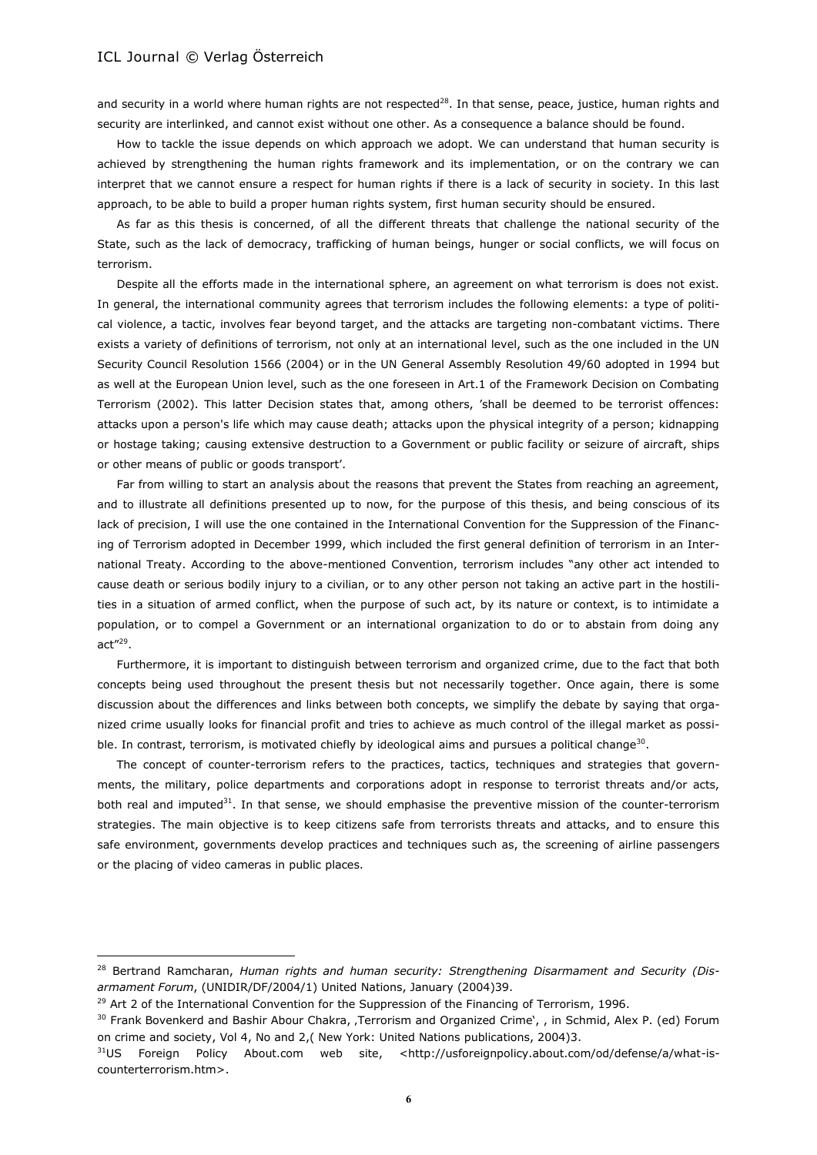and security in a world where human rights are not respected<sup>28</sup>. In that sense, peace, justice, human rights and security are interlinked, and cannot exist without one other. As a consequence a balance should be found.

How to tackle the issue depends on which approach we adopt. We can understand that human security is achieved by strengthening the human rights framework and its implementation, or on the contrary we can interpret that we cannot ensure a respect for human rights if there is a lack of security in society. In this last approach, to be able to build a proper human rights system, first human security should be ensured.

As far as this thesis is concerned, of all the different threats that challenge the national security of the State, such as the lack of democracy, trafficking of human beings, hunger or social conflicts, we will focus on terrorism.

Despite all the efforts made in the international sphere, an agreement on what terrorism is does not exist. In general, the international community agrees that terrorism includes the following elements: a type of political violence, a tactic, involves fear beyond target, and the attacks are targeting non-combatant victims. There exists a variety of definitions of terrorism, not only at an international level, such as the one included in the UN Security Council Resolution 1566 (2004) or in the UN General Assembly Resolution 49/60 adopted in 1994 but as well at the European Union level, such as the one foreseen in Art.1 of the Framework Decision on Combating Terrorism (2002). This latter Decision states that, among others, 'shall be deemed to be terrorist offences: attacks upon a person's life which may cause death; attacks upon the physical integrity of a person; kidnapping or hostage taking; causing extensive destruction to a Government or public facility or seizure of aircraft, ships or other means of public or goods transport'.

Far from willing to start an analysis about the reasons that prevent the States from reaching an agreement, and to illustrate all definitions presented up to now, for the purpose of this thesis, and being conscious of its lack of precision, I will use the one contained in the International Convention for the Suppression of the Financing of Terrorism adopted in December 1999, which included the first general definition of terrorism in an International Treaty. According to the above-mentioned Convention, terrorism includes "any other act intended to cause death or serious bodily injury to a civilian, or to any other person not taking an active part in the hostilities in a situation of armed conflict, when the purpose of such act, by its nature or context, is to intimidate a population, or to compel a Government or an international organization to do or to abstain from doing any act"<sup>29</sup> .

Furthermore, it is important to distinguish between terrorism and organized crime, due to the fact that both concepts being used throughout the present thesis but not necessarily together. Once again, there is some discussion about the differences and links between both concepts, we simplify the debate by saying that organized crime usually looks for financial profit and tries to achieve as much control of the illegal market as possible. In contrast, terrorism, is motivated chiefly by ideological aims and pursues a political change<sup>30</sup>.

The concept of counter-terrorism refers to the practices, tactics, techniques and strategies that governments, the military, police departments and corporations adopt in response to terrorist threats and/or acts, both real and imputed $31$ . In that sense, we should emphasise the preventive mission of the counter-terrorism strategies. The main objective is to keep citizens safe from terrorists threats and attacks, and to ensure this safe environment, governments develop practices and techniques such as, the screening of airline passengers or the placing of video cameras in public places.

<sup>28</sup> Bertrand Ramcharan, *Human rights and human security: Strengthening Disarmament and Security (Disarmament Forum*, (UNIDIR/DF/2004/1) United Nations, January (2004)39.

 $29$  Art 2 of the International Convention for the Suppression of the Financing of Terrorism, 1996.

<sup>&</sup>lt;sup>30</sup> Frank Bovenkerd and Bashir Abour Chakra, ,Terrorism and Organized Crime', , in Schmid, Alex P. (ed) Forum on crime and society, Vol 4, No and 2,( New York: United Nations publications, 2004)3.

 $31US$  Foreign Policy About.com web site, <http://usforeignpolicy.about.com/od/defense/a/what-iscounterterrorism.htm>.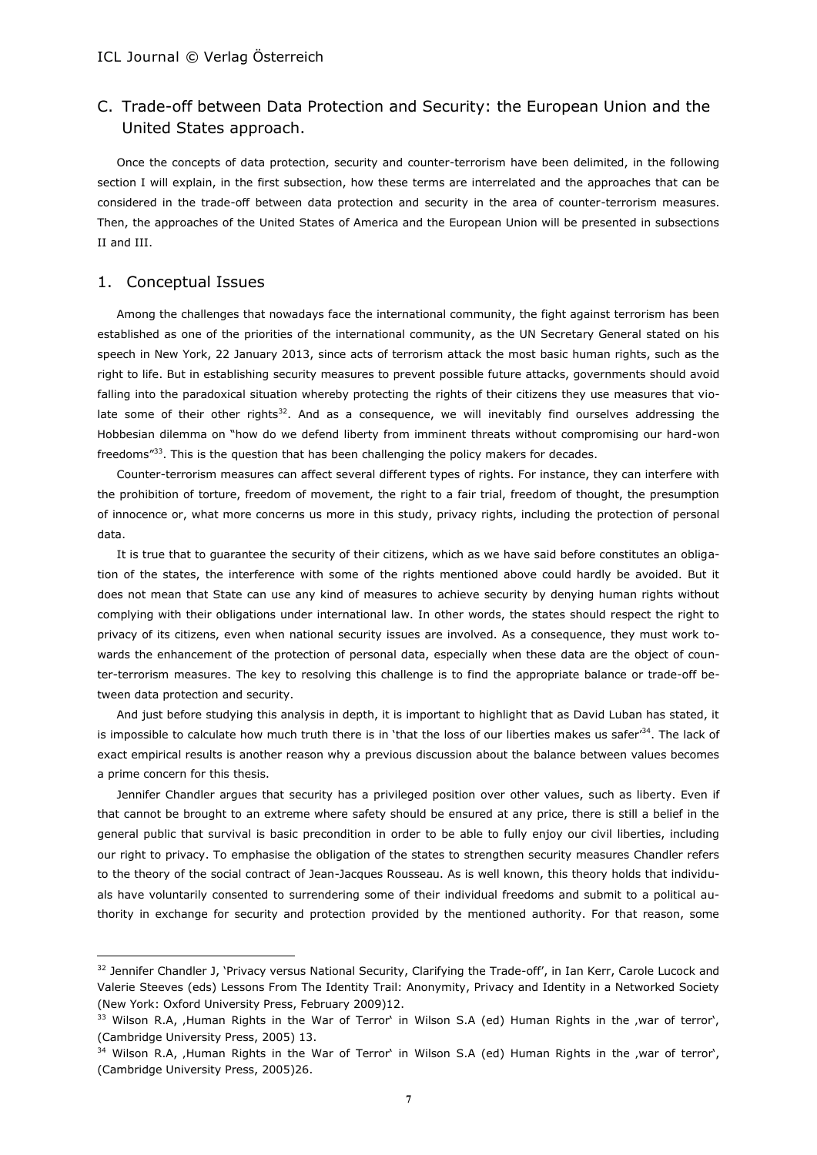# C. Trade-off between Data Protection and Security: the European Union and the United States approach.

Once the concepts of data protection, security and counter-terrorism have been delimited, in the following section I will explain, in the first subsection, how these terms are interrelated and the approaches that can be considered in the trade-off between data protection and security in the area of counter-terrorism measures. Then, the approaches of the United States of America and the European Union will be presented in subsections II and III.

# 1. Conceptual Issues

 $\overline{a}$ 

Among the challenges that nowadays face the international community, the fight against terrorism has been established as one of the priorities of the international community, as the UN Secretary General stated on his speech in New York, 22 January 2013, since acts of terrorism attack the most basic human rights, such as the right to life. But in establishing security measures to prevent possible future attacks, governments should avoid falling into the paradoxical situation whereby protecting the rights of their citizens they use measures that violate some of their other rights<sup>32</sup>. And as a consequence, we will inevitably find ourselves addressing the Hobbesian dilemma on "how do we defend liberty from imminent threats without compromising our hard-won freedoms"<sup>33</sup>. This is the question that has been challenging the policy makers for decades.

Counter-terrorism measures can affect several different types of rights. For instance, they can interfere with the prohibition of torture, freedom of movement, the right to a fair trial, freedom of thought, the presumption of innocence or, what more concerns us more in this study, privacy rights, including the protection of personal data.

It is true that to guarantee the security of their citizens, which as we have said before constitutes an obligation of the states, the interference with some of the rights mentioned above could hardly be avoided. But it does not mean that State can use any kind of measures to achieve security by denying human rights without complying with their obligations under international law. In other words, the states should respect the right to privacy of its citizens, even when national security issues are involved. As a consequence, they must work towards the enhancement of the protection of personal data, especially when these data are the object of counter-terrorism measures. The key to resolving this challenge is to find the appropriate balance or trade-off between data protection and security.

And just before studying this analysis in depth, it is important to highlight that as David Luban has stated, it is impossible to calculate how much truth there is in 'that the loss of our liberties makes us safer<sup>134</sup>. The lack of exact empirical results is another reason why a previous discussion about the balance between values becomes a prime concern for this thesis.

Jennifer Chandler argues that security has a privileged position over other values, such as liberty. Even if that cannot be brought to an extreme where safety should be ensured at any price, there is still a belief in the general public that survival is basic precondition in order to be able to fully enjoy our civil liberties, including our right to privacy. To emphasise the obligation of the states to strengthen security measures Chandler refers to the theory of the social contract of Jean-Jacques Rousseau. As is well known, this theory holds that individuals have voluntarily consented to surrendering some of their individual freedoms and submit to a political authority in exchange for security and protection provided by the mentioned authority. For that reason, some

<sup>&</sup>lt;sup>32</sup> Jennifer Chandler J, 'Privacy versus National Security, Clarifying the Trade-off', in Ian Kerr, Carole Lucock and Valerie Steeves (eds) Lessons From The Identity Trail: Anonymity, Privacy and Identity in a Networked Society (New York: Oxford University Press, February 2009)12.

 $33$  Wilson R.A, Human Rights in the War of Terror' in Wilson S.A (ed) Human Rights in the , war of terror', (Cambridge University Press, 2005) 13.

 $34$  Wilson R.A, Human Rights in the War of Terror' in Wilson S.A (ed) Human Rights in the ,war of terror', (Cambridge University Press, 2005)26.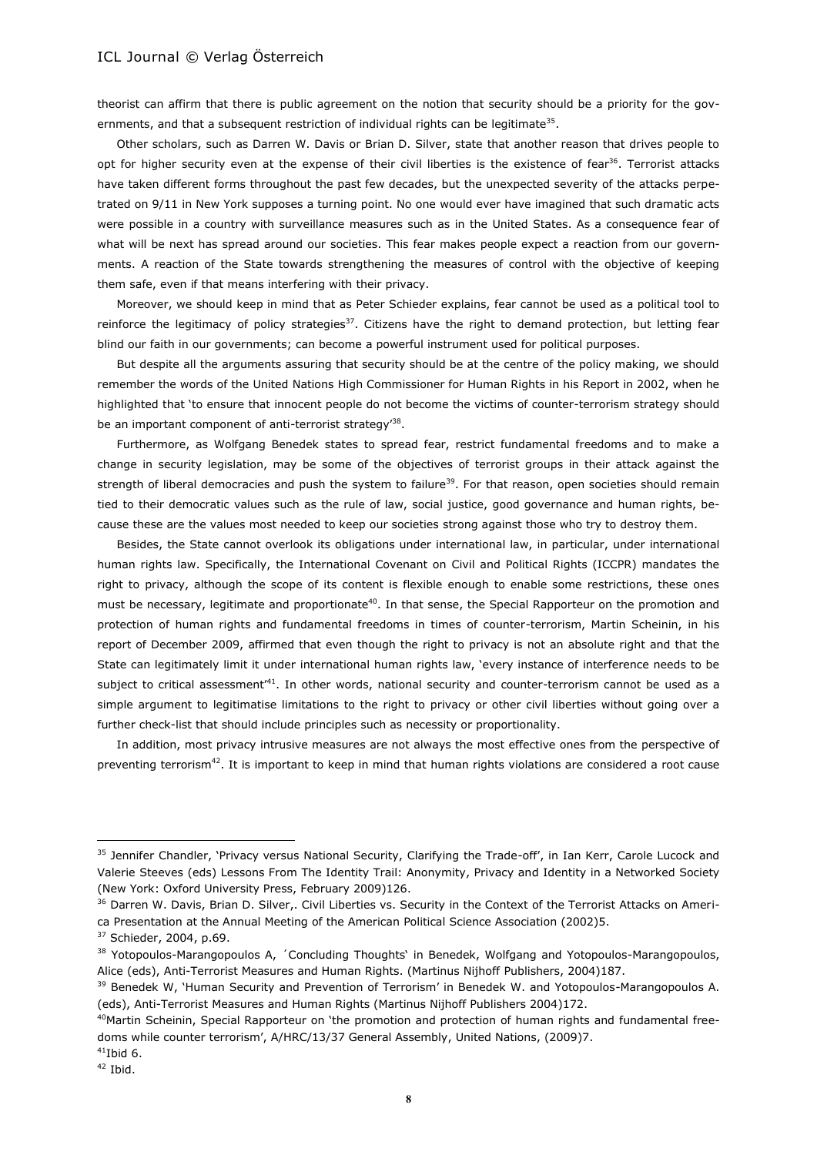theorist can affirm that there is public agreement on the notion that security should be a priority for the governments, and that a subsequent restriction of individual rights can be legitimate<sup>35</sup>.

Other scholars, such as Darren W. Davis or Brian D. Silver, state that another reason that drives people to opt for higher security even at the expense of their civil liberties is the existence of fear<sup>36</sup>. Terrorist attacks have taken different forms throughout the past few decades, but the unexpected severity of the attacks perpetrated on 9/11 in New York supposes a turning point. No one would ever have imagined that such dramatic acts were possible in a country with surveillance measures such as in the United States. As a consequence fear of what will be next has spread around our societies. This fear makes people expect a reaction from our governments. A reaction of the State towards strengthening the measures of control with the objective of keeping them safe, even if that means interfering with their privacy.

Moreover, we should keep in mind that as Peter Schieder explains, fear cannot be used as a political tool to reinforce the legitimacy of policy strategies $37$ . Citizens have the right to demand protection, but letting fear blind our faith in our governments; can become a powerful instrument used for political purposes.

But despite all the arguments assuring that security should be at the centre of the policy making, we should remember the words of the United Nations High Commissioner for Human Rights in his Report in 2002, when he highlighted that 'to ensure that innocent people do not become the victims of counter-terrorism strategy should be an important component of anti-terrorist strategy<sup>38</sup>.

Furthermore, as Wolfgang Benedek states to spread fear, restrict fundamental freedoms and to make a change in security legislation, may be some of the objectives of terrorist groups in their attack against the strength of liberal democracies and push the system to failure<sup>39</sup>. For that reason, open societies should remain tied to their democratic values such as the rule of law, social justice, good governance and human rights, because these are the values most needed to keep our societies strong against those who try to destroy them.

Besides, the State cannot overlook its obligations under international law, in particular, under international human rights law. Specifically, the International Covenant on Civil and Political Rights (ICCPR) mandates the right to privacy, although the scope of its content is flexible enough to enable some restrictions, these ones must be necessary, legitimate and proportionate<sup>40</sup>. In that sense, the Special Rapporteur on the promotion and protection of human rights and fundamental freedoms in times of counter-terrorism, Martin Scheinin, in his report of December 2009, affirmed that even though the right to privacy is not an absolute right and that the State can legitimately limit it under international human rights law, 'every instance of interference needs to be subject to critical assessment<sup> $41$ </sup>. In other words, national security and counter-terrorism cannot be used as a simple argument to legitimatise limitations to the right to privacy or other civil liberties without going over a further check-list that should include principles such as necessity or proportionality.

In addition, most privacy intrusive measures are not always the most effective ones from the perspective of preventing terrorism<sup>42</sup>. It is important to keep in mind that human rights violations are considered a root cause

<sup>&</sup>lt;sup>35</sup> Jennifer Chandler, 'Privacy versus National Security, Clarifying the Trade-off', in Ian Kerr, Carole Lucock and Valerie Steeves (eds) Lessons From The Identity Trail: Anonymity, Privacy and Identity in a Networked Society (New York: Oxford University Press, February 2009)126.

<sup>&</sup>lt;sup>36</sup> Darren W. Davis, Brian D. Silver,. Civil Liberties vs. Security in the Context of the Terrorist Attacks on America Presentation at the Annual Meeting of the American Political Science Association (2002)5.

<sup>&</sup>lt;sup>37</sup> Schieder, 2004, p.69.

<sup>&</sup>lt;sup>38</sup> Yotopoulos-Marangopoulos A, 'Concluding Thoughts' in Benedek, Wolfgang and Yotopoulos-Marangopoulos, Alice (eds), Anti-Terrorist Measures and Human Rights. (Martinus Nijhoff Publishers, 2004)187.

<sup>&</sup>lt;sup>39</sup> Benedek W, 'Human Security and Prevention of Terrorism' in Benedek W. and Yotopoulos-Marangopoulos A. (eds), Anti-Terrorist Measures and Human Rights (Martinus Nijhoff Publishers 2004)172.

<sup>&</sup>lt;sup>40</sup>Martin Scheinin, Special Rapporteur on 'the promotion and protection of human rights and fundamental freedoms while counter terrorism', A/HRC/13/37 General Assembly, United Nations, (2009)7.

 $41$ Ibid 6.

<sup>42</sup> Ibid.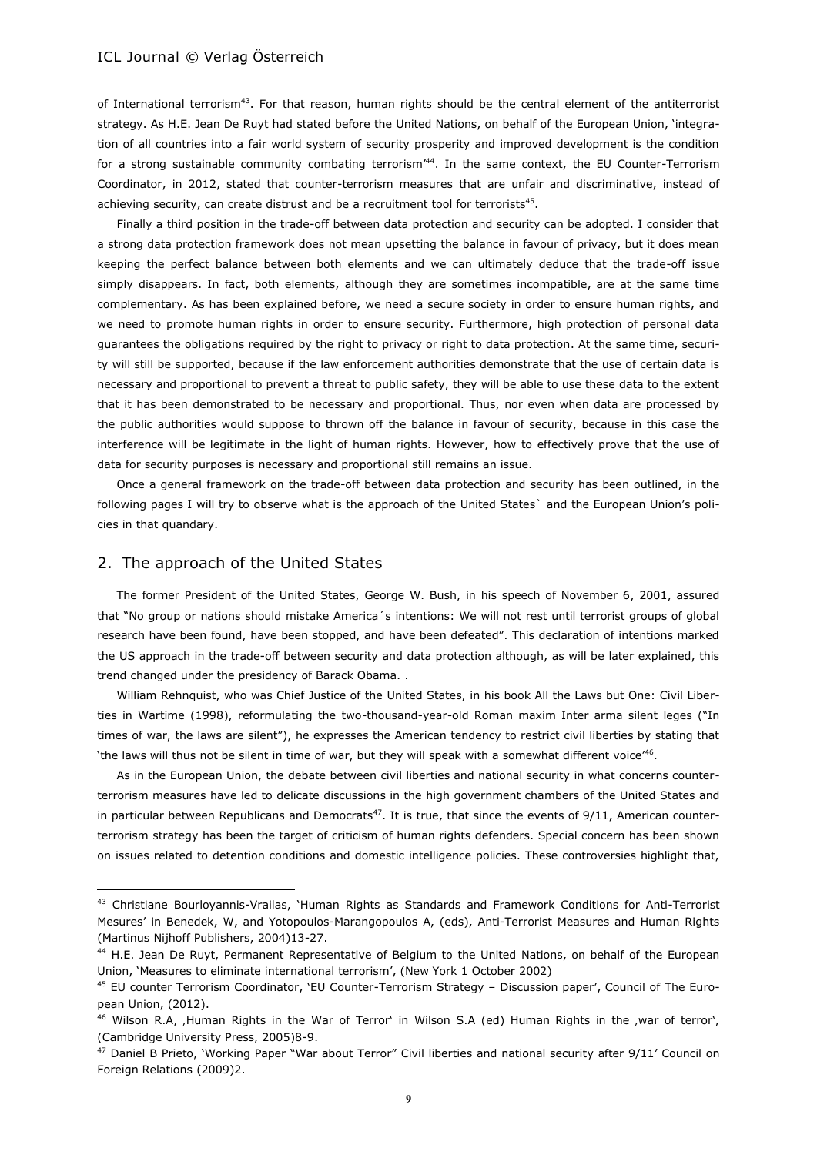of International terrorism<sup>43</sup>. For that reason, human rights should be the central element of the antiterrorist strategy. As H.E. Jean De Ruyt had stated before the United Nations, on behalf of the European Union, 'integration of all countries into a fair world system of security prosperity and improved development is the condition for a strong sustainable community combating terrorism<sup>144</sup>. In the same context, the EU Counter-Terrorism Coordinator, in 2012, stated that counter-terrorism measures that are unfair and discriminative, instead of achieving security, can create distrust and be a recruitment tool for terrorists<sup>45</sup>.

Finally a third position in the trade-off between data protection and security can be adopted. I consider that a strong data protection framework does not mean upsetting the balance in favour of privacy, but it does mean keeping the perfect balance between both elements and we can ultimately deduce that the trade-off issue simply disappears. In fact, both elements, although they are sometimes incompatible, are at the same time complementary. As has been explained before, we need a secure society in order to ensure human rights, and we need to promote human rights in order to ensure security. Furthermore, high protection of personal data guarantees the obligations required by the right to privacy or right to data protection. At the same time, security will still be supported, because if the law enforcement authorities demonstrate that the use of certain data is necessary and proportional to prevent a threat to public safety, they will be able to use these data to the extent that it has been demonstrated to be necessary and proportional. Thus, nor even when data are processed by the public authorities would suppose to thrown off the balance in favour of security, because in this case the interference will be legitimate in the light of human rights. However, how to effectively prove that the use of data for security purposes is necessary and proportional still remains an issue.

Once a general framework on the trade-off between data protection and security has been outlined, in the following pages I will try to observe what is the approach of the United States` and the European Union's policies in that quandary.

## 2. The approach of the United States

 $\overline{a}$ 

The former President of the United States, George W. Bush, in his speech of November 6, 2001, assured that "No group or nations should mistake America´s intentions: We will not rest until terrorist groups of global research have been found, have been stopped, and have been defeated". This declaration of intentions marked the US approach in the trade-off between security and data protection although, as will be later explained, this trend changed under the presidency of Barack Obama. .

William Rehnquist, who was Chief Justice of the United States, in his book All the Laws but One: Civil Liberties in Wartime (1998), reformulating the two-thousand-year-old Roman maxim Inter arma silent leges ("In times of war, the laws are silent"), he expresses the American tendency to restrict civil liberties by stating that 'the laws will thus not be silent in time of war, but they will speak with a somewhat different voice" $6$ .

As in the European Union, the debate between civil liberties and national security in what concerns counterterrorism measures have led to delicate discussions in the high government chambers of the United States and in particular between Republicans and Democrats<sup>47</sup>. It is true, that since the events of  $9/11$ , American counterterrorism strategy has been the target of criticism of human rights defenders. Special concern has been shown on issues related to detention conditions and domestic intelligence policies. These controversies highlight that,

<sup>43</sup> Christiane Bourloyannis-Vrailas, 'Human Rights as Standards and Framework Conditions for Anti-Terrorist Mesures' in Benedek, W, and Yotopoulos-Marangopoulos A, (eds), Anti-Terrorist Measures and Human Rights (Martinus Nijhoff Publishers, 2004)13-27.

<sup>&</sup>lt;sup>44</sup> H.E. Jean De Ruyt, Permanent Representative of Belgium to the United Nations, on behalf of the European Union, 'Measures to eliminate international terrorism', (New York 1 October 2002)

<sup>45</sup> EU counter Terrorism Coordinator, 'EU Counter-Terrorism Strategy – Discussion paper', Council of The European Union, (2012).

<sup>&</sup>lt;sup>46</sup> Wilson R.A, Human Rights in the War of Terror' in Wilson S.A (ed) Human Rights in the ,war of terror', (Cambridge University Press, 2005)8-9.

 $47$  Daniel B Prieto, 'Working Paper "War about Terror" Civil liberties and national security after  $9/11'$  Council on Foreign Relations (2009)2.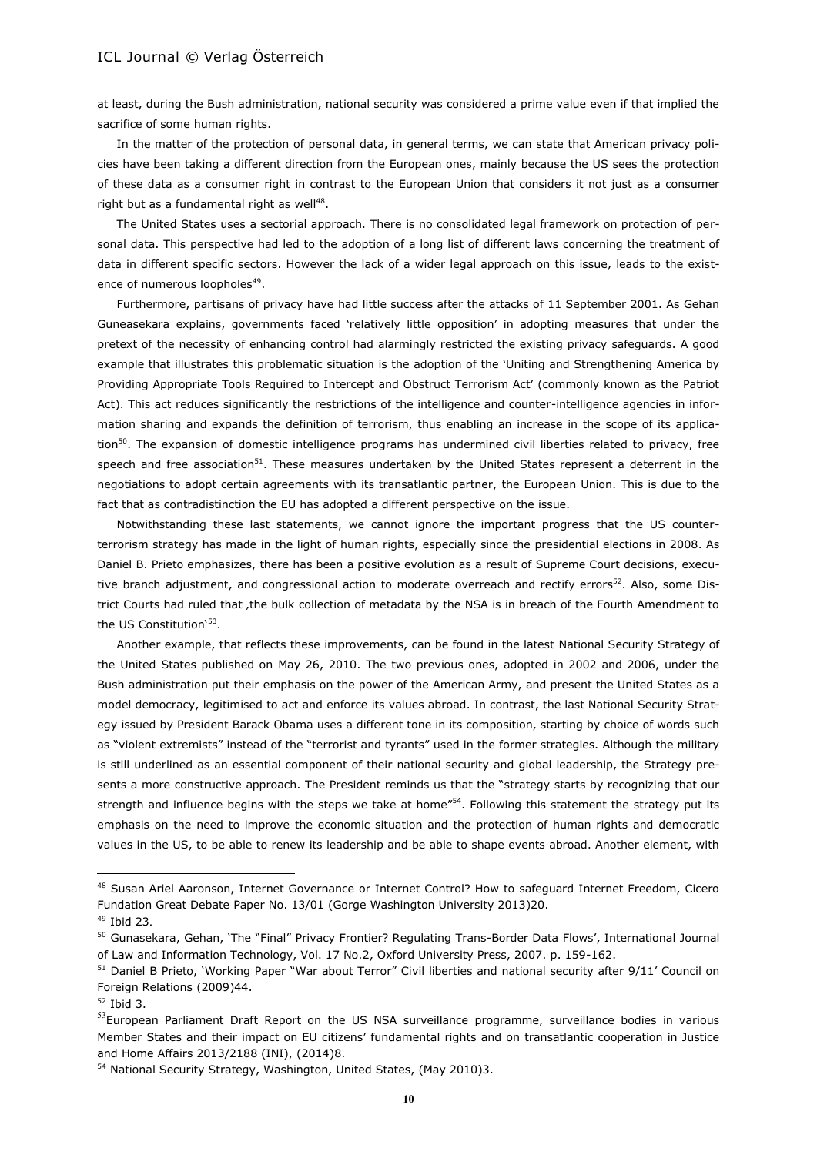at least, during the Bush administration, national security was considered a prime value even if that implied the sacrifice of some human rights.

In the matter of the protection of personal data, in general terms, we can state that American privacy policies have been taking a different direction from the European ones, mainly because the US sees the protection of these data as a consumer right in contrast to the European Union that considers it not just as a consumer right but as a fundamental right as well<sup>48</sup>.

The United States uses a sectorial approach. There is no consolidated legal framework on protection of personal data. This perspective had led to the adoption of a long list of different laws concerning the treatment of data in different specific sectors. However the lack of a wider legal approach on this issue, leads to the existence of numerous loopholes<sup>49</sup>.

Furthermore, partisans of privacy have had little success after the attacks of 11 September 2001. As Gehan Guneasekara explains, governments faced 'relatively little opposition' in adopting measures that under the pretext of the necessity of enhancing control had alarmingly restricted the existing privacy safeguards. A good example that illustrates this problematic situation is the adoption of the 'Uniting and Strengthening America by Providing Appropriate Tools Required to Intercept and Obstruct Terrorism Act' (commonly known as the Patriot Act). This act reduces significantly the restrictions of the intelligence and counter-intelligence agencies in information sharing and expands the definition of terrorism, thus enabling an increase in the scope of its application<sup>50</sup>. The expansion of domestic intelligence programs has undermined civil liberties related to privacy, free speech and free association<sup>51</sup>. These measures undertaken by the United States represent a deterrent in the negotiations to adopt certain agreements with its transatlantic partner, the European Union. This is due to the fact that as contradistinction the EU has adopted a different perspective on the issue.

Notwithstanding these last statements, we cannot ignore the important progress that the US counterterrorism strategy has made in the light of human rights, especially since the presidential elections in 2008. As Daniel B. Prieto emphasizes, there has been a positive evolution as a result of Supreme Court decisions, executive branch adjustment, and congressional action to moderate overreach and rectify errors<sup>52</sup>. Also, some District Courts had ruled that , the bulk collection of metadata by the NSA is in breach of the Fourth Amendment to the US Constitution'<sup>53</sup>.

Another example, that reflects these improvements, can be found in the latest National Security Strategy of the United States published on May 26, 2010. The two previous ones, adopted in 2002 and 2006, under the Bush administration put their emphasis on the power of the American Army, and present the United States as a model democracy, legitimised to act and enforce its values abroad. In contrast, the last National Security Strategy issued by President Barack Obama uses a different tone in its composition, starting by choice of words such as "violent extremists" instead of the "terrorist and tyrants" used in the former strategies. Although the military is still underlined as an essential component of their national security and global leadership, the Strategy presents a more constructive approach. The President reminds us that the "strategy starts by recognizing that our strength and influence begins with the steps we take at home"<sup>54</sup>. Following this statement the strategy put its emphasis on the need to improve the economic situation and the protection of human rights and democratic values in the US, to be able to renew its leadership and be able to shape events abroad. Another element, with

<sup>48</sup> Susan Ariel Aaronson, Internet Governance or Internet Control? How to safeguard Internet Freedom, Cicero Fundation Great Debate Paper No. 13/01 (Gorge Washington University 2013)20.

<sup>49</sup> Ibid 23.

<sup>50</sup> Gunasekara, Gehan, 'The "Final" Privacy Frontier? Regulating Trans-Border Data Flows', International Journal of Law and Information Technology, Vol. 17 No.2, Oxford University Press, 2007. p. 159-162.

<sup>&</sup>lt;sup>51</sup> Daniel B Prieto, 'Working Paper "War about Terror" Civil liberties and national security after 9/11' Council on Foreign Relations (2009)44.

<sup>52</sup> Ibid 3.

<sup>&</sup>lt;sup>53</sup>European Parliament Draft Report on the US NSA surveillance programme, surveillance bodies in various Member States and their impact on EU citizens' fundamental rights and on transatlantic cooperation in Justice and Home Affairs 2013/2188 (INI), (2014)8.

<sup>&</sup>lt;sup>54</sup> National Security Strategy, Washington, United States, (May 2010)3.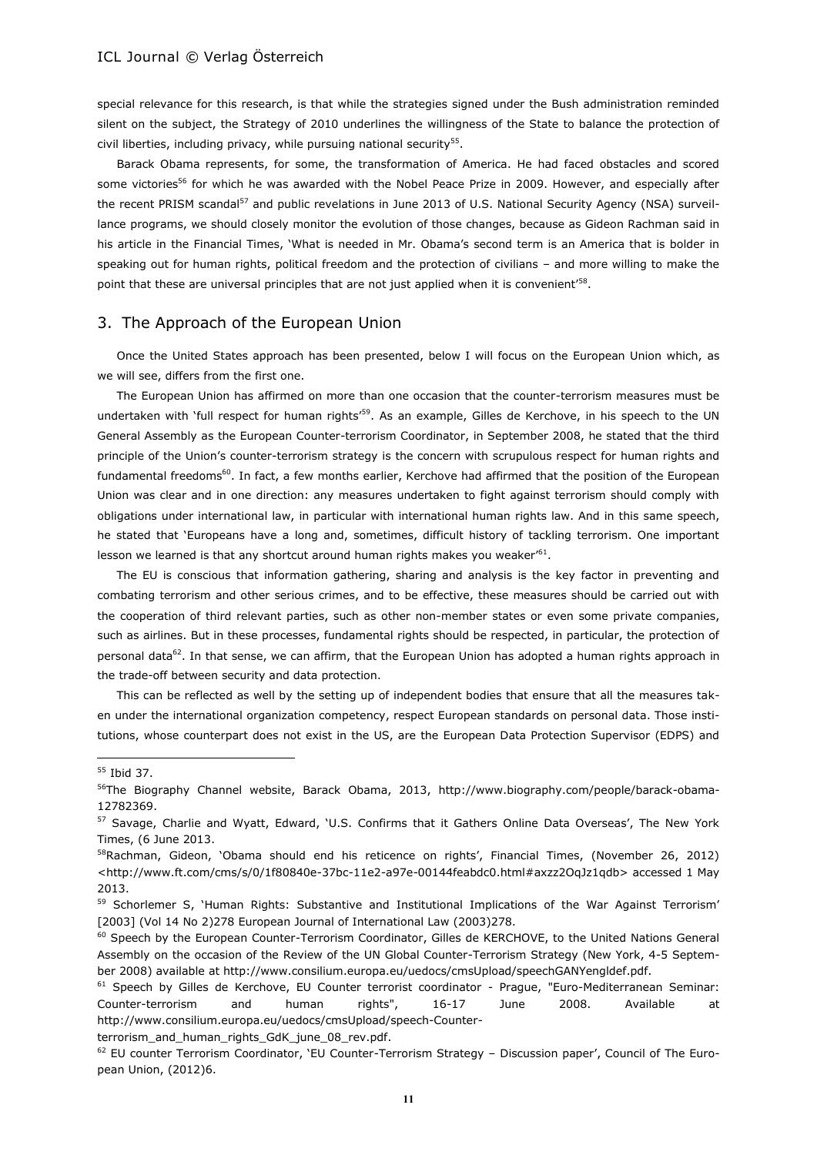special relevance for this research, is that while the strategies signed under the Bush administration reminded silent on the subject, the Strategy of 2010 underlines the willingness of the State to balance the protection of civil liberties, including privacy, while pursuing national security<sup>55</sup>.

Barack Obama represents, for some, the transformation of America. He had faced obstacles and scored some victories<sup>56</sup> for which he was awarded with the Nobel Peace Prize in 2009. However, and especially after the recent PRISM scandal<sup>57</sup> and public revelations in June 2013 of U.S. National Security Agency (NSA) surveillance programs, we should closely monitor the evolution of those changes, because as Gideon Rachman said in his article in the Financial Times, 'What is needed in Mr. Obama's second term is an America that is bolder in speaking out for human rights, political freedom and the protection of civilians – and more willing to make the point that these are universal principles that are not just applied when it is convenient'<sup>58</sup>.

# 3. The Approach of the European Union

Once the United States approach has been presented, below I will focus on the European Union which, as we will see, differs from the first one.

The European Union has affirmed on more than one occasion that the counter-terrorism measures must be undertaken with 'full respect for human rights'<sup>59</sup>. As an example, Gilles de Kerchove, in his speech to the UN General Assembly as the European Counter-terrorism Coordinator, in September 2008, he stated that the third principle of the Union's counter-terrorism strategy is the concern with scrupulous respect for human rights and fundamental freedoms<sup>60</sup>. In fact, a few months earlier, Kerchove had affirmed that the position of the European Union was clear and in one direction: any measures undertaken to fight against terrorism should comply with obligations under international law, in particular with international human rights law. And in this same speech, he stated that 'Europeans have a long and, sometimes, difficult history of tackling terrorism. One important lesson we learned is that any shortcut around human rights makes you weaker" $61$ .

The EU is conscious that information gathering, sharing and analysis is the key factor in preventing and combating terrorism and other serious crimes, and to be effective, these measures should be carried out with the cooperation of third relevant parties, such as other non-member states or even some private companies, such as airlines. But in these processes, fundamental rights should be respected, in particular, the protection of personal data<sup>62</sup>. In that sense, we can affirm, that the European Union has adopted a human rights approach in the trade-off between security and data protection.

This can be reflected as well by the setting up of independent bodies that ensure that all the measures taken under the international organization competency, respect European standards on personal data. Those institutions, whose counterpart does not exist in the US, are the European Data Protection Supervisor (EDPS) and

 $\overline{a}$ 

terrorism\_and\_human\_rights\_GdK\_june\_08\_rev.pdf.

<sup>55</sup> Ibid 37.

<sup>&</sup>lt;sup>56</sup>The Biography Channel website, Barack Obama, 2013, http://www.biography.com/people/barack-obama-12782369.

<sup>57</sup> Savage, Charlie and Wyatt, Edward, 'U.S. Confirms that it Gathers Online Data Overseas', The New York Times, (6 June 2013.

<sup>&</sup>lt;sup>58</sup>Rachman, Gideon, 'Obama should end his reticence on rights', Financial Times, (November 26, 2012) <http://www.ft.com/cms/s/0/1f80840e-37bc-11e2-a97e-00144feabdc0.html#axzz2OqJz1qdb> accessed 1 May 2013.

<sup>&</sup>lt;sup>59</sup> Schorlemer S, 'Human Rights: Substantive and Institutional Implications of the War Against Terrorism' [2003] (Vol 14 No 2)278 European Journal of International Law (2003)278.

<sup>&</sup>lt;sup>60</sup> Speech by the European Counter-Terrorism Coordinator, Gilles de KERCHOVE, to the United Nations General Assembly on the occasion of the Review of the UN Global Counter-Terrorism Strategy (New York, 4-5 September 2008) available at http://www.consilium.europa.eu/uedocs/cmsUpload/speechGANYengldef.pdf.

<sup>&</sup>lt;sup>61</sup> Speech by Gilles de Kerchove, EU Counter terrorist coordinator - Prague, "Euro-Mediterranean Seminar: Counter-terrorism and human rights", 16-17 June 2008. Available at http://www.consilium.europa.eu/uedocs/cmsUpload/speech-Counter-

 $62$  EU counter Terrorism Coordinator, 'EU Counter-Terrorism Strategy – Discussion paper', Council of The European Union, (2012)6.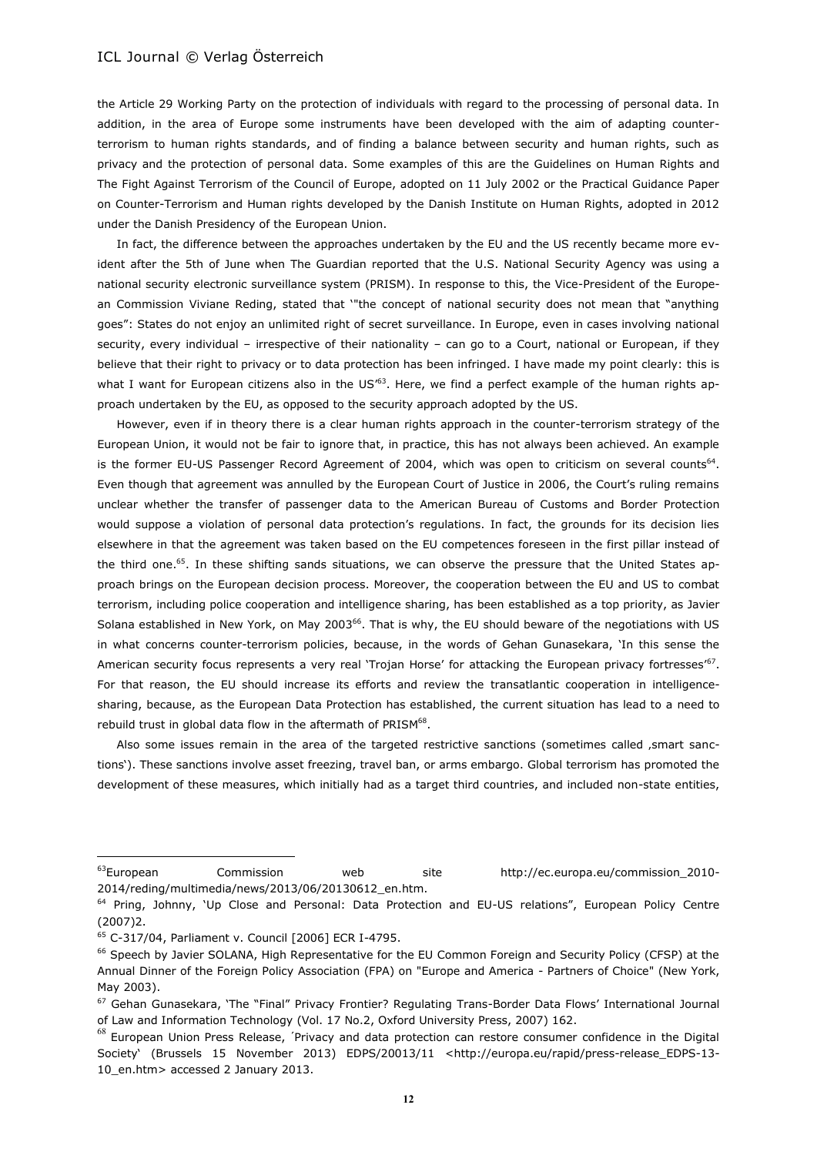the Article 29 Working Party on the protection of individuals with regard to the processing of personal data. In addition, in the area of Europe some instruments have been developed with the aim of adapting counterterrorism to human rights standards, and of finding a balance between security and human rights, such as privacy and the protection of personal data. Some examples of this are the Guidelines on Human Rights and The Fight Against Terrorism of the Council of Europe, adopted on 11 July 2002 or the Practical Guidance Paper on Counter-Terrorism and Human rights developed by the Danish Institute on Human Rights, adopted in 2012 under the Danish Presidency of the European Union.

In fact, the difference between the approaches undertaken by the EU and the US recently became more evident after the 5th of June when The Guardian reported that the U.S. National Security Agency was using a national security electronic surveillance system (PRISM). In response to this, the Vice-President of the European Commission Viviane Reding, stated that '"the concept of national security does not mean that "anything goes": States do not enjoy an unlimited right of secret surveillance. In Europe, even in cases involving national security, every individual – irrespective of their nationality – can go to a Court, national or European, if they believe that their right to privacy or to data protection has been infringed. I have made my point clearly: this is what I want for European citizens also in the US'<sup>63</sup>. Here, we find a perfect example of the human rights approach undertaken by the EU, as opposed to the security approach adopted by the US.

However, even if in theory there is a clear human rights approach in the counter-terrorism strategy of the European Union, it would not be fair to ignore that, in practice, this has not always been achieved. An example is the former EU-US Passenger Record Agreement of 2004, which was open to criticism on several counts<sup>64</sup>. Even though that agreement was annulled by the European Court of Justice in 2006, the Court's ruling remains unclear whether the transfer of passenger data to the American Bureau of Customs and Border Protection would suppose a violation of personal data protection's regulations. In fact, the grounds for its decision lies elsewhere in that the agreement was taken based on the EU competences foreseen in the first pillar instead of the third one.<sup>65</sup>. In these shifting sands situations, we can observe the pressure that the United States approach brings on the European decision process. Moreover, the cooperation between the EU and US to combat terrorism, including police cooperation and intelligence sharing, has been established as a top priority, as Javier Solana established in New York, on May 2003<sup>66</sup>. That is why, the EU should beware of the negotiations with US in what concerns counter-terrorism policies, because, in the words of Gehan Gunasekara, 'In this sense the American security focus represents a very real 'Trojan Horse' for attacking the European privacy fortresses'<sup>67</sup>. For that reason, the EU should increase its efforts and review the transatlantic cooperation in intelligencesharing, because, as the European Data Protection has established, the current situation has lead to a need to rebuild trust in global data flow in the aftermath of PRISM $^{68}$ .

Also some issues remain in the area of the targeted restrictive sanctions (sometimes called , smart sanctions'). These sanctions involve asset freezing, travel ban, or arms embargo. Global terrorism has promoted the development of these measures, which initially had as a target third countries, and included non-state entities,

<sup>63</sup>European Commission web site http://ec.europa.eu/commission\_2010- 2014/reding/multimedia/news/2013/06/20130612\_en.htm.

<sup>&</sup>lt;sup>64</sup> Pring, Johnny, 'Up Close and Personal: Data Protection and EU-US relations", European Policy Centre (2007)2.

<sup>65</sup> C-317/04, Parliament v. Council [2006] ECR I-4795.

<sup>&</sup>lt;sup>66</sup> Speech by Javier SOLANA, High Representative for the EU Common Foreign and Security Policy (CFSP) at the Annual Dinner of the Foreign Policy Association (FPA) on "Europe and America - Partners of Choice" (New York, May 2003).

<sup>&</sup>lt;sup>67</sup> Gehan Gunasekara, 'The "Final" Privacy Frontier? Regulating Trans-Border Data Flows' International Journal of Law and Information Technology (Vol. 17 No.2, Oxford University Press, 2007) 162.

<sup>&</sup>lt;sup>68</sup> European Union Press Release, 'Privacy and data protection can restore consumer confidence in the Digital Society' (Brussels 15 November 2013) EDPS/20013/11 <http://europa.eu/rapid/press-release\_EDPS-13- 10\_en.htm> accessed 2 January 2013.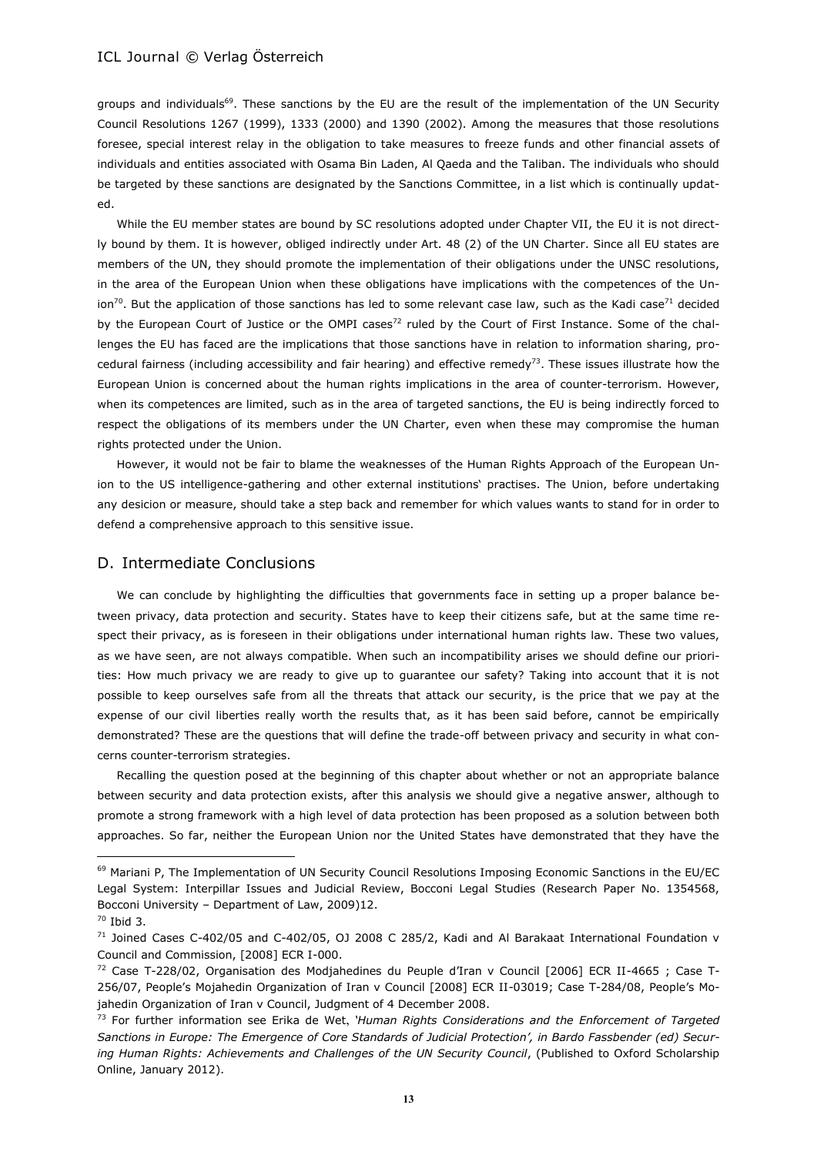groups and individuals<sup>69</sup>. These sanctions by the EU are the result of the implementation of the UN Security Council Resolutions 1267 (1999), 1333 (2000) and 1390 (2002). Among the measures that those resolutions foresee, special interest relay in the obligation to take measures to freeze funds and other financial assets of individuals and entities associated with Osama Bin Laden, Al Qaeda and the Taliban. The individuals who should be targeted by these sanctions are designated by the Sanctions Committee, in a list which is continually updated.

While the EU member states are bound by SC resolutions adopted under Chapter VII, the EU it is not directly bound by them. It is however, obliged indirectly under Art. 48 (2) of the UN Charter. Since all EU states are members of the UN, they should promote the implementation of their obligations under the UNSC resolutions, in the area of the European Union when these obligations have implications with the competences of the Union<sup>70</sup>. But the application of those sanctions has led to some relevant case law, such as the Kadi case<sup>71</sup> decided by the European Court of Justice or the OMPI cases<sup>72</sup> ruled by the Court of First Instance. Some of the challenges the EU has faced are the implications that those sanctions have in relation to information sharing, procedural fairness (including accessibility and fair hearing) and effective remedy<sup>73</sup>. These issues illustrate how the European Union is concerned about the human rights implications in the area of counter-terrorism. However, when its competences are limited, such as in the area of targeted sanctions, the EU is being indirectly forced to respect the obligations of its members under the UN Charter, even when these may compromise the human rights protected under the Union.

However, it would not be fair to blame the weaknesses of the Human Rights Approach of the European Union to the US intelligence-gathering and other external institutions' practises. The Union, before undertaking any desicion or measure, should take a step back and remember for which values wants to stand for in order to defend a comprehensive approach to this sensitive issue.

## D. Intermediate Conclusions

We can conclude by highlighting the difficulties that governments face in setting up a proper balance between privacy, data protection and security. States have to keep their citizens safe, but at the same time respect their privacy, as is foreseen in their obligations under international human rights law. These two values, as we have seen, are not always compatible. When such an incompatibility arises we should define our priorities: How much privacy we are ready to give up to guarantee our safety? Taking into account that it is not possible to keep ourselves safe from all the threats that attack our security, is the price that we pay at the expense of our civil liberties really worth the results that, as it has been said before, cannot be empirically demonstrated? These are the questions that will define the trade-off between privacy and security in what concerns counter-terrorism strategies.

Recalling the question posed at the beginning of this chapter about whether or not an appropriate balance between security and data protection exists, after this analysis we should give a negative answer, although to promote a strong framework with a high level of data protection has been proposed as a solution between both approaches. So far, neither the European Union nor the United States have demonstrated that they have the

<sup>&</sup>lt;sup>69</sup> Mariani P, The Implementation of UN Security Council Resolutions Imposing Economic Sanctions in the EU/EC Legal System: Interpillar Issues and Judicial Review, Bocconi Legal Studies (Research Paper No. 1354568, Bocconi University – Department of Law, 2009)12.

<sup>70</sup> Ibid 3.

<sup>71</sup> Joined Cases C-402/05 and C-402/05, OJ 2008 C 285/2, Kadi and Al Barakaat International Foundation v Council and Commission, [2008] ECR I-000.

 $72$  Case T-228/02, Organisation des Modjahedines du Peuple d'Iran v Council [2006] ECR II-4665 ; Case T-256/07, People's Mojahedin Organization of Iran v Council [2008] ECR II-03019; Case T-284/08, People's Mojahedin Organization of Iran v Council, Judgment of 4 December 2008.

<sup>73</sup> For further information see Erika de Wet, *'Human Rights Considerations and the Enforcement of Targeted Sanctions in Europe: The Emergence of Core Standards of Judicial Protection', in Bardo Fassbender (ed) Secur*ing Human Rights: Achievements and Challenges of the UN Security Council, (Published to Oxford Scholarship Online, January 2012).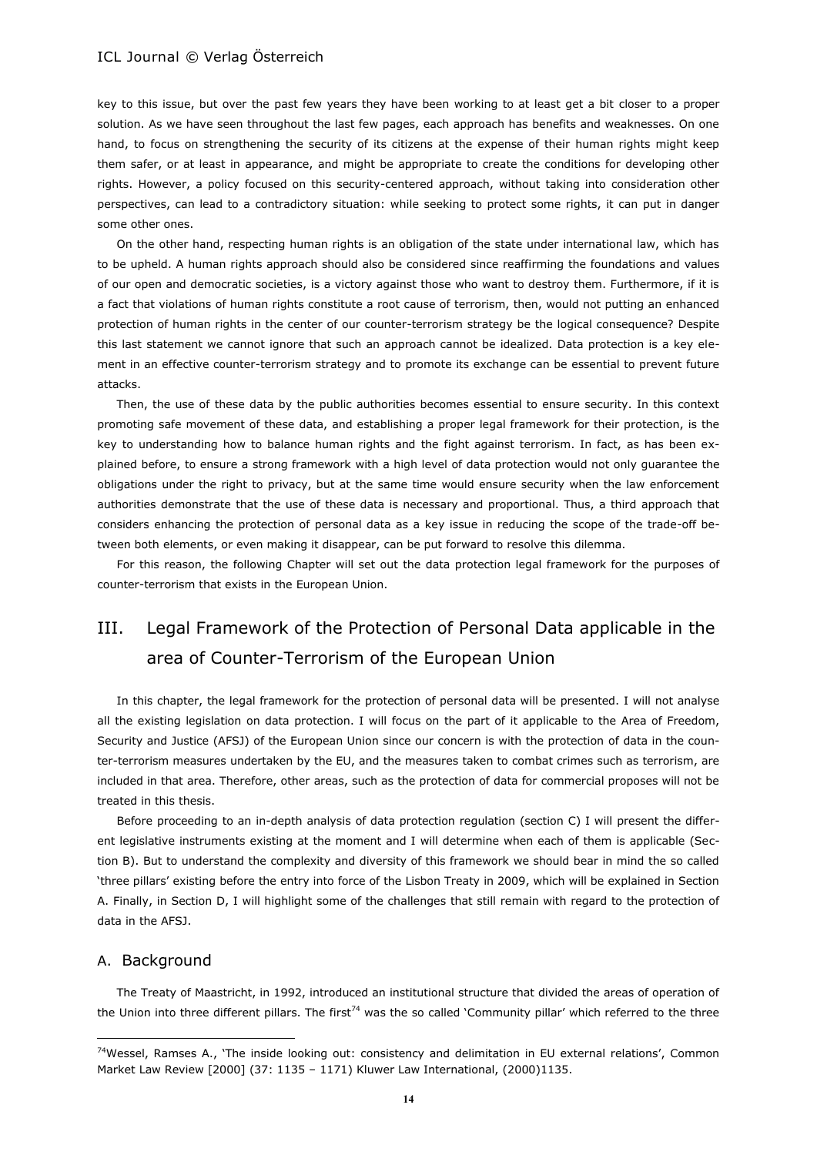key to this issue, but over the past few years they have been working to at least get a bit closer to a proper solution. As we have seen throughout the last few pages, each approach has benefits and weaknesses. On one hand, to focus on strengthening the security of its citizens at the expense of their human rights might keep them safer, or at least in appearance, and might be appropriate to create the conditions for developing other rights. However, a policy focused on this security-centered approach, without taking into consideration other perspectives, can lead to a contradictory situation: while seeking to protect some rights, it can put in danger some other ones.

On the other hand, respecting human rights is an obligation of the state under international law, which has to be upheld. A human rights approach should also be considered since reaffirming the foundations and values of our open and democratic societies, is a victory against those who want to destroy them. Furthermore, if it is a fact that violations of human rights constitute a root cause of terrorism, then, would not putting an enhanced protection of human rights in the center of our counter-terrorism strategy be the logical consequence? Despite this last statement we cannot ignore that such an approach cannot be idealized. Data protection is a key element in an effective counter-terrorism strategy and to promote its exchange can be essential to prevent future attacks.

Then, the use of these data by the public authorities becomes essential to ensure security. In this context promoting safe movement of these data, and establishing a proper legal framework for their protection, is the key to understanding how to balance human rights and the fight against terrorism. In fact, as has been explained before, to ensure a strong framework with a high level of data protection would not only guarantee the obligations under the right to privacy, but at the same time would ensure security when the law enforcement authorities demonstrate that the use of these data is necessary and proportional. Thus, a third approach that considers enhancing the protection of personal data as a key issue in reducing the scope of the trade-off between both elements, or even making it disappear, can be put forward to resolve this dilemma.

For this reason, the following Chapter will set out the data protection legal framework for the purposes of counter-terrorism that exists in the European Union.

# III. Legal Framework of the Protection of Personal Data applicable in the area of Counter-Terrorism of the European Union

In this chapter, the legal framework for the protection of personal data will be presented. I will not analyse all the existing legislation on data protection. I will focus on the part of it applicable to the Area of Freedom, Security and Justice (AFSJ) of the European Union since our concern is with the protection of data in the counter-terrorism measures undertaken by the EU, and the measures taken to combat crimes such as terrorism, are included in that area. Therefore, other areas, such as the protection of data for commercial proposes will not be treated in this thesis.

Before proceeding to an in-depth analysis of data protection regulation (section C) I will present the different legislative instruments existing at the moment and I will determine when each of them is applicable (Section B). But to understand the complexity and diversity of this framework we should bear in mind the so called 'three pillars' existing before the entry into force of the Lisbon Treaty in 2009, which will be explained in Section A. Finally, in Section D, I will highlight some of the challenges that still remain with regard to the protection of data in the AFSJ.

#### A. Background

 $\overline{a}$ 

The Treaty of Maastricht, in 1992, introduced an institutional structure that divided the areas of operation of the Union into three different pillars. The first<sup>74</sup> was the so called 'Community pillar' which referred to the three

 $74W$ essel, Ramses A., 'The inside looking out: consistency and delimitation in EU external relations', Common Market Law Review [2000] (37: 1135 – 1171) Kluwer Law International, (2000)1135.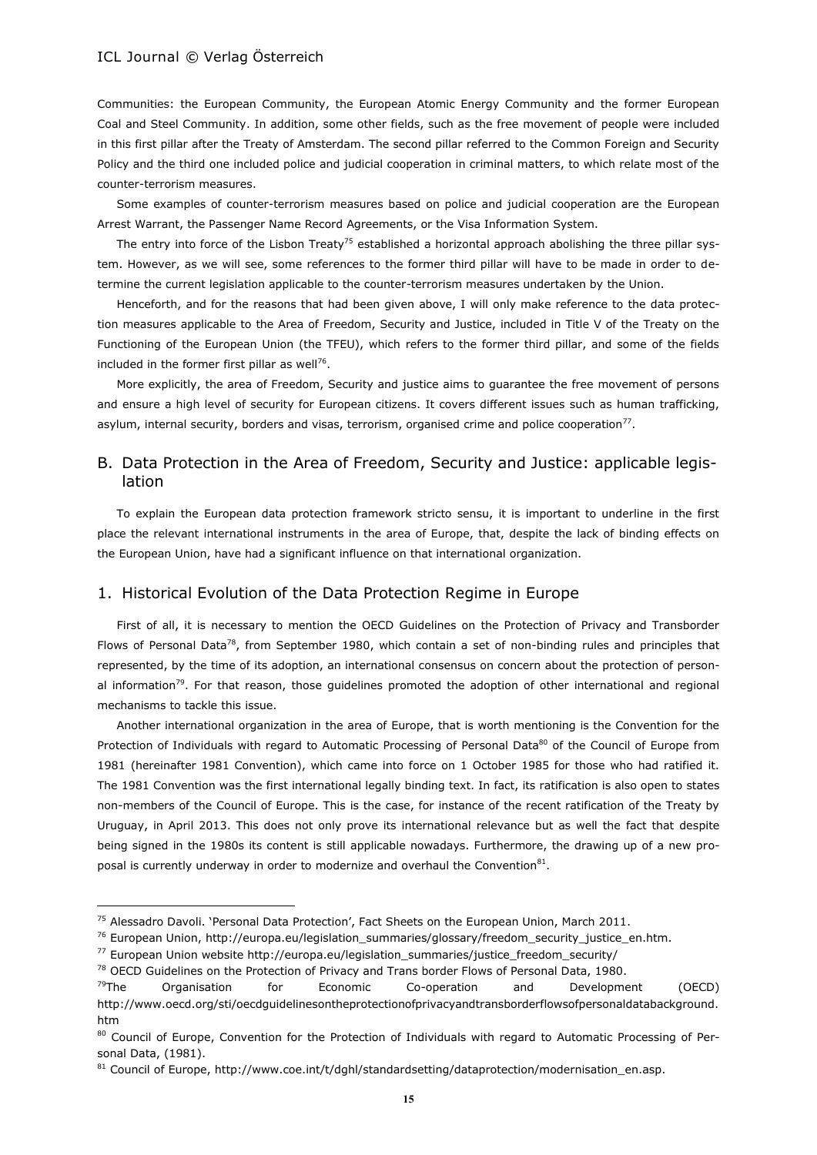Communities: the European Community, the European Atomic Energy Community and the former European Coal and Steel Community. In addition, some other fields, such as the free movement of people were included in this first pillar after the Treaty of Amsterdam. The second pillar referred to the Common Foreign and Security Policy and the third one included police and judicial cooperation in criminal matters, to which relate most of the counter-terrorism measures.

Some examples of counter-terrorism measures based on police and judicial cooperation are the European Arrest Warrant, the Passenger Name Record Agreements, or the Visa Information System.

The entry into force of the Lisbon Treaty<sup>75</sup> established a horizontal approach abolishing the three pillar system. However, as we will see, some references to the former third pillar will have to be made in order to determine the current legislation applicable to the counter-terrorism measures undertaken by the Union.

Henceforth, and for the reasons that had been given above, I will only make reference to the data protection measures applicable to the Area of Freedom, Security and Justice, included in Title V of the Treaty on the Functioning of the European Union (the TFEU), which refers to the former third pillar, and some of the fields included in the former first pillar as well $^{76}$ .

More explicitly, the area of Freedom, Security and justice aims to guarantee the free movement of persons and ensure a high level of security for European citizens. It covers different issues such as human trafficking, asylum, internal security, borders and visas, terrorism, organised crime and police cooperation<sup>77</sup>.

# B. Data Protection in the Area of Freedom, Security and Justice: applicable legislation

To explain the European data protection framework stricto sensu, it is important to underline in the first place the relevant international instruments in the area of Europe, that, despite the lack of binding effects on the European Union, have had a significant influence on that international organization.

# 1. Historical Evolution of the Data Protection Regime in Europe

First of all, it is necessary to mention the OECD Guidelines on the Protection of Privacy and Transborder Flows of Personal Data<sup>78</sup>, from September 1980, which contain a set of non-binding rules and principles that represented, by the time of its adoption, an international consensus on concern about the protection of personal information<sup>79</sup>. For that reason, those quidelines promoted the adoption of other international and regional mechanisms to tackle this issue.

Another international organization in the area of Europe, that is worth mentioning is the Convention for the Protection of Individuals with regard to Automatic Processing of Personal Data<sup>80</sup> of the Council of Europe from 1981 (hereinafter 1981 Convention), which came into force on 1 October 1985 for those who had ratified it. The 1981 Convention was the first international legally binding text. In fact, its ratification is also open to states non-members of the Council of Europe. This is the case, for instance of the recent ratification of the Treaty by Uruguay, in April 2013. This does not only prove its international relevance but as well the fact that despite being signed in the 1980s its content is still applicable nowadays. Furthermore, the drawing up of a new proposal is currently underway in order to modernize and overhaul the Convention ${}^{81}$ .

<sup>&</sup>lt;sup>75</sup> Alessadro Davoli. 'Personal Data Protection', Fact Sheets on the European Union, March 2011.

<sup>76</sup> European Union, http://europa.eu/legislation\_summaries/glossary/freedom\_security\_justice\_en.htm.

<sup>77</sup> European Union website http://europa.eu/legislation\_summaries/justice\_freedom\_security/

<sup>&</sup>lt;sup>78</sup> OECD Guidelines on the Protection of Privacy and Trans border Flows of Personal Data, 1980.

 $<sup>79</sup>$ The Organisation for Economic Co-operation and Development (OECD)</sup> http://www.oecd.org/sti/oecdguidelinesontheprotectionofprivacyandtransborderflowsofpersonaldatabackground. htm

<sup>80</sup> Council of Europe, Convention for the Protection of Individuals with regard to Automatic Processing of Personal Data, (1981).

 $81$  Council of Europe, http://www.coe.int/t/dghl/standardsetting/dataprotection/modernisation\_en.asp.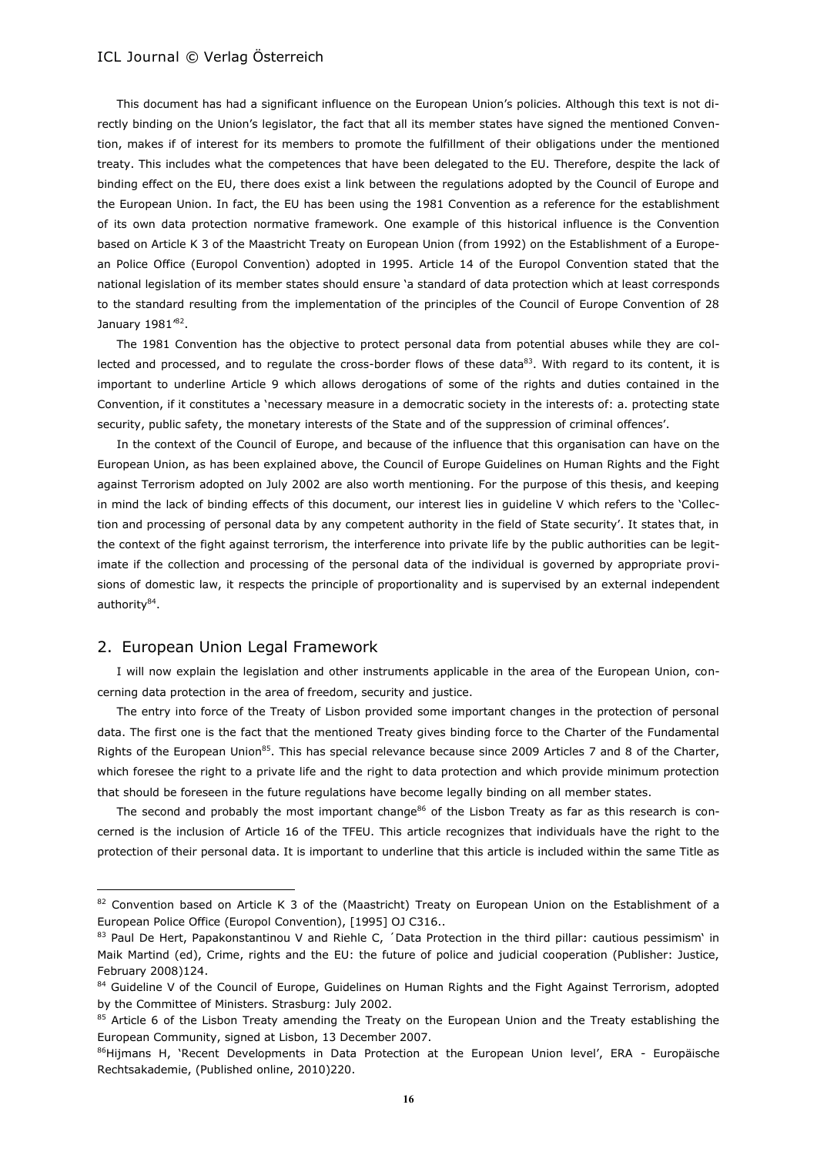This document has had a significant influence on the European Union's policies. Although this text is not directly binding on the Union's legislator, the fact that all its member states have signed the mentioned Convention, makes if of interest for its members to promote the fulfillment of their obligations under the mentioned treaty. This includes what the competences that have been delegated to the EU. Therefore, despite the lack of binding effect on the EU, there does exist a link between the regulations adopted by the Council of Europe and the European Union. In fact, the EU has been using the 1981 Convention as a reference for the establishment of its own data protection normative framework. One example of this historical influence is the Convention based on Article K 3 of the Maastricht Treaty on European Union (from 1992) on the Establishment of a European Police Office (Europol Convention) adopted in 1995. Article 14 of the Europol Convention stated that the national legislation of its member states should ensure 'a standard of data protection which at least corresponds to the standard resulting from the implementation of the principles of the Council of Europe Convention of 28 January 1981'<sup>82</sup>.

The 1981 Convention has the objective to protect personal data from potential abuses while they are collected and processed, and to regulate the cross-border flows of these data83. With regard to its content, it is important to underline Article 9 which allows derogations of some of the rights and duties contained in the Convention, if it constitutes a 'necessary measure in a democratic society in the interests of: a. protecting state security, public safety, the monetary interests of the State and of the suppression of criminal offences'.

In the context of the Council of Europe, and because of the influence that this organisation can have on the European Union, as has been explained above, the Council of Europe Guidelines on Human Rights and the Fight against Terrorism adopted on July 2002 are also worth mentioning. For the purpose of this thesis, and keeping in mind the lack of binding effects of this document, our interest lies in guideline V which refers to the 'Collection and processing of personal data by any competent authority in the field of State security'. It states that, in the context of the fight against terrorism, the interference into private life by the public authorities can be legitimate if the collection and processing of the personal data of the individual is governed by appropriate provisions of domestic law, it respects the principle of proportionality and is supervised by an external independent authority<sup>84</sup>.

#### 2. European Union Legal Framework

 $\overline{a}$ 

I will now explain the legislation and other instruments applicable in the area of the European Union, concerning data protection in the area of freedom, security and justice.

The entry into force of the Treaty of Lisbon provided some important changes in the protection of personal data. The first one is the fact that the mentioned Treaty gives binding force to the Charter of the Fundamental Rights of the European Union<sup>85</sup>. This has special relevance because since 2009 Articles 7 and 8 of the Charter, which foresee the right to a private life and the right to data protection and which provide minimum protection that should be foreseen in the future regulations have become legally binding on all member states.

The second and probably the most important change<sup>86</sup> of the Lisbon Treaty as far as this research is concerned is the inclusion of Article 16 of the TFEU. This article recognizes that individuals have the right to the protection of their personal data. It is important to underline that this article is included within the same Title as

<sup>82</sup> Convention based on Article K 3 of the (Maastricht) Treaty on European Union on the Establishment of a European Police Office (Europol Convention), [1995] OJ C316..

<sup>83</sup> Paul De Hert, Papakonstantinou V and Riehle C, 'Data Protection in the third pillar: cautious pessimism' in Maik Martind (ed), Crime, rights and the EU: the future of police and judicial cooperation (Publisher: Justice, February 2008)124.

<sup>&</sup>lt;sup>84</sup> Guideline V of the Council of Europe, Guidelines on Human Rights and the Fight Against Terrorism, adopted by the Committee of Ministers. Strasburg: July 2002.

<sup>&</sup>lt;sup>85</sup> Article 6 of the Lisbon Treaty amending the Treaty on the European Union and the Treaty establishing the European Community, signed at Lisbon, 13 December 2007.

<sup>86</sup>Hijmans H, 'Recent Developments in Data Protection at the European Union level', ERA - Europäische Rechtsakademie, (Published online, 2010)220.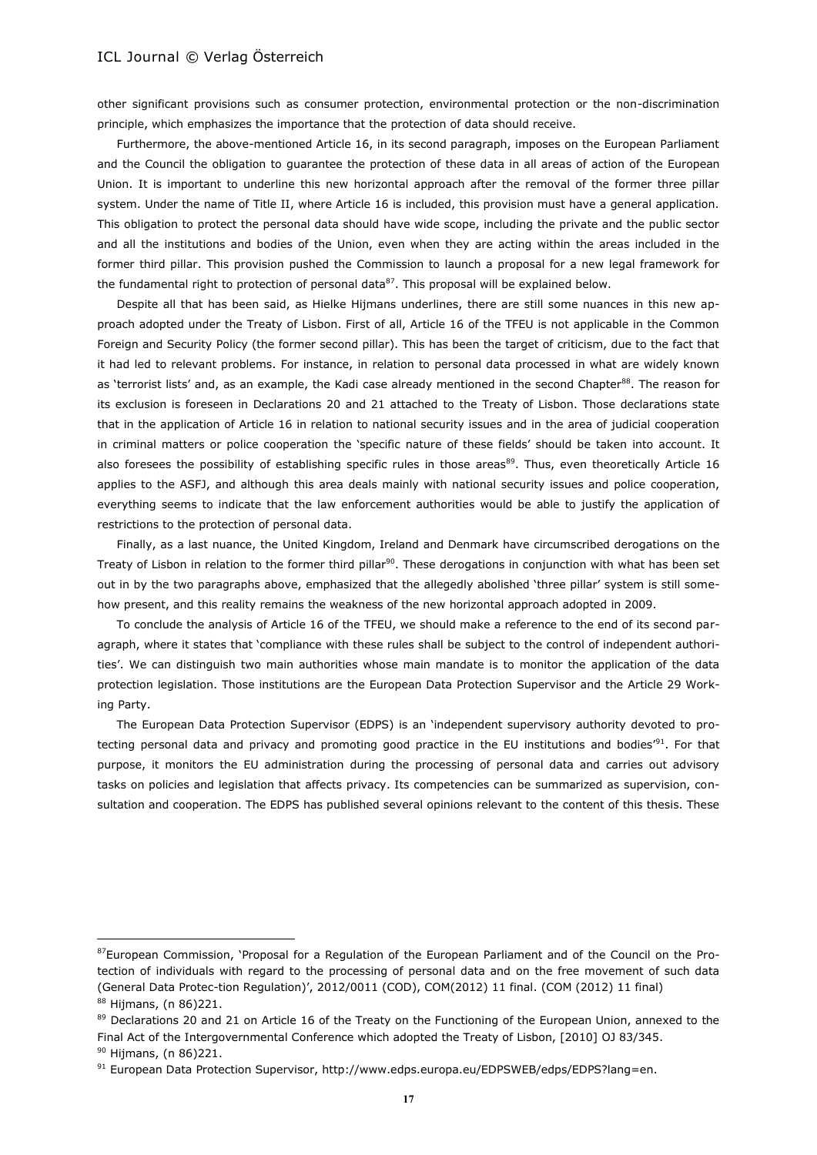$\overline{a}$ 

other significant provisions such as consumer protection, environmental protection or the non-discrimination principle, which emphasizes the importance that the protection of data should receive.

Furthermore, the above-mentioned Article 16, in its second paragraph, imposes on the European Parliament and the Council the obligation to guarantee the protection of these data in all areas of action of the European Union. It is important to underline this new horizontal approach after the removal of the former three pillar system. Under the name of Title II, where Article 16 is included, this provision must have a general application. This obligation to protect the personal data should have wide scope, including the private and the public sector and all the institutions and bodies of the Union, even when they are acting within the areas included in the former third pillar. This provision pushed the Commission to launch a proposal for a new legal framework for the fundamental right to protection of personal data $^{87}$ . This proposal will be explained below.

Despite all that has been said, as Hielke Hijmans underlines, there are still some nuances in this new approach adopted under the Treaty of Lisbon. First of all, Article 16 of the TFEU is not applicable in the Common Foreign and Security Policy (the former second pillar). This has been the target of criticism, due to the fact that it had led to relevant problems. For instance, in relation to personal data processed in what are widely known as 'terrorist lists' and, as an example, the Kadi case already mentioned in the second Chapter<sup>88</sup>. The reason for its exclusion is foreseen in Declarations 20 and 21 attached to the Treaty of Lisbon. Those declarations state that in the application of Article 16 in relation to national security issues and in the area of judicial cooperation in criminal matters or police cooperation the 'specific nature of these fields' should be taken into account. It also foresees the possibility of establishing specific rules in those areas<sup>89</sup>. Thus, even theoretically Article 16 applies to the ASFJ, and although this area deals mainly with national security issues and police cooperation, everything seems to indicate that the law enforcement authorities would be able to justify the application of restrictions to the protection of personal data.

Finally, as a last nuance, the United Kingdom, Ireland and Denmark have circumscribed derogations on the Treaty of Lisbon in relation to the former third pillar<sup>90</sup>. These derogations in conjunction with what has been set out in by the two paragraphs above, emphasized that the allegedly abolished 'three pillar' system is still somehow present, and this reality remains the weakness of the new horizontal approach adopted in 2009.

To conclude the analysis of Article 16 of the TFEU, we should make a reference to the end of its second paragraph, where it states that 'compliance with these rules shall be subject to the control of independent authorities'. We can distinguish two main authorities whose main mandate is to monitor the application of the data protection legislation. Those institutions are the European Data Protection Supervisor and the Article 29 Working Party.

The European Data Protection Supervisor (EDPS) is an 'independent supervisory authority devoted to protecting personal data and privacy and promoting good practice in the EU institutions and bodies'<sup>91</sup>. For that purpose, it monitors the EU administration during the processing of personal data and carries out advisory tasks on policies and legislation that affects privacy. Its competencies can be summarized as supervision, consultation and cooperation. The EDPS has published several opinions relevant to the content of this thesis. These

<sup>87</sup>European Commission, 'Proposal for a Regulation of the European Parliament and of the Council on the Protection of individuals with regard to the processing of personal data and on the free movement of such data (General Data Protec-tion Regulation)', 2012/0011 (COD), COM(2012) 11 final. (COM (2012) 11 final) <sup>88</sup> Hijmans, (n 86)221.

<sup>&</sup>lt;sup>89</sup> Declarations 20 and 21 on Article 16 of the Treaty on the Functioning of the European Union, annexed to the Final Act of the Intergovernmental Conference which adopted the Treaty of Lisbon, [2010] OJ 83/345. <sup>90</sup> Hijmans, (n 86) 221.

<sup>91</sup> European Data Protection Supervisor, http://www.edps.europa.eu/EDPSWEB/edps/EDPS?lang=en.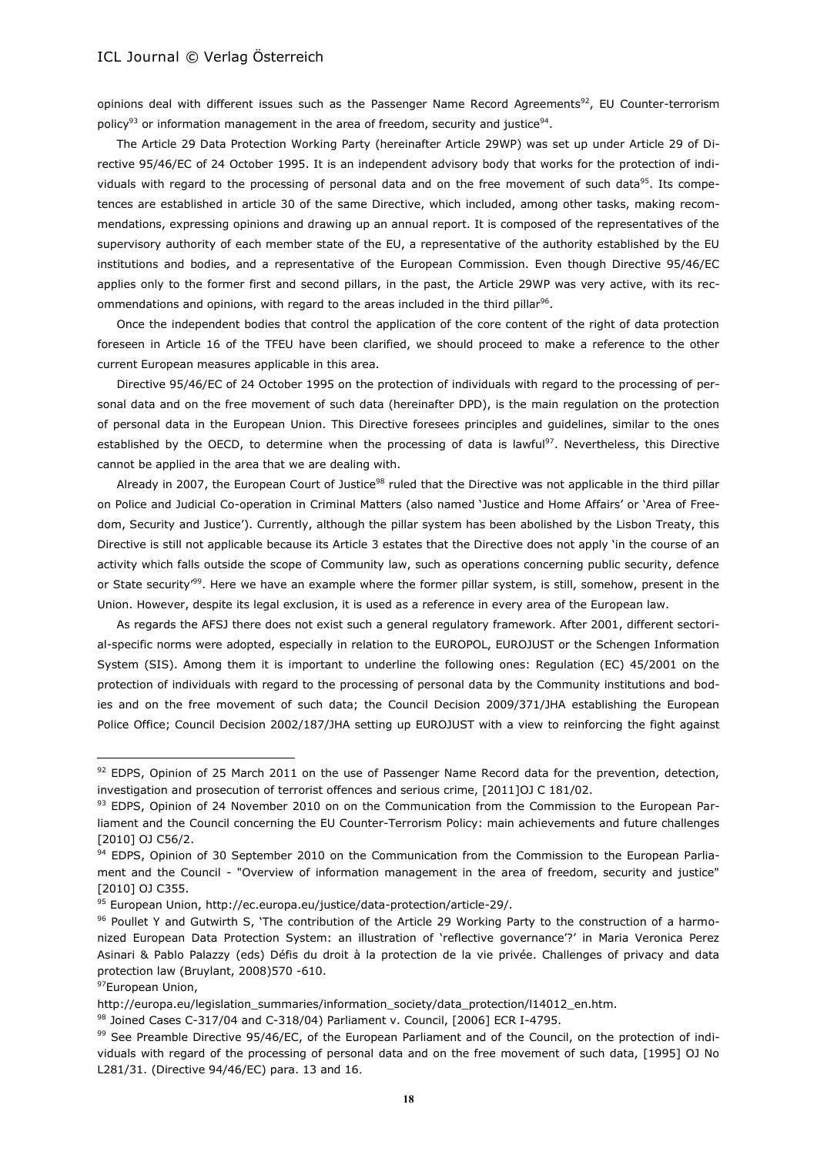opinions deal with different issues such as the Passenger Name Record Agreements<sup>92</sup>, EU Counter-terrorism policy<sup>93</sup> or information management in the area of freedom, security and justice<sup>94</sup>.

The Article 29 Data Protection Working Party (hereinafter Article 29WP) was set up under Article 29 of Directive 95/46/EC of 24 October 1995. It is an independent advisory body that works for the protection of individuals with regard to the processing of personal data and on the free movement of such data<sup>95</sup>. Its competences are established in article 30 of the same Directive, which included, among other tasks, making recommendations, expressing opinions and drawing up an annual report. It is composed of the representatives of the supervisory authority of each member state of the EU, a representative of the authority established by the EU institutions and bodies, and a representative of the European Commission. Even though Directive 95/46/EC applies only to the former first and second pillars, in the past, the Article 29WP was very active, with its recommendations and opinions, with regard to the areas included in the third pillar<sup>96</sup>.

Once the independent bodies that control the application of the core content of the right of data protection foreseen in Article 16 of the TFEU have been clarified, we should proceed to make a reference to the other current European measures applicable in this area.

Directive 95/46/EC of 24 October 1995 on the protection of individuals with regard to the processing of personal data and on the free movement of such data (hereinafter DPD), is the main regulation on the protection of personal data in the European Union. This Directive foresees principles and guidelines, similar to the ones established by the OECD, to determine when the processing of data is lawful<sup>97</sup>. Nevertheless, this Directive cannot be applied in the area that we are dealing with.

Already in 2007, the European Court of Justice<sup>98</sup> ruled that the Directive was not applicable in the third pillar on Police and Judicial Co-operation in Criminal Matters (also named 'Justice and Home Affairs' or 'Area of Freedom, Security and Justice'). Currently, although the pillar system has been abolished by the Lisbon Treaty, this Directive is still not applicable because its Article 3 estates that the Directive does not apply 'in the course of an activity which falls outside the scope of Community law, such as operations concerning public security, defence or State security<sup>199</sup>. Here we have an example where the former pillar system, is still, somehow, present in the Union. However, despite its legal exclusion, it is used as a reference in every area of the European law.

As regards the AFSJ there does not exist such a general regulatory framework. After 2001, different sectorial-specific norms were adopted, especially in relation to the EUROPOL, EUROJUST or the Schengen Information System (SIS). Among them it is important to underline the following ones: Regulation (EC) 45/2001 on the protection of individuals with regard to the processing of personal data by the Community institutions and bodies and on the free movement of such data; the Council Decision 2009/371/JHA establishing the European Police Office; Council Decision 2002/187/JHA setting up EUROJUST with a view to reinforcing the fight against

<sup>92</sup> EDPS, Opinion of 25 March 2011 on the use of Passenger Name Record data for the prevention, detection, investigation and prosecution of terrorist offences and serious crime, [2011]OJ C 181/02.

<sup>93</sup> EDPS, Opinion of 24 November 2010 on on the Communication from the Commission to the European Parliament and the Council concerning the EU Counter-Terrorism Policy: main achievements and future challenges [2010] OJ C56/2.

<sup>94</sup> EDPS, Opinion of 30 September 2010 on the Communication from the Commission to the European Parliament and the Council - "Overview of information management in the area of freedom, security and justice" [2010] OJ C355.

<sup>95</sup> European Union, http://ec.europa.eu/justice/data-protection/article-29/.

<sup>96</sup> Poullet Y and Gutwirth S, 'The contribution of the Article 29 Working Party to the construction of a harmonized European Data Protection System: an illustration of 'reflective governance'?' in Maria Veronica Perez Asinari & Pablo Palazzy (eds) Défis du droit à la protection de la vie privée. Challenges of privacy and data protection law (Bruylant, 2008)570 -610.

<sup>97</sup>European Union,

http://europa.eu/legislation\_summaries/information\_society/data\_protection/l14012\_en.htm.

<sup>98</sup> Joined Cases C-317/04 and C-318/04) Parliament v. Council, [2006] ECR I-4795.

<sup>99</sup> See Preamble Directive 95/46/EC, of the European Parliament and of the Council, on the protection of individuals with regard of the processing of personal data and on the free movement of such data, [1995] OJ No L281/31. (Directive 94/46/EC) para. 13 and 16.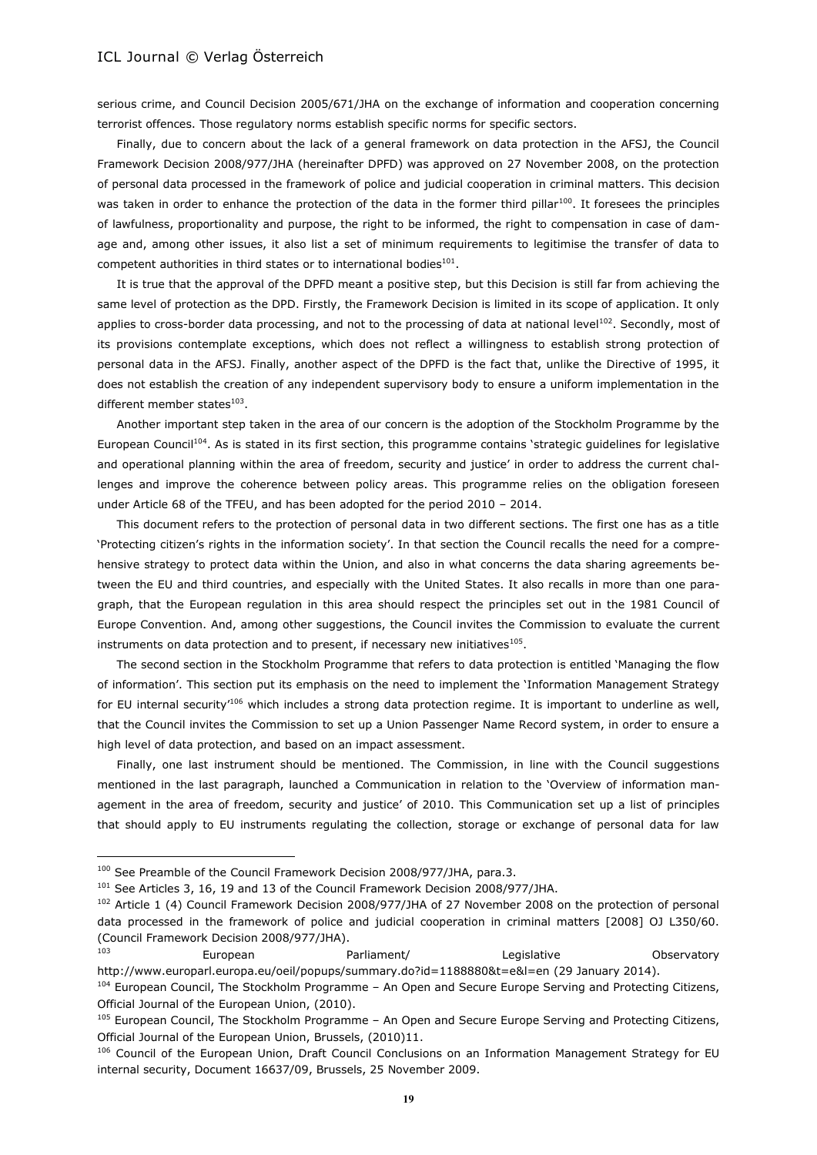serious crime, and Council Decision 2005/671/JHA on the exchange of information and cooperation concerning terrorist offences. Those regulatory norms establish specific norms for specific sectors.

Finally, due to concern about the lack of a general framework on data protection in the AFSJ, the Council Framework Decision 2008/977/JHA (hereinafter DPFD) was approved on 27 November 2008, on the protection of personal data processed in the framework of police and judicial cooperation in criminal matters. This decision was taken in order to enhance the protection of the data in the former third pillar<sup>100</sup>. It foresees the principles of lawfulness, proportionality and purpose, the right to be informed, the right to compensation in case of damage and, among other issues, it also list a set of minimum requirements to legitimise the transfer of data to competent authorities in third states or to international bodies $^{101}$ .

It is true that the approval of the DPFD meant a positive step, but this Decision is still far from achieving the same level of protection as the DPD. Firstly, the Framework Decision is limited in its scope of application. It only applies to cross-border data processing, and not to the processing of data at national level<sup>102</sup>. Secondly, most of its provisions contemplate exceptions, which does not reflect a willingness to establish strong protection of personal data in the AFSJ. Finally, another aspect of the DPFD is the fact that, unlike the Directive of 1995, it does not establish the creation of any independent supervisory body to ensure a uniform implementation in the different member states<sup>103</sup>.

Another important step taken in the area of our concern is the adoption of the Stockholm Programme by the European Council<sup>104</sup>. As is stated in its first section, this programme contains 'strategic guidelines for legislative and operational planning within the area of freedom, security and justice' in order to address the current challenges and improve the coherence between policy areas. This programme relies on the obligation foreseen under Article 68 of the TFEU, and has been adopted for the period 2010 – 2014.

This document refers to the protection of personal data in two different sections. The first one has as a title 'Protecting citizen's rights in the information society'. In that section the Council recalls the need for a comprehensive strategy to protect data within the Union, and also in what concerns the data sharing agreements between the EU and third countries, and especially with the United States. It also recalls in more than one paragraph, that the European regulation in this area should respect the principles set out in the 1981 Council of Europe Convention. And, among other suggestions, the Council invites the Commission to evaluate the current instruments on data protection and to present, if necessary new initiatives $^{105}$ .

The second section in the Stockholm Programme that refers to data protection is entitled 'Managing the flow of information'. This section put its emphasis on the need to implement the 'Information Management Strategy for EU internal security<sup>106</sup> which includes a strong data protection regime. It is important to underline as well, that the Council invites the Commission to set up a Union Passenger Name Record system, in order to ensure a high level of data protection, and based on an impact assessment.

Finally, one last instrument should be mentioned. The Commission, in line with the Council suggestions mentioned in the last paragraph, launched a Communication in relation to the 'Overview of information management in the area of freedom, security and justice' of 2010. This Communication set up a list of principles that should apply to EU instruments regulating the collection, storage or exchange of personal data for law

<sup>&</sup>lt;sup>100</sup> See Preamble of the Council Framework Decision 2008/977/JHA, para.3.

<sup>&</sup>lt;sup>101</sup> See Articles 3, 16, 19 and 13 of the Council Framework Decision 2008/977/JHA.

<sup>&</sup>lt;sup>102</sup> Article 1 (4) Council Framework Decision 2008/977/JHA of 27 November 2008 on the protection of personal data processed in the framework of police and judicial cooperation in criminal matters [2008] OJ L350/60. (Council Framework Decision 2008/977/JHA).

<sup>103</sup> European Parliament/ Legislative Observatory http://www.europarl.europa.eu/oeil/popups/summary.do?id=1188880&t=e&l=en (29 January 2014).

<sup>104</sup> European Council, The Stockholm Programme – An Open and Secure Europe Serving and Protecting Citizens, Official Journal of the European Union, (2010).

<sup>&</sup>lt;sup>105</sup> European Council, The Stockholm Programme – An Open and Secure Europe Serving and Protecting Citizens, Official Journal of the European Union, Brussels, (2010)11.

<sup>&</sup>lt;sup>106</sup> Council of the European Union, Draft Council Conclusions on an Information Management Strategy for EU internal security, Document 16637/09, Brussels, 25 November 2009.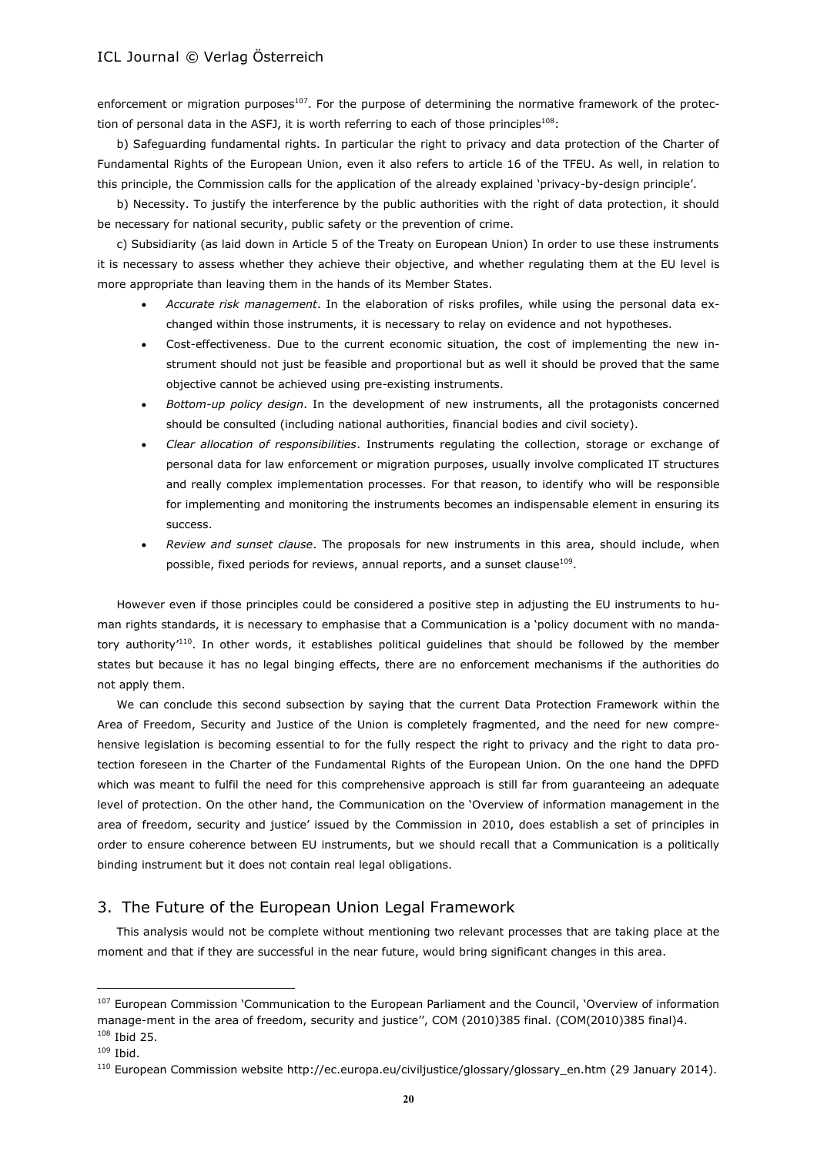enforcement or migration purposes<sup>107</sup>. For the purpose of determining the normative framework of the protection of personal data in the ASFJ, it is worth referring to each of those principles $^{108}$ :

b) Safeguarding fundamental rights. In particular the right to privacy and data protection of the Charter of Fundamental Rights of the European Union, even it also refers to article 16 of the TFEU. As well, in relation to this principle, the Commission calls for the application of the already explained 'privacy-by-design principle'.

b) Necessity. To justify the interference by the public authorities with the right of data protection, it should be necessary for national security, public safety or the prevention of crime.

c) Subsidiarity (as laid down in Article 5 of the Treaty on European Union) In order to use these instruments it is necessary to assess whether they achieve their objective, and whether regulating them at the EU level is more appropriate than leaving them in the hands of its Member States.

- *Accurate risk management*. In the elaboration of risks profiles, while using the personal data exchanged within those instruments, it is necessary to relay on evidence and not hypotheses.
- Cost-effectiveness. Due to the current economic situation, the cost of implementing the new instrument should not just be feasible and proportional but as well it should be proved that the same objective cannot be achieved using pre-existing instruments.
- *Bottom-up policy design*. In the development of new instruments, all the protagonists concerned should be consulted (including national authorities, financial bodies and civil society).
- *Clear allocation of responsibilities*. Instruments regulating the collection, storage or exchange of personal data for law enforcement or migration purposes, usually involve complicated IT structures and really complex implementation processes. For that reason, to identify who will be responsible for implementing and monitoring the instruments becomes an indispensable element in ensuring its success.
- *Review and sunset clause*. The proposals for new instruments in this area, should include, when possible, fixed periods for reviews, annual reports, and a sunset clause $^{109}$ .

However even if those principles could be considered a positive step in adjusting the EU instruments to human rights standards, it is necessary to emphasise that a Communication is a 'policy document with no mandatory authority<sup>'110</sup>. In other words, it establishes political guidelines that should be followed by the member states but because it has no legal binging effects, there are no enforcement mechanisms if the authorities do not apply them.

We can conclude this second subsection by saying that the current Data Protection Framework within the Area of Freedom, Security and Justice of the Union is completely fragmented, and the need for new comprehensive legislation is becoming essential to for the fully respect the right to privacy and the right to data protection foreseen in the Charter of the Fundamental Rights of the European Union. On the one hand the DPFD which was meant to fulfil the need for this comprehensive approach is still far from guaranteeing an adequate level of protection. On the other hand, the Communication on the 'Overview of information management in the area of freedom, security and justice' issued by the Commission in 2010, does establish a set of principles in order to ensure coherence between EU instruments, but we should recall that a Communication is a politically binding instrument but it does not contain real legal obligations.

# 3. The Future of the European Union Legal Framework

This analysis would not be complete without mentioning two relevant processes that are taking place at the moment and that if they are successful in the near future, would bring significant changes in this area.

<sup>&</sup>lt;sup>107</sup> European Commission 'Communication to the European Parliament and the Council, 'Overview of information manage-ment in the area of freedom, security and justice'', COM (2010)385 final. (COM(2010)385 final)4.  $108$  Ibid 25.

 $109$  Ibid.

<sup>110</sup> European Commission website http://ec.europa.eu/civiljustice/glossary/glossary\_en.htm (29 January 2014).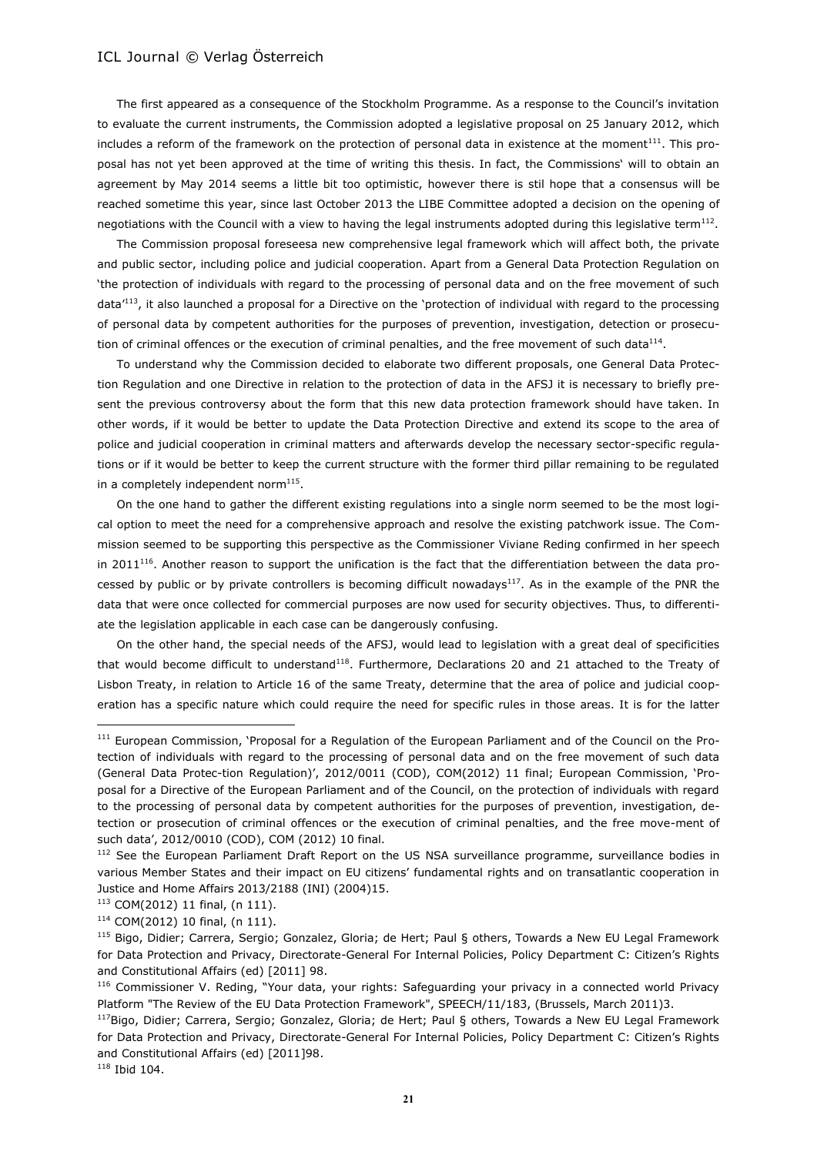The first appeared as a consequence of the Stockholm Programme. As a response to the Council's invitation to evaluate the current instruments, the Commission adopted a legislative proposal on 25 January 2012, which includes a reform of the framework on the protection of personal data in existence at the moment $^{111}$ . This proposal has not yet been approved at the time of writing this thesis. In fact, the Commissions' will to obtain an agreement by May 2014 seems a little bit too optimistic, however there is stil hope that a consensus will be reached sometime this year, since last October 2013 the LIBE Committee adopted a decision on the opening of negotiations with the Council with a view to having the legal instruments adopted during this legislative term $^{112}$ .

The Commission proposal foreseesa new comprehensive legal framework which will affect both, the private and public sector, including police and judicial cooperation. Apart from a General Data Protection Regulation on 'the protection of individuals with regard to the processing of personal data and on the free movement of such data<sup>'113</sup>, it also launched a proposal for a Directive on the 'protection of individual with regard to the processing of personal data by competent authorities for the purposes of prevention, investigation, detection or prosecution of criminal offences or the execution of criminal penalties, and the free movement of such data<sup>114</sup>.

To understand why the Commission decided to elaborate two different proposals, one General Data Protection Regulation and one Directive in relation to the protection of data in the AFSJ it is necessary to briefly present the previous controversy about the form that this new data protection framework should have taken. In other words, if it would be better to update the Data Protection Directive and extend its scope to the area of police and judicial cooperation in criminal matters and afterwards develop the necessary sector-specific regulations or if it would be better to keep the current structure with the former third pillar remaining to be regulated in a completely independent norm $^{115}$ .

On the one hand to gather the different existing regulations into a single norm seemed to be the most logical option to meet the need for a comprehensive approach and resolve the existing patchwork issue. The Commission seemed to be supporting this perspective as the Commissioner Viviane Reding confirmed in her speech in 2011 $^{116}$ . Another reason to support the unification is the fact that the differentiation between the data processed by public or by private controllers is becoming difficult nowadays<sup>117</sup>. As in the example of the PNR the data that were once collected for commercial purposes are now used for security objectives. Thus, to differentiate the legislation applicable in each case can be dangerously confusing.

On the other hand, the special needs of the AFSJ, would lead to legislation with a great deal of specificities that would become difficult to understand<sup>118</sup>. Furthermore, Declarations 20 and 21 attached to the Treaty of Lisbon Treaty, in relation to Article 16 of the same Treaty, determine that the area of police and judicial cooperation has a specific nature which could require the need for specific rules in those areas. It is for the latter

<sup>118</sup> Ibid 104.

<sup>&</sup>lt;sup>111</sup> European Commission, 'Proposal for a Regulation of the European Parliament and of the Council on the Protection of individuals with regard to the processing of personal data and on the free movement of such data (General Data Protec-tion Regulation)', 2012/0011 (COD), COM(2012) 11 final; European Commission, 'Proposal for a Directive of the European Parliament and of the Council, on the protection of individuals with regard to the processing of personal data by competent authorities for the purposes of prevention, investigation, detection or prosecution of criminal offences or the execution of criminal penalties, and the free move-ment of such data', 2012/0010 (COD), COM (2012) 10 final.

<sup>&</sup>lt;sup>112</sup> See the European Parliament Draft Report on the US NSA surveillance programme, surveillance bodies in various Member States and their impact on EU citizens' fundamental rights and on transatlantic cooperation in Justice and Home Affairs 2013/2188 (INI) (2004)15.

<sup>113</sup> COM(2012) 11 final, (n 111).

<sup>114</sup> COM(2012) 10 final, (n 111).

<sup>115</sup> Bigo, Didier; Carrera, Sergio; Gonzalez, Gloria; de Hert; Paul § others, Towards a New EU Legal Framework for Data Protection and Privacy, Directorate-General For Internal Policies, Policy Department C: Citizen's Rights and Constitutional Affairs (ed) [2011] 98.

<sup>116</sup> Commissioner V. Reding, "Your data, your rights: Safeguarding your privacy in a connected world Privacy Platform "The Review of the EU Data Protection Framework", SPEECH/11/183, (Brussels, March 2011)3.

<sup>117</sup>Bigo, Didier; Carrera, Sergio; Gonzalez, Gloria; de Hert; Paul § others, Towards a New EU Legal Framework for Data Protection and Privacy, Directorate-General For Internal Policies, Policy Department C: Citizen's Rights and Constitutional Affairs (ed) [2011]98.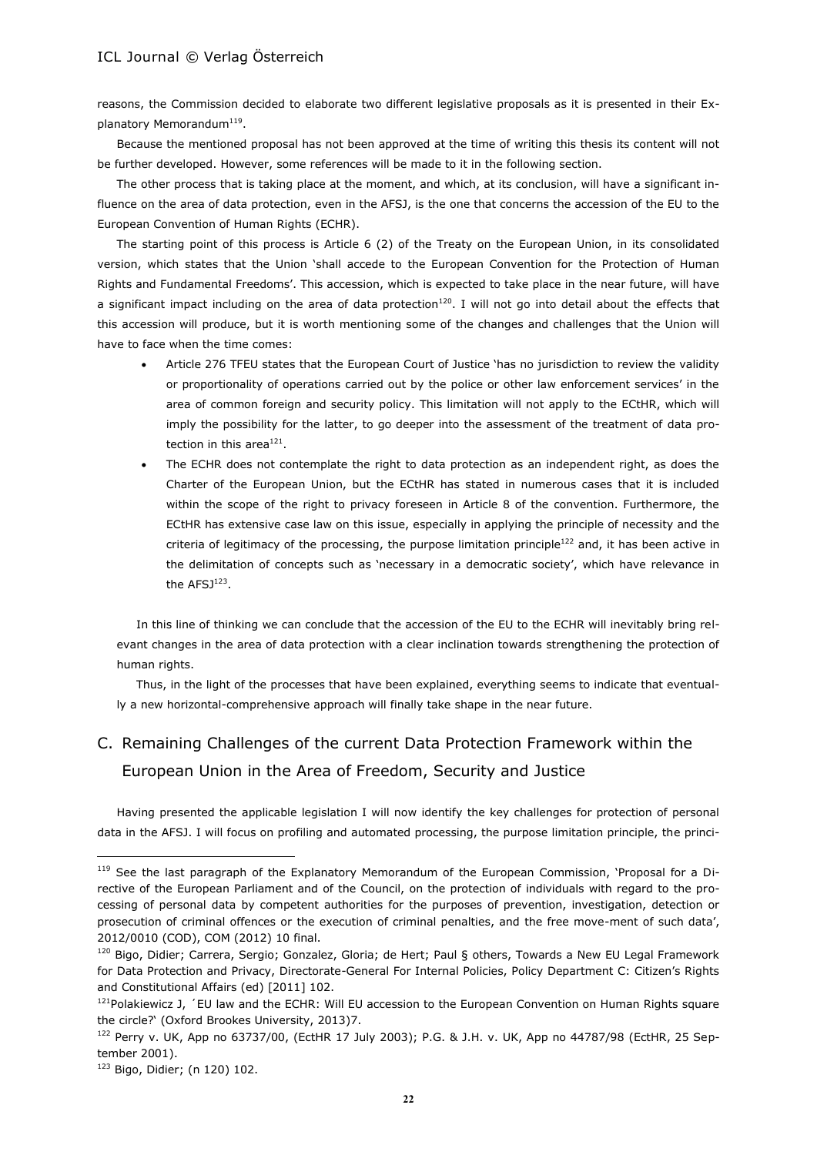reasons, the Commission decided to elaborate two different legislative proposals as it is presented in their Explanatory Memorandum<sup>119</sup>.

Because the mentioned proposal has not been approved at the time of writing this thesis its content will not be further developed. However, some references will be made to it in the following section.

The other process that is taking place at the moment, and which, at its conclusion, will have a significant influence on the area of data protection, even in the AFSJ, is the one that concerns the accession of the EU to the European Convention of Human Rights (ECHR).

The starting point of this process is Article 6 (2) of the Treaty on the European Union, in its consolidated version, which states that the Union 'shall accede to the European Convention for the Protection of Human Rights and Fundamental Freedoms'. This accession, which is expected to take place in the near future, will have a significant impact including on the area of data protection<sup>120</sup>. I will not go into detail about the effects that this accession will produce, but it is worth mentioning some of the changes and challenges that the Union will have to face when the time comes:

- Article 276 TFEU states that the European Court of Justice 'has no jurisdiction to review the validity or proportionality of operations carried out by the police or other law enforcement services' in the area of common foreign and security policy. This limitation will not apply to the ECtHR, which will imply the possibility for the latter, to go deeper into the assessment of the treatment of data protection in this area $^{121}$ .
- The ECHR does not contemplate the right to data protection as an independent right, as does the Charter of the European Union, but the ECtHR has stated in numerous cases that it is included within the scope of the right to privacy foreseen in Article 8 of the convention. Furthermore, the ECtHR has extensive case law on this issue, especially in applying the principle of necessity and the criteria of legitimacy of the processing, the purpose limitation principle<sup>122</sup> and, it has been active in the delimitation of concepts such as 'necessary in a democratic society', which have relevance in the  $AFSJ<sup>123</sup>$ .

In this line of thinking we can conclude that the accession of the EU to the ECHR will inevitably bring relevant changes in the area of data protection with a clear inclination towards strengthening the protection of human rights.

Thus, in the light of the processes that have been explained, everything seems to indicate that eventually a new horizontal-comprehensive approach will finally take shape in the near future.

# C. Remaining Challenges of the current Data Protection Framework within the European Union in the Area of Freedom, Security and Justice

Having presented the applicable legislation I will now identify the key challenges for protection of personal data in the AFSJ. I will focus on profiling and automated processing, the purpose limitation principle, the princi-

<sup>&</sup>lt;sup>119</sup> See the last paragraph of the Explanatory Memorandum of the European Commission, 'Proposal for a Directive of the European Parliament and of the Council, on the protection of individuals with regard to the processing of personal data by competent authorities for the purposes of prevention, investigation, detection or prosecution of criminal offences or the execution of criminal penalties, and the free move-ment of such data', 2012/0010 (COD), COM (2012) 10 final.

<sup>&</sup>lt;sup>120</sup> Bigo, Didier; Carrera, Sergio; Gonzalez, Gloria; de Hert; Paul § others, Towards a New EU Legal Framework for Data Protection and Privacy, Directorate-General For Internal Policies, Policy Department C: Citizen's Rights and Constitutional Affairs (ed) [2011] 102.

 $121$ Polakiewicz J,  $\epsilon$ U law and the ECHR: Will EU accession to the European Convention on Human Rights square the circle?' (Oxford Brookes University, 2013)7.

<sup>122</sup> Perry v. UK, App no 63737/00, (EctHR 17 July 2003); P.G. & J.H. v. UK, App no 44787/98 (EctHR, 25 September 2001).

<sup>123</sup> Bigo, Didier; (n 120) 102.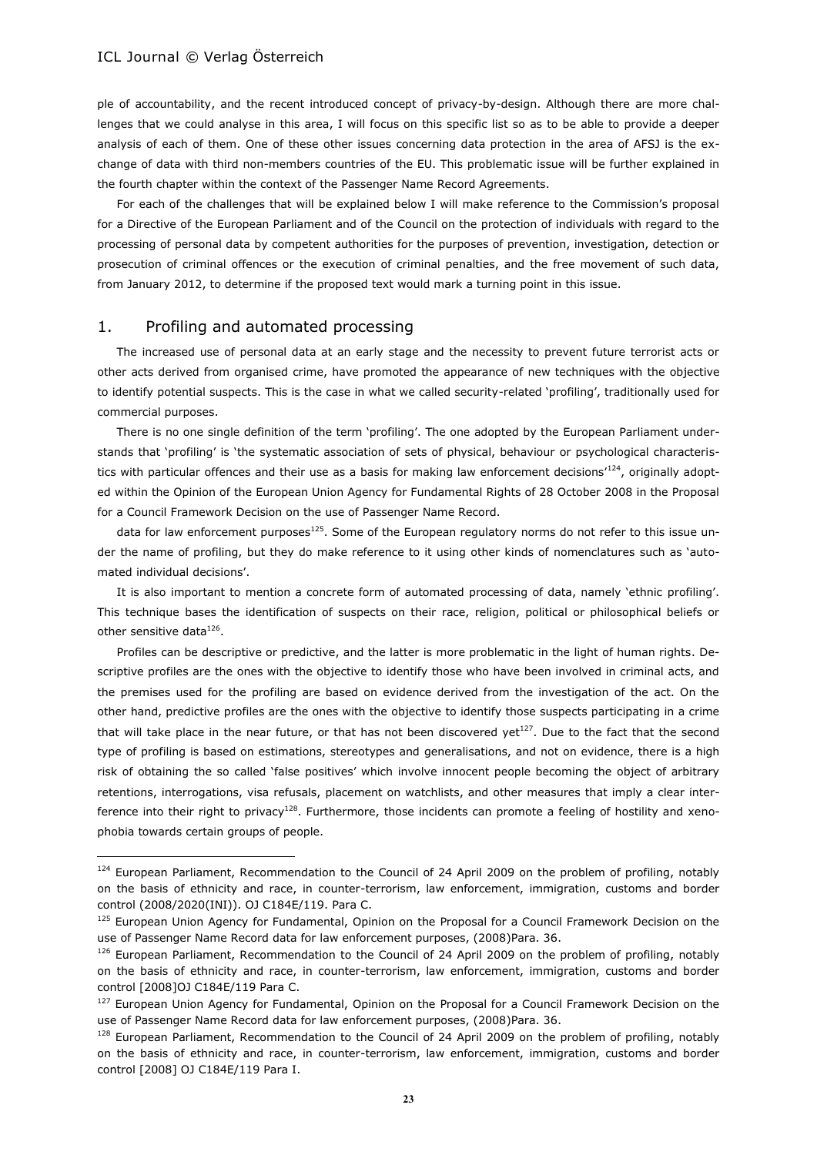ple of accountability, and the recent introduced concept of privacy-by-design. Although there are more challenges that we could analyse in this area, I will focus on this specific list so as to be able to provide a deeper analysis of each of them. One of these other issues concerning data protection in the area of AFSJ is the exchange of data with third non-members countries of the EU. This problematic issue will be further explained in the fourth chapter within the context of the Passenger Name Record Agreements.

For each of the challenges that will be explained below I will make reference to the Commission's proposal for a Directive of the European Parliament and of the Council on the protection of individuals with regard to the processing of personal data by competent authorities for the purposes of prevention, investigation, detection or prosecution of criminal offences or the execution of criminal penalties, and the free movement of such data, from January 2012, to determine if the proposed text would mark a turning point in this issue.

#### 1. Profiling and automated processing

 $\overline{a}$ 

The increased use of personal data at an early stage and the necessity to prevent future terrorist acts or other acts derived from organised crime, have promoted the appearance of new techniques with the objective to identify potential suspects. This is the case in what we called security-related 'profiling', traditionally used for commercial purposes.

There is no one single definition of the term 'profiling'. The one adopted by the European Parliament understands that 'profiling' is 'the systematic association of sets of physical, behaviour or psychological characteristics with particular offences and their use as a basis for making law enforcement decisions'<sup>124</sup>, originally adopted within the Opinion of the European Union Agency for Fundamental Rights of 28 October 2008 in the Proposal for a Council Framework Decision on the use of Passenger Name Record.

data for law enforcement purposes $125$ . Some of the European regulatory norms do not refer to this issue under the name of profiling, but they do make reference to it using other kinds of nomenclatures such as 'automated individual decisions'.

It is also important to mention a concrete form of automated processing of data, namely 'ethnic profiling'. This technique bases the identification of suspects on their race, religion, political or philosophical beliefs or other sensitive data $^{126}$ .

Profiles can be descriptive or predictive, and the latter is more problematic in the light of human rights. Descriptive profiles are the ones with the objective to identify those who have been involved in criminal acts, and the premises used for the profiling are based on evidence derived from the investigation of the act. On the other hand, predictive profiles are the ones with the objective to identify those suspects participating in a crime that will take place in the near future, or that has not been discovered yet<sup>127</sup>. Due to the fact that the second type of profiling is based on estimations, stereotypes and generalisations, and not on evidence, there is a high risk of obtaining the so called 'false positives' which involve innocent people becoming the object of arbitrary retentions, interrogations, visa refusals, placement on watchlists, and other measures that imply a clear interference into their right to privacy<sup>128</sup>. Furthermore, those incidents can promote a feeling of hostility and xenophobia towards certain groups of people.

<sup>124</sup> European Parliament, Recommendation to the Council of 24 April 2009 on the problem of profiling, notably on the basis of ethnicity and race, in counter-terrorism, law enforcement, immigration, customs and border control (2008/2020(INI)). OJ C184E/119. Para C.

<sup>125</sup> European Union Agency for Fundamental, Opinion on the Proposal for a Council Framework Decision on the use of Passenger Name Record data for law enforcement purposes, (2008)Para. 36.

<sup>&</sup>lt;sup>126</sup> European Parliament, Recommendation to the Council of 24 April 2009 on the problem of profiling, notably on the basis of ethnicity and race, in counter-terrorism, law enforcement, immigration, customs and border control [2008]OJ C184E/119 Para C.

<sup>&</sup>lt;sup>127</sup> European Union Agency for Fundamental, Opinion on the Proposal for a Council Framework Decision on the use of Passenger Name Record data for law enforcement purposes, (2008)Para. 36.

<sup>&</sup>lt;sup>128</sup> European Parliament, Recommendation to the Council of 24 April 2009 on the problem of profiling, notably on the basis of ethnicity and race, in counter-terrorism, law enforcement, immigration, customs and border control [2008] OJ C184E/119 Para I.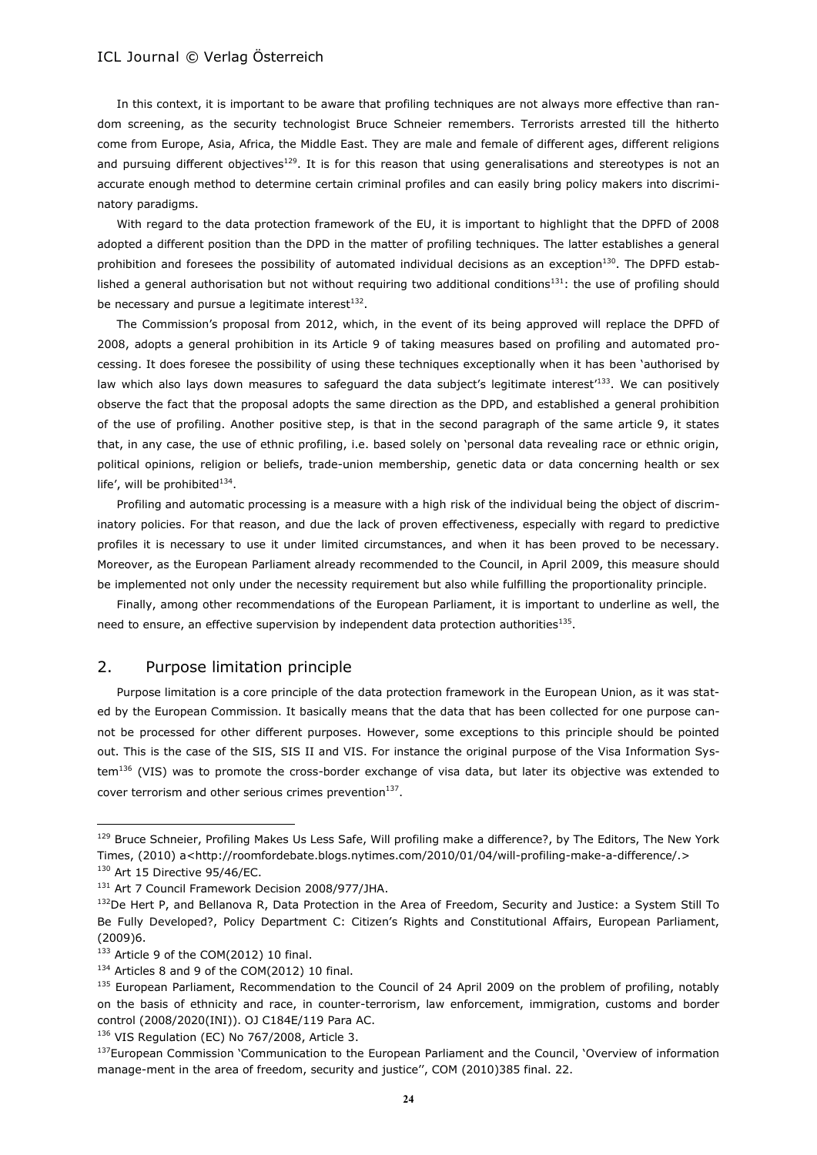In this context, it is important to be aware that profiling techniques are not always more effective than random screening, as the security technologist Bruce Schneier remembers. Terrorists arrested till the hitherto come from Europe, Asia, Africa, the Middle East. They are male and female of different ages, different religions and pursuing different objectives<sup>129</sup>. It is for this reason that using generalisations and stereotypes is not an accurate enough method to determine certain criminal profiles and can easily bring policy makers into discriminatory paradigms.

With regard to the data protection framework of the EU, it is important to highlight that the DPFD of 2008 adopted a different position than the DPD in the matter of profiling techniques. The latter establishes a general prohibition and foresees the possibility of automated individual decisions as an exception $130$ . The DPFD established a general authorisation but not without requiring two additional conditions<sup>131</sup>: the use of profiling should be necessary and pursue a legitimate interest $^{132}$ .

The Commission's proposal from 2012, which, in the event of its being approved will replace the DPFD of 2008, adopts a general prohibition in its Article 9 of taking measures based on profiling and automated processing. It does foresee the possibility of using these techniques exceptionally when it has been 'authorised by law which also lays down measures to safeguard the data subject's legitimate interest<sup>133</sup>. We can positively observe the fact that the proposal adopts the same direction as the DPD, and established a general prohibition of the use of profiling. Another positive step, is that in the second paragraph of the same article 9, it states that, in any case, the use of ethnic profiling, i.e. based solely on 'personal data revealing race or ethnic origin, political opinions, religion or beliefs, trade-union membership, genetic data or data concerning health or sex life', will be prohibited $^{134}$ .

Profiling and automatic processing is a measure with a high risk of the individual being the object of discriminatory policies. For that reason, and due the lack of proven effectiveness, especially with regard to predictive profiles it is necessary to use it under limited circumstances, and when it has been proved to be necessary. Moreover, as the European Parliament already recommended to the Council, in April 2009, this measure should be implemented not only under the necessity requirement but also while fulfilling the proportionality principle.

Finally, among other recommendations of the European Parliament, it is important to underline as well, the need to ensure, an effective supervision by independent data protection authorities $^{135}$ .

### 2. Purpose limitation principle

Purpose limitation is a core principle of the data protection framework in the European Union, as it was stated by the European Commission. It basically means that the data that has been collected for one purpose cannot be processed for other different purposes. However, some exceptions to this principle should be pointed out. This is the case of the SIS, SIS II and VIS. For instance the original purpose of the Visa Information System<sup>136</sup> (VIS) was to promote the cross-border exchange of visa data, but later its objective was extended to cover terrorism and other serious crimes prevention $^{137}$ .

<sup>&</sup>lt;sup>129</sup> Bruce Schneier, Profiling Makes Us Less Safe, Will profiling make a difference?, by The Editors, The New York Times, (2010) a<http://roomfordebate.blogs.nytimes.com/2010/01/04/will-profiling-make-a-difference/.>

<sup>130</sup> Art 15 Directive 95/46/EC.

<sup>131</sup> Art 7 Council Framework Decision 2008/977/JHA.

<sup>&</sup>lt;sup>132</sup>De Hert P, and Bellanova R, Data Protection in the Area of Freedom, Security and Justice: a System Still To Be Fully Developed?, Policy Department C: Citizen's Rights and Constitutional Affairs, European Parliament, (2009)6.

<sup>133</sup> Article 9 of the COM(2012) 10 final.

<sup>134</sup> Articles 8 and 9 of the COM(2012) 10 final.

<sup>&</sup>lt;sup>135</sup> European Parliament, Recommendation to the Council of 24 April 2009 on the problem of profiling, notably on the basis of ethnicity and race, in counter-terrorism, law enforcement, immigration, customs and border control (2008/2020(INI)). OJ C184E/119 Para AC.

<sup>136</sup> VIS Regulation (EC) No 767/2008, Article 3.

<sup>&</sup>lt;sup>137</sup>European Commission 'Communication to the European Parliament and the Council, 'Overview of information manage-ment in the area of freedom, security and justice'', COM (2010)385 final. 22.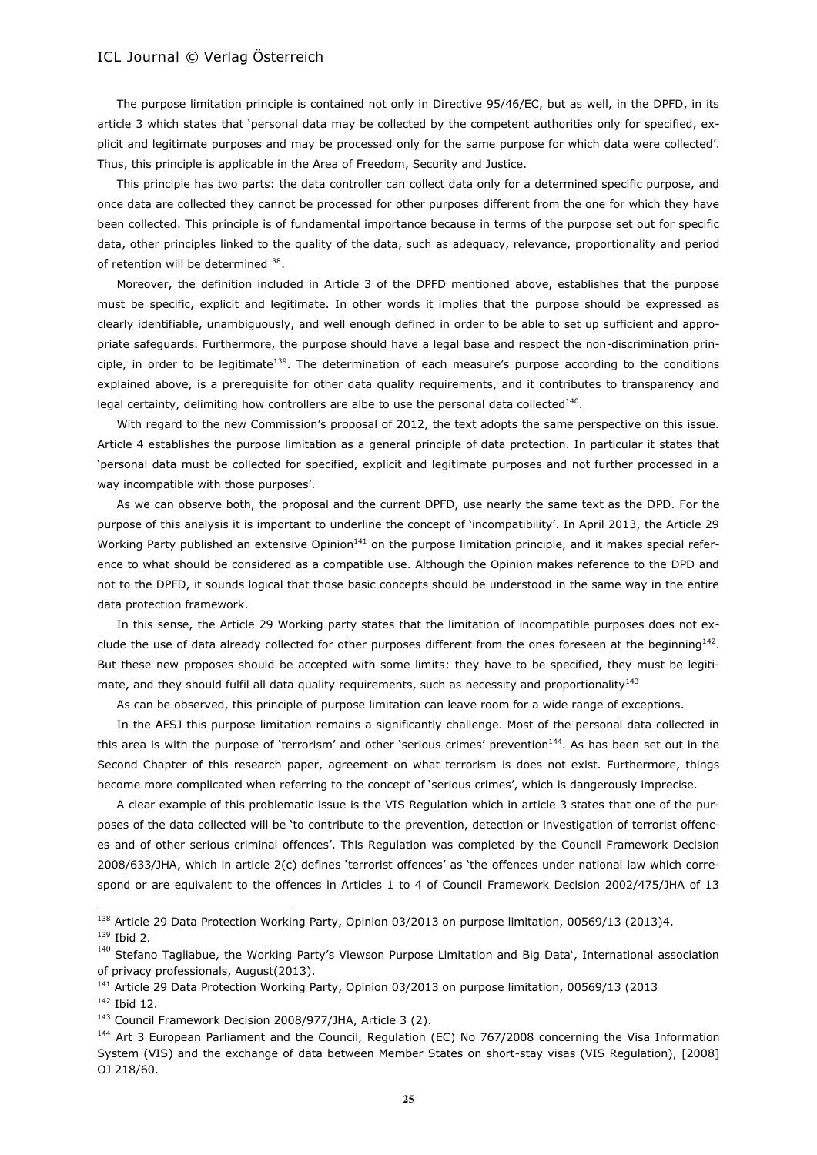The purpose limitation principle is contained not only in Directive 95/46/EC, but as well, in the DPFD, in its article 3 which states that 'personal data may be collected by the competent authorities only for specified, explicit and legitimate purposes and may be processed only for the same purpose for which data were collected'. Thus, this principle is applicable in the Area of Freedom, Security and Justice.

This principle has two parts: the data controller can collect data only for a determined specific purpose, and once data are collected they cannot be processed for other purposes different from the one for which they have been collected. This principle is of fundamental importance because in terms of the purpose set out for specific data, other principles linked to the quality of the data, such as adequacy, relevance, proportionality and period of retention will be determined<sup>138</sup>.

Moreover, the definition included in Article 3 of the DPFD mentioned above, establishes that the purpose must be specific, explicit and legitimate. In other words it implies that the purpose should be expressed as clearly identifiable, unambiguously, and well enough defined in order to be able to set up sufficient and appropriate safeguards. Furthermore, the purpose should have a legal base and respect the non-discrimination principle, in order to be legitimate<sup>139</sup>. The determination of each measure's purpose according to the conditions explained above, is a prerequisite for other data quality requirements, and it contributes to transparency and legal certainty, delimiting how controllers are albe to use the personal data collected<sup>140</sup>.

With regard to the new Commission's proposal of 2012, the text adopts the same perspective on this issue. Article 4 establishes the purpose limitation as a general principle of data protection. In particular it states that 'personal data must be collected for specified, explicit and legitimate purposes and not further processed in a way incompatible with those purposes'.

As we can observe both, the proposal and the current DPFD, use nearly the same text as the DPD. For the purpose of this analysis it is important to underline the concept of 'incompatibility'. In April 2013, the Article 29 Working Party published an extensive Opinion $141$  on the purpose limitation principle, and it makes special reference to what should be considered as a compatible use. Although the Opinion makes reference to the DPD and not to the DPFD, it sounds logical that those basic concepts should be understood in the same way in the entire data protection framework.

In this sense, the Article 29 Working party states that the limitation of incompatible purposes does not exclude the use of data already collected for other purposes different from the ones foreseen at the beginning<sup>142</sup>. But these new proposes should be accepted with some limits: they have to be specified, they must be legitimate, and they should fulfil all data quality requirements, such as necessity and proportionality $143$ 

As can be observed, this principle of purpose limitation can leave room for a wide range of exceptions.

In the AFSJ this purpose limitation remains a significantly challenge. Most of the personal data collected in this area is with the purpose of 'terrorism' and other 'serious crimes' prevention<sup>144</sup>. As has been set out in the Second Chapter of this research paper, agreement on what terrorism is does not exist. Furthermore, things become more complicated when referring to the concept of 'serious crimes', which is dangerously imprecise.

A clear example of this problematic issue is the VIS Regulation which in article 3 states that one of the purposes of the data collected will be 'to contribute to the prevention, detection or investigation of terrorist offences and of other serious criminal offences'. This Regulation was completed by the Council Framework Decision 2008/633/JHA, which in article 2(c) defines 'terrorist offences' as 'the offences under national law which correspond or are equivalent to the offences in Articles 1 to 4 of Council Framework Decision 2002/475/JHA of 13

<sup>&</sup>lt;sup>138</sup> Article 29 Data Protection Working Party, Opinion 03/2013 on purpose limitation, 00569/13 (2013)4. <sup>139</sup> Ibid 2.

<sup>&</sup>lt;sup>140</sup> Stefano Tagliabue, the Working Party's Viewson Purpose Limitation and Big Data', International association of privacy professionals, August(2013).

<sup>141</sup> Article 29 Data Protection Working Party, Opinion 03/2013 on purpose limitation, 00569/13 (2013

<sup>142</sup> Ibid 12.

<sup>143</sup> Council Framework Decision 2008/977/JHA, Article 3 (2).

<sup>&</sup>lt;sup>144</sup> Art 3 European Parliament and the Council, Regulation (EC) No 767/2008 concerning the Visa Information System (VIS) and the exchange of data between Member States on short-stay visas (VIS Regulation), [2008] OJ 218/60.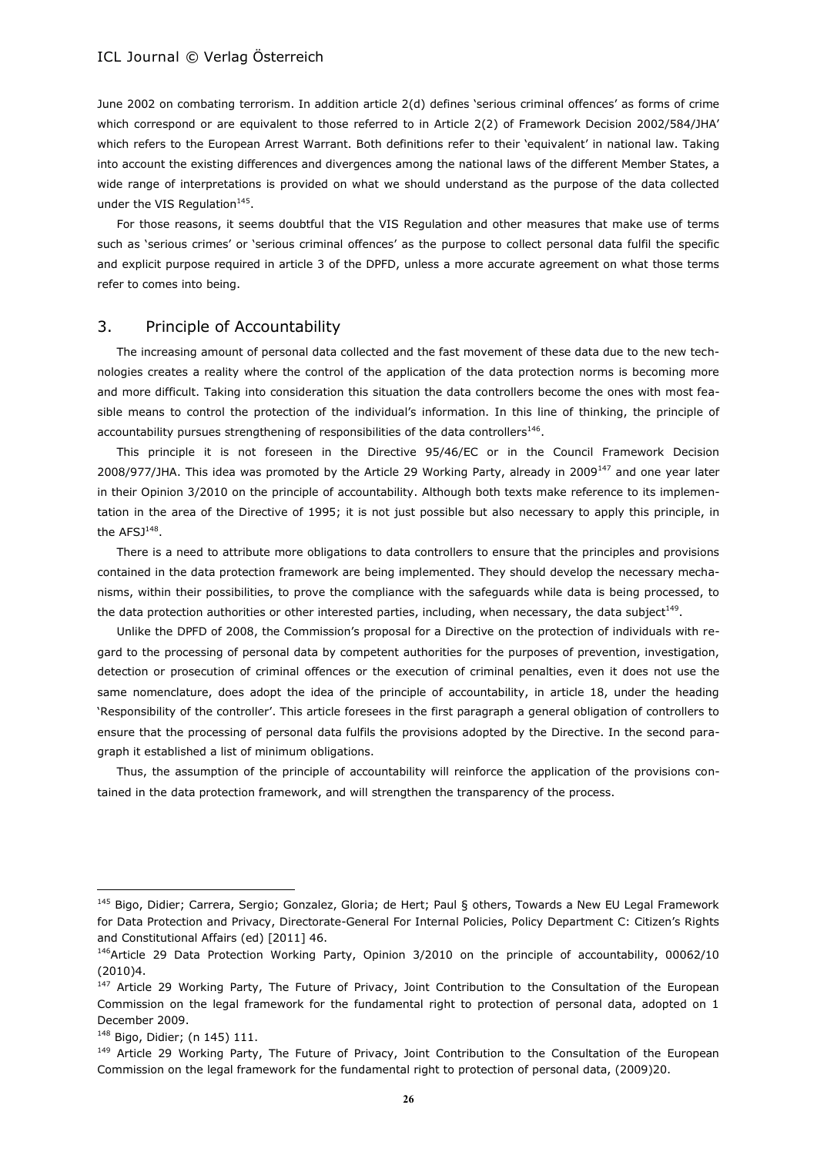June 2002 on combating terrorism. In addition article 2(d) defines 'serious criminal offences' as forms of crime which correspond or are equivalent to those referred to in Article 2(2) of Framework Decision 2002/584/JHA' which refers to the European Arrest Warrant. Both definitions refer to their 'equivalent' in national law. Taking into account the existing differences and divergences among the national laws of the different Member States, a wide range of interpretations is provided on what we should understand as the purpose of the data collected under the VIS Regulation<sup>145</sup>.

For those reasons, it seems doubtful that the VIS Regulation and other measures that make use of terms such as 'serious crimes' or 'serious criminal offences' as the purpose to collect personal data fulfil the specific and explicit purpose required in article 3 of the DPFD, unless a more accurate agreement on what those terms refer to comes into being.

## 3. Principle of Accountability

The increasing amount of personal data collected and the fast movement of these data due to the new technologies creates a reality where the control of the application of the data protection norms is becoming more and more difficult. Taking into consideration this situation the data controllers become the ones with most feasible means to control the protection of the individual's information. In this line of thinking, the principle of accountability pursues strengthening of responsibilities of the data controllers<sup>146</sup>.

This principle it is not foreseen in the Directive 95/46/EC or in the Council Framework Decision 2008/977/JHA. This idea was promoted by the Article 29 Working Party, already in 2009<sup>147</sup> and one year later in their Opinion 3/2010 on the principle of accountability. Although both texts make reference to its implementation in the area of the Directive of 1995; it is not just possible but also necessary to apply this principle, in the AFSJ $^{148}$ .

There is a need to attribute more obligations to data controllers to ensure that the principles and provisions contained in the data protection framework are being implemented. They should develop the necessary mechanisms, within their possibilities, to prove the compliance with the safeguards while data is being processed, to the data protection authorities or other interested parties, including, when necessary, the data subject<sup>149</sup>.

Unlike the DPFD of 2008, the Commission's proposal for a Directive on the protection of individuals with regard to the processing of personal data by competent authorities for the purposes of prevention, investigation, detection or prosecution of criminal offences or the execution of criminal penalties, even it does not use the same nomenclature, does adopt the idea of the principle of accountability, in article 18, under the heading 'Responsibility of the controller'. This article foresees in the first paragraph a general obligation of controllers to ensure that the processing of personal data fulfils the provisions adopted by the Directive. In the second paragraph it established a list of minimum obligations.

Thus, the assumption of the principle of accountability will reinforce the application of the provisions contained in the data protection framework, and will strengthen the transparency of the process.

<sup>145</sup> Bigo, Didier; Carrera, Sergio; Gonzalez, Gloria; de Hert; Paul § others, Towards a New EU Legal Framework for Data Protection and Privacy, Directorate-General For Internal Policies, Policy Department C: Citizen's Rights and Constitutional Affairs (ed) [2011] 46.

<sup>146</sup>Article 29 Data Protection Working Party, Opinion 3/2010 on the principle of accountability, 00062/10 (2010)4.

<sup>&</sup>lt;sup>147</sup> Article 29 Working Party, The Future of Privacy, Joint Contribution to the Consultation of the European Commission on the legal framework for the fundamental right to protection of personal data, adopted on 1 December 2009.

<sup>148</sup> Bigo, Didier; (n 145) 111.

<sup>&</sup>lt;sup>149</sup> Article 29 Working Party, The Future of Privacy, Joint Contribution to the Consultation of the European Commission on the legal framework for the fundamental right to protection of personal data, (2009)20.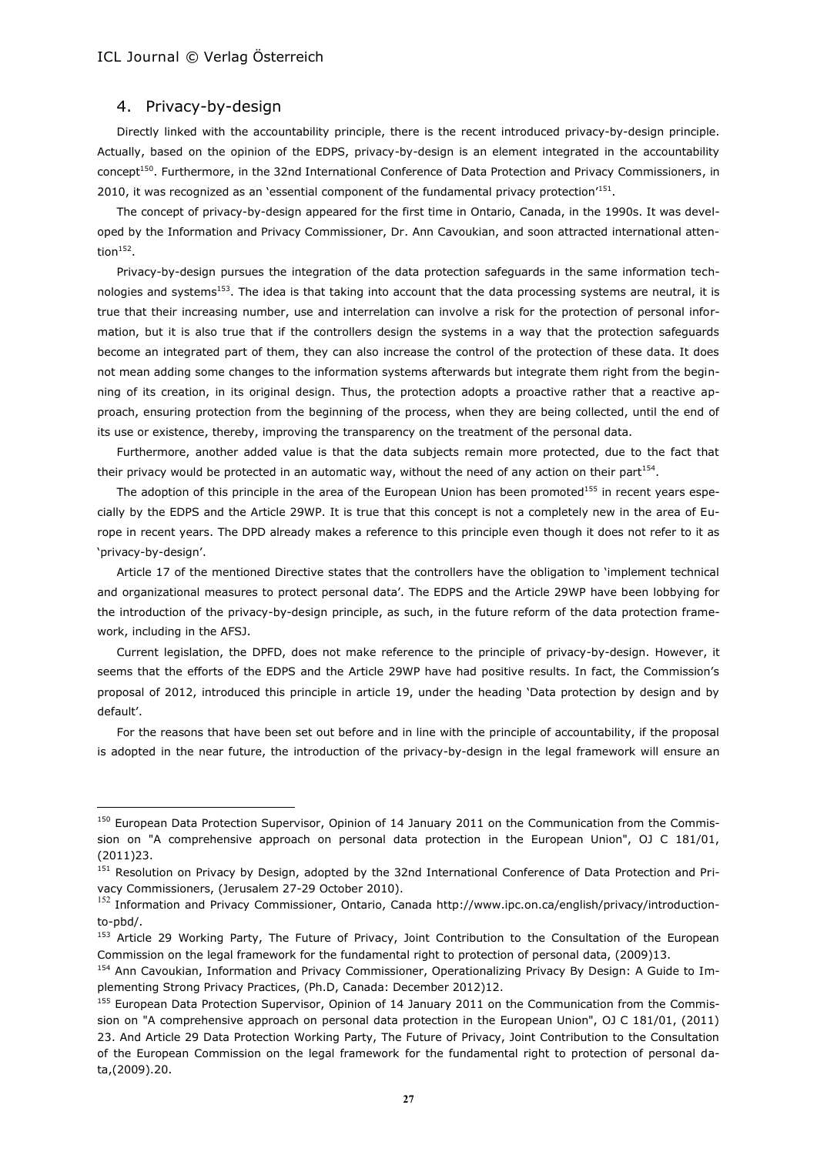#### 4. Privacy-by-design

 $\overline{a}$ 

Directly linked with the accountability principle, there is the recent introduced privacy-by-design principle. Actually, based on the opinion of the EDPS, privacy-by-design is an element integrated in the accountability concept<sup>150</sup>. Furthermore, in the 32nd International Conference of Data Protection and Privacy Commissioners, in 2010, it was recognized as an 'essential component of the fundamental privacy protection<sup>151</sup>.

The concept of privacy-by-design appeared for the first time in Ontario, Canada, in the 1990s. It was developed by the Information and Privacy Commissioner, Dr. Ann Cavoukian, and soon attracted international attention $^{152}$ .

Privacy-by-design pursues the integration of the data protection safeguards in the same information technologies and systems<sup>153</sup>. The idea is that taking into account that the data processing systems are neutral, it is true that their increasing number, use and interrelation can involve a risk for the protection of personal information, but it is also true that if the controllers design the systems in a way that the protection safeguards become an integrated part of them, they can also increase the control of the protection of these data. It does not mean adding some changes to the information systems afterwards but integrate them right from the beginning of its creation, in its original design. Thus, the protection adopts a proactive rather that a reactive approach, ensuring protection from the beginning of the process, when they are being collected, until the end of its use or existence, thereby, improving the transparency on the treatment of the personal data.

Furthermore, another added value is that the data subjects remain more protected, due to the fact that their privacy would be protected in an automatic way, without the need of any action on their part<sup>154</sup>.

The adoption of this principle in the area of the European Union has been promoted<sup>155</sup> in recent years especially by the EDPS and the Article 29WP. It is true that this concept is not a completely new in the area of Europe in recent years. The DPD already makes a reference to this principle even though it does not refer to it as 'privacy-by-design'.

Article 17 of the mentioned Directive states that the controllers have the obligation to 'implement technical and organizational measures to protect personal data'. The EDPS and the Article 29WP have been lobbying for the introduction of the privacy-by-design principle, as such, in the future reform of the data protection framework, including in the AFSJ.

Current legislation, the DPFD, does not make reference to the principle of privacy-by-design. However, it seems that the efforts of the EDPS and the Article 29WP have had positive results. In fact, the Commission's proposal of 2012, introduced this principle in article 19, under the heading 'Data protection by design and by default'.

For the reasons that have been set out before and in line with the principle of accountability, if the proposal is adopted in the near future, the introduction of the privacy-by-design in the legal framework will ensure an

<sup>&</sup>lt;sup>150</sup> European Data Protection Supervisor, Opinion of 14 January 2011 on the Communication from the Commission on "A comprehensive approach on personal data protection in the European Union", OJ C 181/01, (2011)23.

<sup>&</sup>lt;sup>151</sup> Resolution on Privacy by Design, adopted by the 32nd International Conference of Data Protection and Privacy Commissioners, (Jerusalem 27-29 October 2010).

<sup>&</sup>lt;sup>152</sup> Information and Privacy Commissioner, Ontario, Canada http://www.ipc.on.ca/english/privacy/introductionto-pbd/.

<sup>153</sup> Article 29 Working Party, The Future of Privacy, Joint Contribution to the Consultation of the European Commission on the legal framework for the fundamental right to protection of personal data, (2009)13.

<sup>154</sup> Ann Cavoukian, Information and Privacy Commissioner, Operationalizing Privacy By Design: A Guide to Implementing Strong Privacy Practices, (Ph.D, Canada: December 2012)12.

<sup>&</sup>lt;sup>155</sup> European Data Protection Supervisor, Opinion of 14 January 2011 on the Communication from the Commission on "A comprehensive approach on personal data protection in the European Union", OJ C 181/01, (2011) 23. And Article 29 Data Protection Working Party, The Future of Privacy, Joint Contribution to the Consultation of the European Commission on the legal framework for the fundamental right to protection of personal data,(2009).20.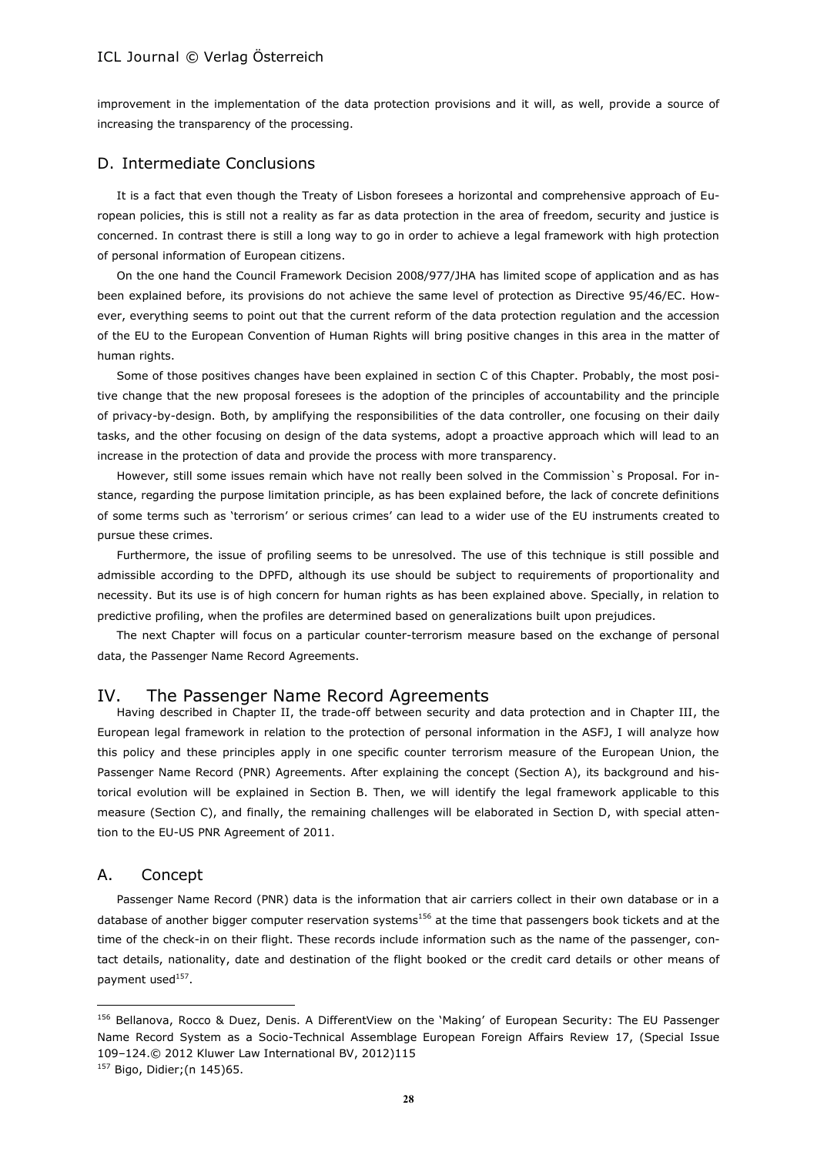improvement in the implementation of the data protection provisions and it will, as well, provide a source of increasing the transparency of the processing.

#### D. Intermediate Conclusions

It is a fact that even though the Treaty of Lisbon foresees a horizontal and comprehensive approach of European policies, this is still not a reality as far as data protection in the area of freedom, security and justice is concerned. In contrast there is still a long way to go in order to achieve a legal framework with high protection of personal information of European citizens.

On the one hand the Council Framework Decision 2008/977/JHA has limited scope of application and as has been explained before, its provisions do not achieve the same level of protection as Directive 95/46/EC. However, everything seems to point out that the current reform of the data protection regulation and the accession of the EU to the European Convention of Human Rights will bring positive changes in this area in the matter of human rights.

Some of those positives changes have been explained in section C of this Chapter. Probably, the most positive change that the new proposal foresees is the adoption of the principles of accountability and the principle of privacy-by-design. Both, by amplifying the responsibilities of the data controller, one focusing on their daily tasks, and the other focusing on design of the data systems, adopt a proactive approach which will lead to an increase in the protection of data and provide the process with more transparency.

However, still some issues remain which have not really been solved in the Commission`s Proposal. For instance, regarding the purpose limitation principle, as has been explained before, the lack of concrete definitions of some terms such as 'terrorism' or serious crimes' can lead to a wider use of the EU instruments created to pursue these crimes.

Furthermore, the issue of profiling seems to be unresolved. The use of this technique is still possible and admissible according to the DPFD, although its use should be subject to requirements of proportionality and necessity. But its use is of high concern for human rights as has been explained above. Specially, in relation to predictive profiling, when the profiles are determined based on generalizations built upon prejudices.

The next Chapter will focus on a particular counter-terrorism measure based on the exchange of personal data, the Passenger Name Record Agreements.

#### IV. The Passenger Name Record Agreements

Having described in Chapter II, the trade-off between security and data protection and in Chapter III, the European legal framework in relation to the protection of personal information in the ASFJ, I will analyze how this policy and these principles apply in one specific counter terrorism measure of the European Union, the Passenger Name Record (PNR) Agreements. After explaining the concept (Section A), its background and historical evolution will be explained in Section B. Then, we will identify the legal framework applicable to this measure (Section C), and finally, the remaining challenges will be elaborated in Section D, with special attention to the EU-US PNR Agreement of 2011.

### A. Concept

 $\overline{a}$ 

Passenger Name Record (PNR) data is the information that air carriers collect in their own database or in a database of another bigger computer reservation systems<sup>156</sup> at the time that passengers book tickets and at the time of the check-in on their flight. These records include information such as the name of the passenger, contact details, nationality, date and destination of the flight booked or the credit card details or other means of payment used<sup>157</sup>.

<sup>156</sup> Bellanova, Rocco & Duez, Denis. A DifferentView on the 'Making' of European Security: The EU Passenger Name Record System as a Socio-Technical Assemblage European Foreign Affairs Review 17, (Special Issue 109–124.© 2012 Kluwer Law International BV, 2012)115

<sup>157</sup> Bigo, Didier;(n 145)65.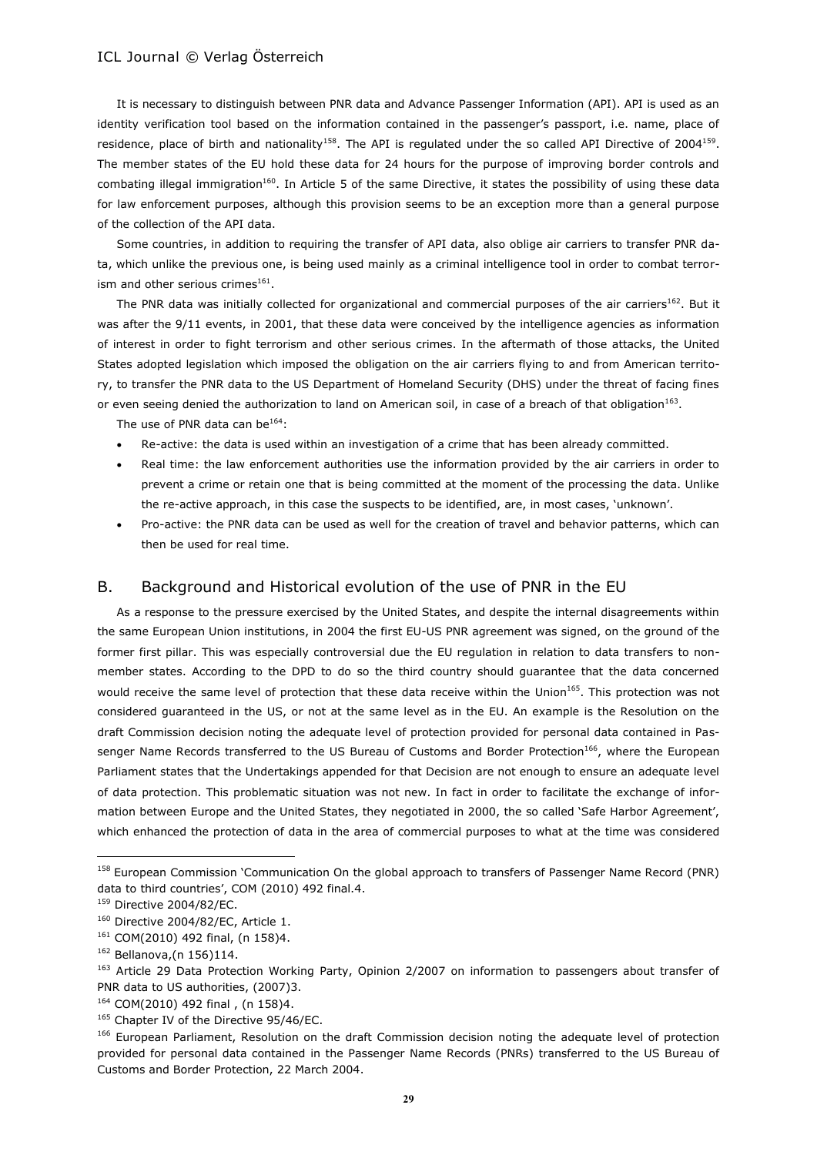It is necessary to distinguish between PNR data and Advance Passenger Information (API). API is used as an identity verification tool based on the information contained in the passenger's passport, i.e. name, place of residence, place of birth and nationality<sup>158</sup>. The API is regulated under the so called API Directive of 2004<sup>159</sup>. The member states of the EU hold these data for 24 hours for the purpose of improving border controls and combating illegal immigration<sup>160</sup>. In Article 5 of the same Directive, it states the possibility of using these data for law enforcement purposes, although this provision seems to be an exception more than a general purpose of the collection of the API data.

Some countries, in addition to requiring the transfer of API data, also oblige air carriers to transfer PNR data, which unlike the previous one, is being used mainly as a criminal intelligence tool in order to combat terrorism and other serious crimes $^{161}$ .

The PNR data was initially collected for organizational and commercial purposes of the air carriers<sup>162</sup>. But it was after the 9/11 events, in 2001, that these data were conceived by the intelligence agencies as information of interest in order to fight terrorism and other serious crimes. In the aftermath of those attacks, the United States adopted legislation which imposed the obligation on the air carriers flying to and from American territory, to transfer the PNR data to the US Department of Homeland Security (DHS) under the threat of facing fines or even seeing denied the authorization to land on American soil, in case of a breach of that obligation $^{163}$ .

The use of PNR data can be $^{164}$ :

- Re-active: the data is used within an investigation of a crime that has been already committed.
- Real time: the law enforcement authorities use the information provided by the air carriers in order to prevent a crime or retain one that is being committed at the moment of the processing the data. Unlike the re-active approach, in this case the suspects to be identified, are, in most cases, 'unknown'.
- Pro-active: the PNR data can be used as well for the creation of travel and behavior patterns, which can then be used for real time.

# B. Background and Historical evolution of the use of PNR in the EU

As a response to the pressure exercised by the United States, and despite the internal disagreements within the same European Union institutions, in 2004 the first EU-US PNR agreement was signed, on the ground of the former first pillar. This was especially controversial due the EU regulation in relation to data transfers to nonmember states. According to the DPD to do so the third country should guarantee that the data concerned would receive the same level of protection that these data receive within the Union<sup>165</sup>. This protection was not considered guaranteed in the US, or not at the same level as in the EU. An example is the Resolution on the draft Commission decision noting the adequate level of protection provided for personal data contained in Passenger Name Records transferred to the US Bureau of Customs and Border Protection<sup>166</sup>, where the European Parliament states that the Undertakings appended for that Decision are not enough to ensure an adequate level of data protection. This problematic situation was not new. In fact in order to facilitate the exchange of information between Europe and the United States, they negotiated in 2000, the so called 'Safe Harbor Agreement', which enhanced the protection of data in the area of commercial purposes to what at the time was considered

<sup>158</sup> European Commission 'Communication On the global approach to transfers of Passenger Name Record (PNR) data to third countries', COM (2010) 492 final.4.

<sup>159</sup> Directive 2004/82/EC.

<sup>&</sup>lt;sup>160</sup> Directive 2004/82/EC, Article 1.

<sup>161</sup> COM(2010) 492 final, (n 158)4.

<sup>162</sup> Bellanova,(n 156)114.

<sup>&</sup>lt;sup>163</sup> Article 29 Data Protection Working Party, Opinion 2/2007 on information to passengers about transfer of PNR data to US authorities, (2007)3.

<sup>164</sup> COM(2010) 492 final , (n 158)4.

<sup>&</sup>lt;sup>165</sup> Chapter IV of the Directive 95/46/EC.

<sup>166</sup> European Parliament, Resolution on the draft Commission decision noting the adequate level of protection provided for personal data contained in the Passenger Name Records (PNRs) transferred to the US Bureau of Customs and Border Protection, 22 March 2004.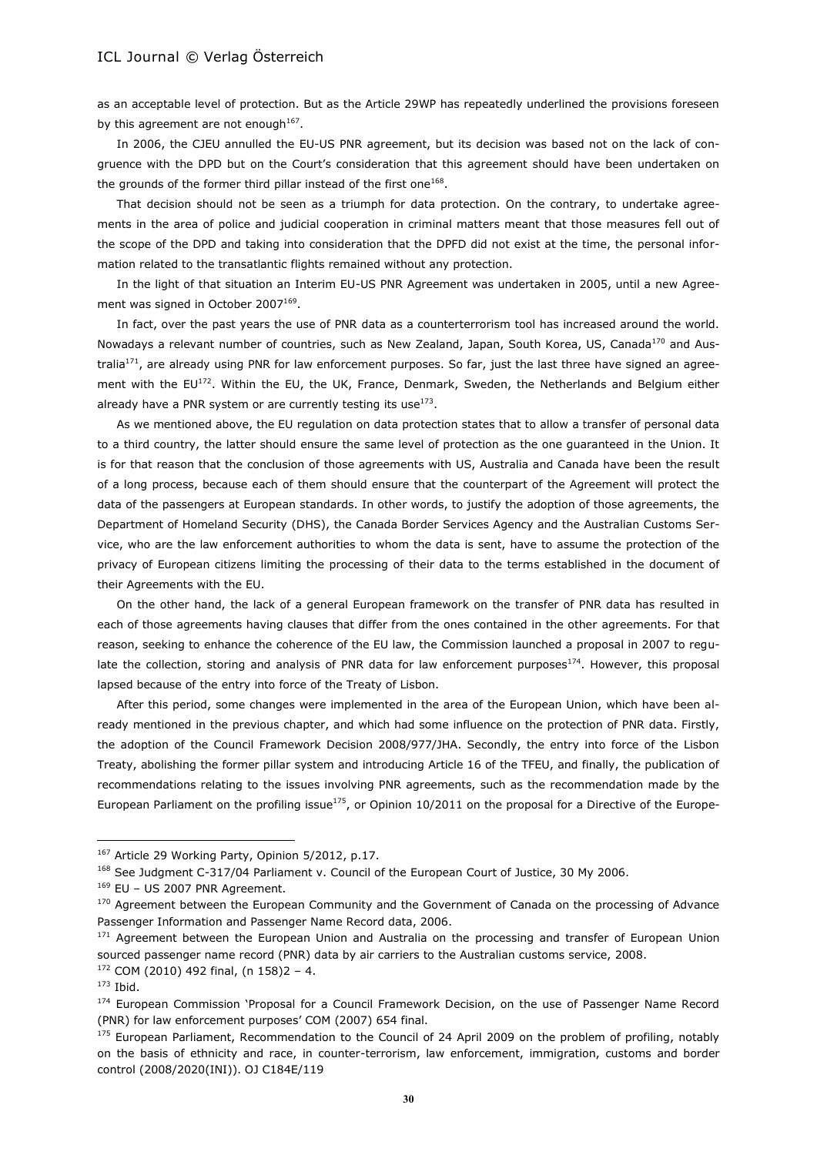as an acceptable level of protection. But as the Article 29WP has repeatedly underlined the provisions foreseen by this agreement are not enough<sup>167</sup>.

In 2006, the CJEU annulled the EU-US PNR agreement, but its decision was based not on the lack of congruence with the DPD but on the Court's consideration that this agreement should have been undertaken on the grounds of the former third pillar instead of the first one $^{168}$ .

That decision should not be seen as a triumph for data protection. On the contrary, to undertake agreements in the area of police and judicial cooperation in criminal matters meant that those measures fell out of the scope of the DPD and taking into consideration that the DPFD did not exist at the time, the personal information related to the transatlantic flights remained without any protection.

In the light of that situation an Interim EU-US PNR Agreement was undertaken in 2005, until a new Agreement was signed in October 2007 $^{169}$ .

In fact, over the past years the use of PNR data as a counterterrorism tool has increased around the world. Nowadays a relevant number of countries, such as New Zealand, Japan, South Korea, US, Canada<sup>170</sup> and Australia<sup>171</sup>, are already using PNR for law enforcement purposes. So far, just the last three have signed an agreement with the EU<sup>172</sup>. Within the EU, the UK, France, Denmark, Sweden, the Netherlands and Belgium either already have a PNR system or are currently testing its use $^{173}$ .

As we mentioned above, the EU regulation on data protection states that to allow a transfer of personal data to a third country, the latter should ensure the same level of protection as the one guaranteed in the Union. It is for that reason that the conclusion of those agreements with US, Australia and Canada have been the result of a long process, because each of them should ensure that the counterpart of the Agreement will protect the data of the passengers at European standards. In other words, to justify the adoption of those agreements, the Department of Homeland Security (DHS), the Canada Border Services Agency and the Australian Customs Service, who are the law enforcement authorities to whom the data is sent, have to assume the protection of the privacy of European citizens limiting the processing of their data to the terms established in the document of their Agreements with the EU.

On the other hand, the lack of a general European framework on the transfer of PNR data has resulted in each of those agreements having clauses that differ from the ones contained in the other agreements. For that reason, seeking to enhance the coherence of the EU law, the Commission launched a proposal in 2007 to regulate the collection, storing and analysis of PNR data for law enforcement purposes $174$ . However, this proposal lapsed because of the entry into force of the Treaty of Lisbon.

After this period, some changes were implemented in the area of the European Union, which have been already mentioned in the previous chapter, and which had some influence on the protection of PNR data. Firstly, the adoption of the Council Framework Decision 2008/977/JHA. Secondly, the entry into force of the Lisbon Treaty, abolishing the former pillar system and introducing Article 16 of the TFEU, and finally, the publication of recommendations relating to the issues involving PNR agreements, such as the recommendation made by the European Parliament on the profiling issue<sup>175</sup>, or Opinion 10/2011 on the proposal for a Directive of the Europe-

<sup>&</sup>lt;sup>167</sup> Article 29 Working Party, Opinion 5/2012, p.17.

<sup>&</sup>lt;sup>168</sup> See Judgment C-317/04 Parliament v. Council of the European Court of Justice, 30 My 2006.

<sup>169</sup> EU – US 2007 PNR Agreement.

<sup>&</sup>lt;sup>170</sup> Agreement between the European Community and the Government of Canada on the processing of Advance Passenger Information and Passenger Name Record data, 2006.

<sup>&</sup>lt;sup>171</sup> Agreement between the European Union and Australia on the processing and transfer of European Union sourced passenger name record (PNR) data by air carriers to the Australian customs service, 2008.

 $172$  COM (2010) 492 final, (n 158)2 - 4.

 $173$  Ibid.

<sup>174</sup> European Commission 'Proposal for a Council Framework Decision, on the use of Passenger Name Record (PNR) for law enforcement purposes' COM (2007) 654 final.

<sup>&</sup>lt;sup>175</sup> European Parliament, Recommendation to the Council of 24 April 2009 on the problem of profiling, notably on the basis of ethnicity and race, in counter-terrorism, law enforcement, immigration, customs and border control (2008/2020(INI)). OJ C184E/119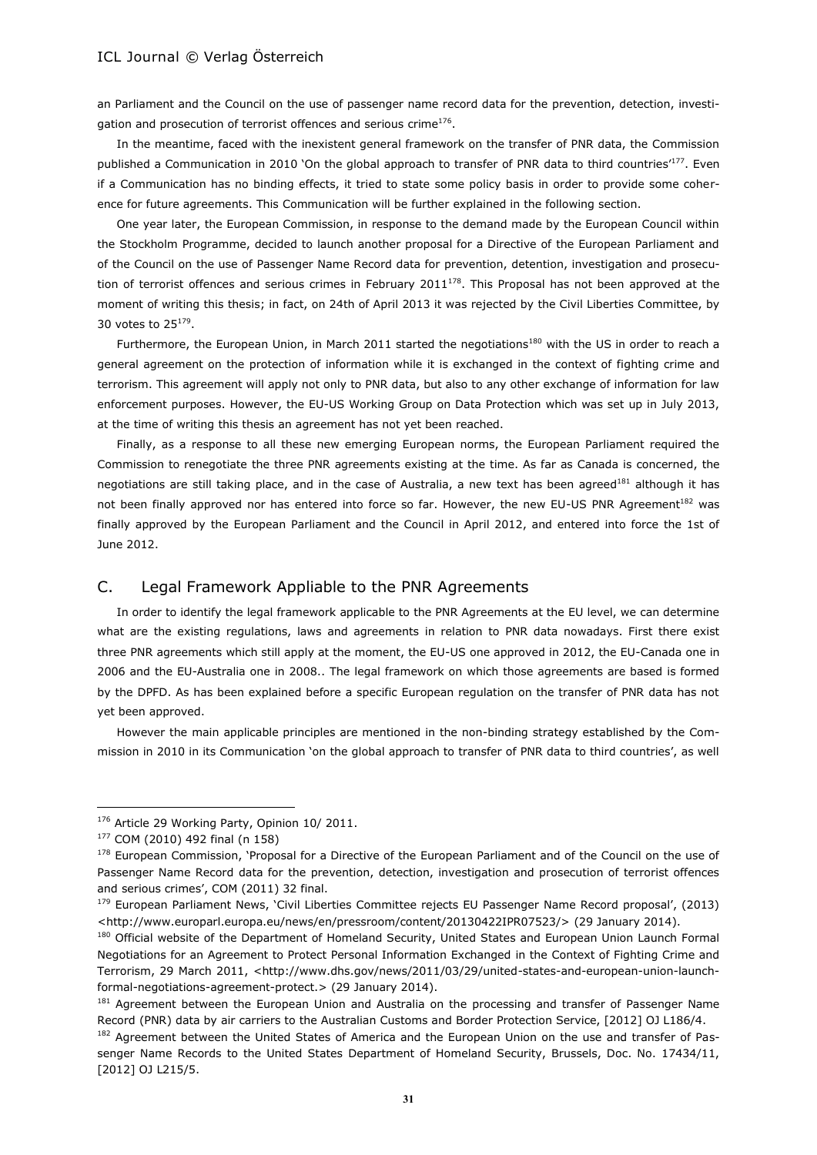an Parliament and the Council on the use of passenger name record data for the prevention, detection, investigation and prosecution of terrorist offences and serious crime $^{176}$ .

In the meantime, faced with the inexistent general framework on the transfer of PNR data, the Commission published a Communication in 2010 'On the global approach to transfer of PNR data to third countries<sup>177</sup>. Even if a Communication has no binding effects, it tried to state some policy basis in order to provide some coherence for future agreements. This Communication will be further explained in the following section.

One year later, the European Commission, in response to the demand made by the European Council within the Stockholm Programme, decided to launch another proposal for a Directive of the European Parliament and of the Council on the use of Passenger Name Record data for prevention, detention, investigation and prosecution of terrorist offences and serious crimes in February 2011 $1^{78}$ . This Proposal has not been approved at the moment of writing this thesis; in fact, on 24th of April 2013 it was rejected by the Civil Liberties Committee, by 30 votes to 25 $^{179}$ .

Furthermore, the European Union, in March 2011 started the negotiations<sup>180</sup> with the US in order to reach a general agreement on the protection of information while it is exchanged in the context of fighting crime and terrorism. This agreement will apply not only to PNR data, but also to any other exchange of information for law enforcement purposes. However, the EU-US Working Group on Data Protection which was set up in July 2013, at the time of writing this thesis an agreement has not yet been reached.

Finally, as a response to all these new emerging European norms, the European Parliament required the Commission to renegotiate the three PNR agreements existing at the time. As far as Canada is concerned, the negotiations are still taking place, and in the case of Australia, a new text has been agreed<sup>181</sup> although it has not been finally approved nor has entered into force so far. However, the new EU-US PNR Agreement<sup>182</sup> was finally approved by the European Parliament and the Council in April 2012, and entered into force the 1st of June 2012.

# C. Legal Framework Appliable to the PNR Agreements

In order to identify the legal framework applicable to the PNR Agreements at the EU level, we can determine what are the existing regulations, laws and agreements in relation to PNR data nowadays. First there exist three PNR agreements which still apply at the moment, the EU-US one approved in 2012, the EU-Canada one in 2006 and the EU-Australia one in 2008.. The legal framework on which those agreements are based is formed by the DPFD. As has been explained before a specific European regulation on the transfer of PNR data has not yet been approved.

However the main applicable principles are mentioned in the non-binding strategy established by the Commission in 2010 in its Communication 'on the global approach to transfer of PNR data to third countries', as well

<sup>176</sup> Article 29 Working Party, Opinion 10/ 2011.

<sup>177</sup> COM (2010) 492 final (n 158)

<sup>178</sup> European Commission, 'Proposal for a Directive of the European Parliament and of the Council on the use of Passenger Name Record data for the prevention, detection, investigation and prosecution of terrorist offences and serious crimes', COM (2011) 32 final.

<sup>&</sup>lt;sup>179</sup> European Parliament News, 'Civil Liberties Committee rejects EU Passenger Name Record proposal', (2013) <http://www.europarl.europa.eu/news/en/pressroom/content/20130422IPR07523/> (29 January 2014).

<sup>180</sup> Official website of the Department of Homeland Security, United States and European Union Launch Formal Negotiations for an Agreement to Protect Personal Information Exchanged in the Context of Fighting Crime and Terrorism, 29 March 2011, <http://www.dhs.gov/news/2011/03/29/united-states-and-european-union-launchformal-negotiations-agreement-protect.> (29 January 2014).

<sup>&</sup>lt;sup>181</sup> Agreement between the European Union and Australia on the processing and transfer of Passenger Name Record (PNR) data by air carriers to the Australian Customs and Border Protection Service, [2012] OJ L186/4.

<sup>182</sup> Agreement between the United States of America and the European Union on the use and transfer of Passenger Name Records to the United States Department of Homeland Security, Brussels, Doc. No. 17434/11, [2012] OJ L215/5.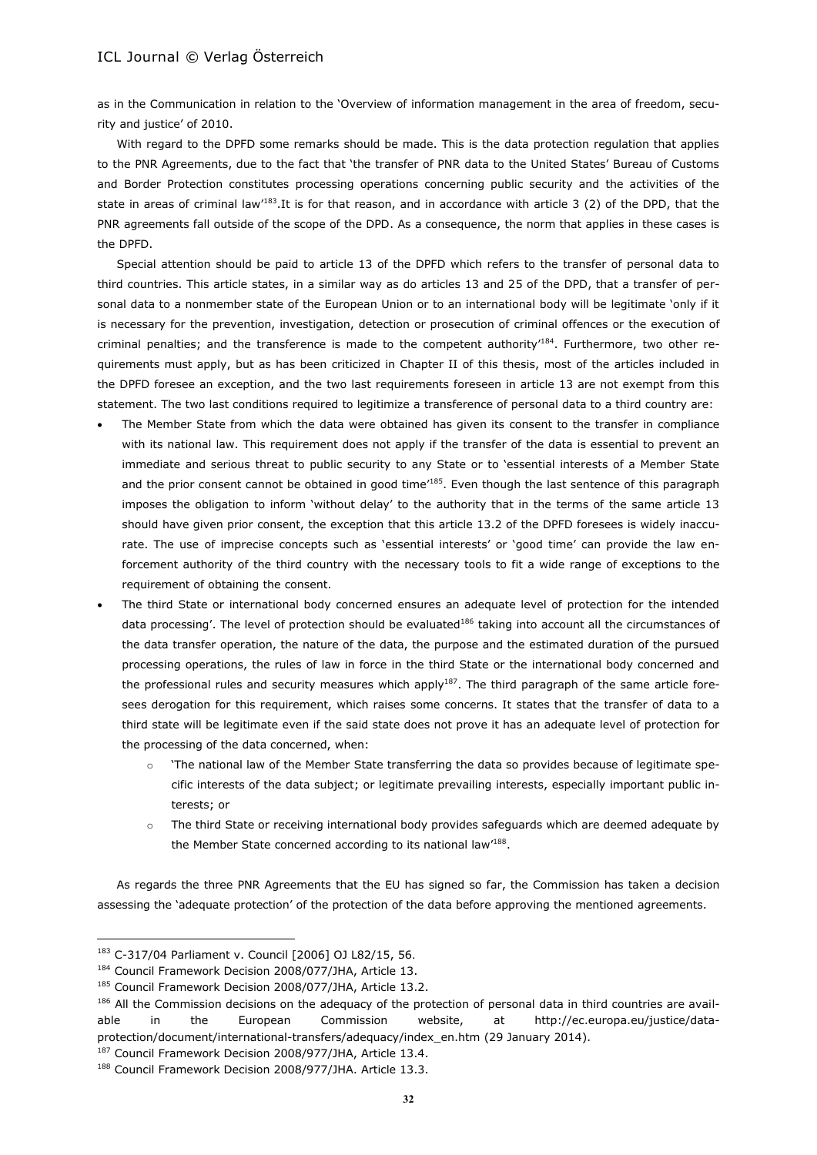as in the Communication in relation to the 'Overview of information management in the area of freedom, security and justice' of 2010.

With regard to the DPFD some remarks should be made. This is the data protection regulation that applies to the PNR Agreements, due to the fact that 'the transfer of PNR data to the United States' Bureau of Customs and Border Protection constitutes processing operations concerning public security and the activities of the state in areas of criminal law<sup>183</sup>.It is for that reason, and in accordance with article 3 (2) of the DPD, that the PNR agreements fall outside of the scope of the DPD. As a consequence, the norm that applies in these cases is the DPFD.

Special attention should be paid to article 13 of the DPFD which refers to the transfer of personal data to third countries. This article states, in a similar way as do articles 13 and 25 of the DPD, that a transfer of personal data to a nonmember state of the European Union or to an international body will be legitimate 'only if it is necessary for the prevention, investigation, detection or prosecution of criminal offences or the execution of criminal penalties; and the transference is made to the competent authority<sup>184</sup>. Furthermore, two other requirements must apply, but as has been criticized in Chapter II of this thesis, most of the articles included in the DPFD foresee an exception, and the two last requirements foreseen in article 13 are not exempt from this statement. The two last conditions required to legitimize a transference of personal data to a third country are:

- The Member State from which the data were obtained has given its consent to the transfer in compliance with its national law. This requirement does not apply if the transfer of the data is essential to prevent an immediate and serious threat to public security to any State or to 'essential interests of a Member State and the prior consent cannot be obtained in good time<sup>185</sup>. Even though the last sentence of this paragraph imposes the obligation to inform 'without delay' to the authority that in the terms of the same article 13 should have given prior consent, the exception that this article 13.2 of the DPFD foresees is widely inaccurate. The use of imprecise concepts such as 'essential interests' or 'good time' can provide the law enforcement authority of the third country with the necessary tools to fit a wide range of exceptions to the requirement of obtaining the consent.
- The third State or international body concerned ensures an adequate level of protection for the intended data processing'. The level of protection should be evaluated<sup>186</sup> taking into account all the circumstances of the data transfer operation, the nature of the data, the purpose and the estimated duration of the pursued processing operations, the rules of law in force in the third State or the international body concerned and the professional rules and security measures which apply<sup>187</sup>. The third paragraph of the same article foresees derogation for this requirement, which raises some concerns. It states that the transfer of data to a third state will be legitimate even if the said state does not prove it has an adequate level of protection for the processing of the data concerned, when:
	- o 'The national law of the Member State transferring the data so provides because of legitimate specific interests of the data subject; or legitimate prevailing interests, especially important public interests; or
	- o The third State or receiving international body provides safeguards which are deemed adequate by the Member State concerned according to its national law<sup>188</sup>.

As regards the three PNR Agreements that the EU has signed so far, the Commission has taken a decision assessing the 'adequate protection' of the protection of the data before approving the mentioned agreements.

<sup>183</sup> C-317/04 Parliament v. Council [2006] OJ L82/15, 56.

<sup>&</sup>lt;sup>184</sup> Council Framework Decision 2008/077/JHA, Article 13.

<sup>&</sup>lt;sup>185</sup> Council Framework Decision 2008/077/JHA, Article 13.2.

<sup>186</sup> All the Commission decisions on the adequacy of the protection of personal data in third countries are available in the European Commission website, at http://ec.europa.eu/justice/dataprotection/document/international-transfers/adequacy/index\_en.htm (29 January 2014).

<sup>&</sup>lt;sup>187</sup> Council Framework Decision 2008/977/JHA, Article 13.4.

<sup>&</sup>lt;sup>188</sup> Council Framework Decision 2008/977/JHA. Article 13.3.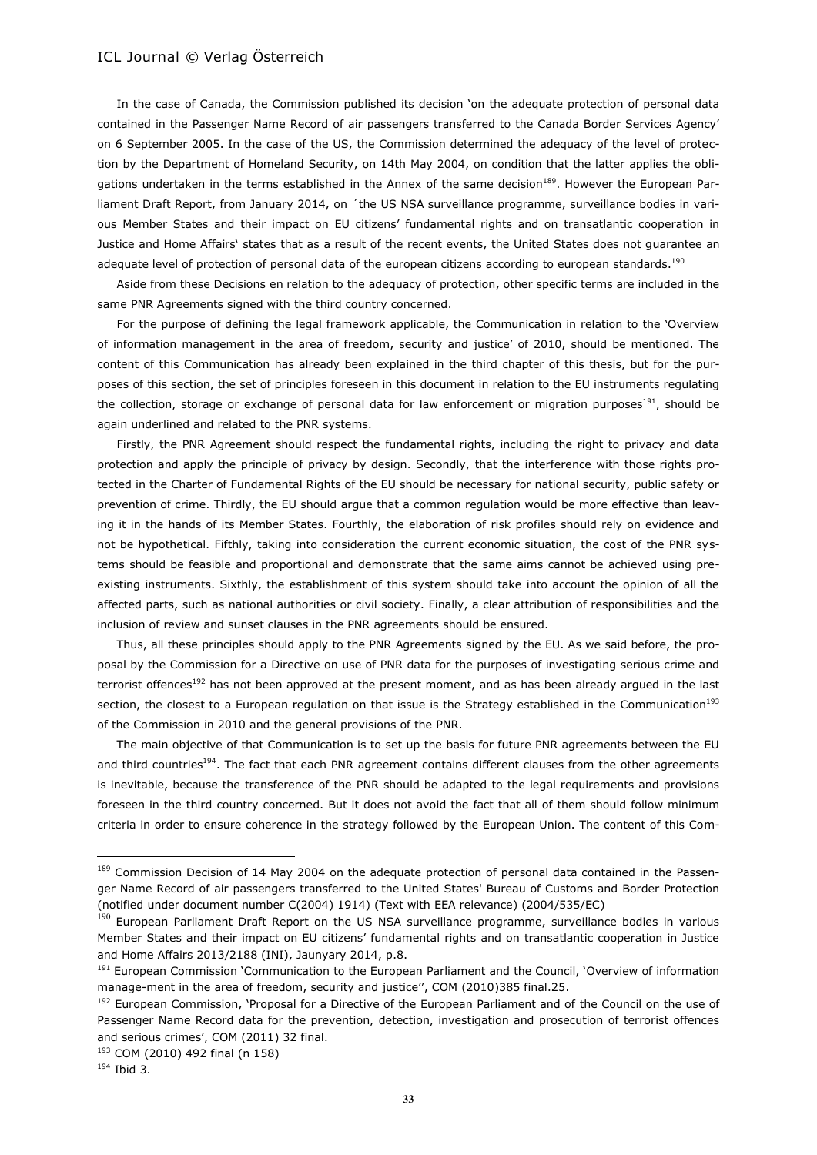In the case of Canada, the Commission published its decision 'on the adequate protection of personal data contained in the Passenger Name Record of air passengers transferred to the Canada Border Services Agency' on 6 September 2005. In the case of the US, the Commission determined the adequacy of the level of protection by the Department of Homeland Security, on 14th May 2004, on condition that the latter applies the obligations undertaken in the terms established in the Annex of the same decision<sup>189</sup>. However the European Parliament Draft Report, from January 2014, on ´the US NSA surveillance programme, surveillance bodies in various Member States and their impact on EU citizens' fundamental rights and on transatlantic cooperation in Justice and Home Affairs' states that as a result of the recent events, the United States does not guarantee an adequate level of protection of personal data of the european citizens according to european standards.<sup>190</sup>

Aside from these Decisions en relation to the adequacy of protection, other specific terms are included in the same PNR Agreements signed with the third country concerned.

For the purpose of defining the legal framework applicable, the Communication in relation to the 'Overview of information management in the area of freedom, security and justice' of 2010, should be mentioned. The content of this Communication has already been explained in the third chapter of this thesis, but for the purposes of this section, the set of principles foreseen in this document in relation to the EU instruments regulating the collection, storage or exchange of personal data for law enforcement or migration purposes<sup>191</sup>, should be again underlined and related to the PNR systems.

Firstly, the PNR Agreement should respect the fundamental rights, including the right to privacy and data protection and apply the principle of privacy by design. Secondly, that the interference with those rights protected in the Charter of Fundamental Rights of the EU should be necessary for national security, public safety or prevention of crime. Thirdly, the EU should argue that a common regulation would be more effective than leaving it in the hands of its Member States. Fourthly, the elaboration of risk profiles should rely on evidence and not be hypothetical. Fifthly, taking into consideration the current economic situation, the cost of the PNR systems should be feasible and proportional and demonstrate that the same aims cannot be achieved using preexisting instruments. Sixthly, the establishment of this system should take into account the opinion of all the affected parts, such as national authorities or civil society. Finally, a clear attribution of responsibilities and the inclusion of review and sunset clauses in the PNR agreements should be ensured.

Thus, all these principles should apply to the PNR Agreements signed by the EU. As we said before, the proposal by the Commission for a Directive on use of PNR data for the purposes of investigating serious crime and terrorist offences<sup>192</sup> has not been approved at the present moment, and as has been already argued in the last section, the closest to a European regulation on that issue is the Strategy established in the Communication<sup>193</sup> of the Commission in 2010 and the general provisions of the PNR.

The main objective of that Communication is to set up the basis for future PNR agreements between the EU and third countries<sup>194</sup>. The fact that each PNR agreement contains different clauses from the other agreements is inevitable, because the transference of the PNR should be adapted to the legal requirements and provisions foreseen in the third country concerned. But it does not avoid the fact that all of them should follow minimum criteria in order to ensure coherence in the strategy followed by the European Union. The content of this Com-

<sup>189</sup> Commission Decision of 14 May 2004 on the adequate protection of personal data contained in the Passenger Name Record of air passengers transferred to the United States' Bureau of Customs and Border Protection (notified under document number C(2004) 1914) (Text with EEA relevance) (2004/535/EC)

<sup>&</sup>lt;sup>190</sup> European Parliament Draft Report on the US NSA surveillance programme, surveillance bodies in various Member States and their impact on EU citizens' fundamental rights and on transatlantic cooperation in Justice and Home Affairs 2013/2188 (INI), Jaunyary 2014, p.8.

<sup>&</sup>lt;sup>191</sup> European Commission 'Communication to the European Parliament and the Council, 'Overview of information manage-ment in the area of freedom, security and justice'', COM (2010)385 final.25.

<sup>&</sup>lt;sup>192</sup> European Commission, 'Proposal for a Directive of the European Parliament and of the Council on the use of Passenger Name Record data for the prevention, detection, investigation and prosecution of terrorist offences and serious crimes', COM (2011) 32 final.

<sup>193</sup> COM (2010) 492 final (n 158)

<sup>194</sup> Ibid 3.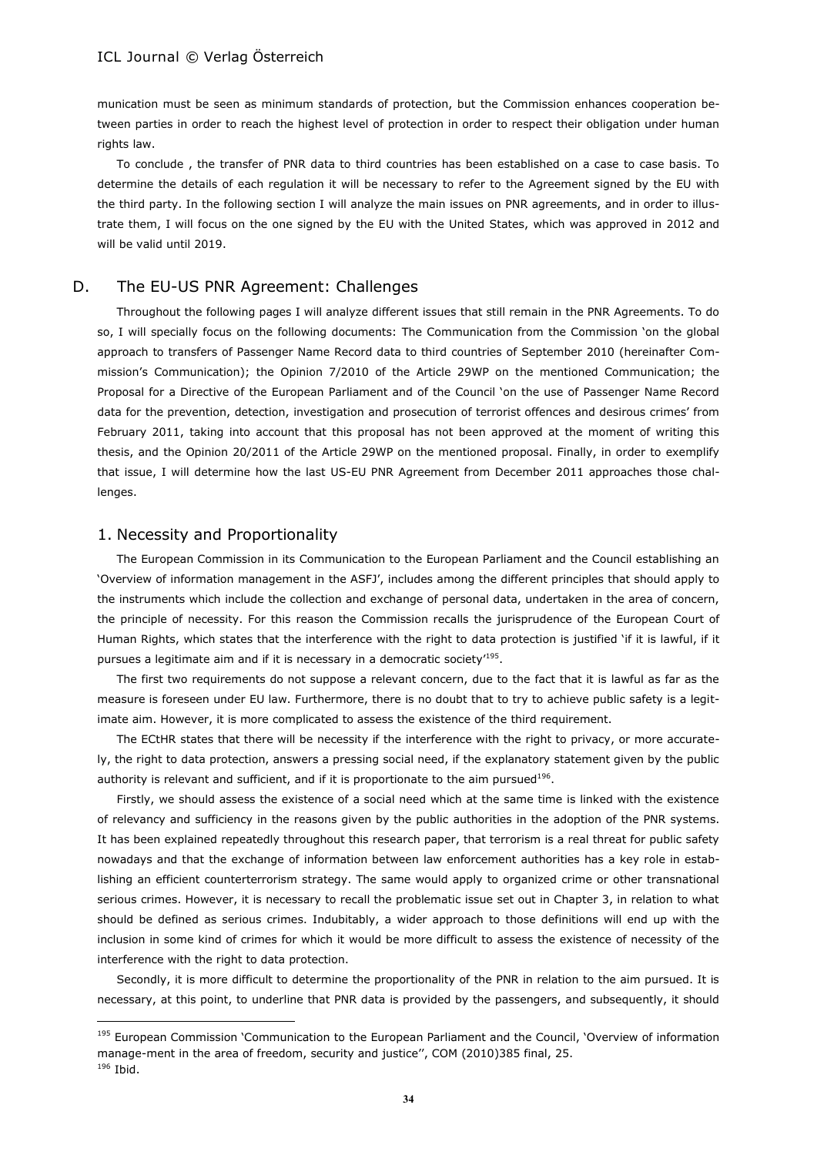munication must be seen as minimum standards of protection, but the Commission enhances cooperation between parties in order to reach the highest level of protection in order to respect their obligation under human rights law.

To conclude , the transfer of PNR data to third countries has been established on a case to case basis. To determine the details of each regulation it will be necessary to refer to the Agreement signed by the EU with the third party. In the following section I will analyze the main issues on PNR agreements, and in order to illustrate them, I will focus on the one signed by the EU with the United States, which was approved in 2012 and will be valid until 2019.

#### D. The EU-US PNR Agreement: Challenges

Throughout the following pages I will analyze different issues that still remain in the PNR Agreements. To do so, I will specially focus on the following documents: The Communication from the Commission 'on the global approach to transfers of Passenger Name Record data to third countries of September 2010 (hereinafter Commission's Communication); the Opinion 7/2010 of the Article 29WP on the mentioned Communication; the Proposal for a Directive of the European Parliament and of the Council 'on the use of Passenger Name Record data for the prevention, detection, investigation and prosecution of terrorist offences and desirous crimes' from February 2011, taking into account that this proposal has not been approved at the moment of writing this thesis, and the Opinion 20/2011 of the Article 29WP on the mentioned proposal. Finally, in order to exemplify that issue, I will determine how the last US-EU PNR Agreement from December 2011 approaches those challenges.

#### 1. Necessity and Proportionality

The European Commission in its Communication to the European Parliament and the Council establishing an 'Overview of information management in the ASFJ', includes among the different principles that should apply to the instruments which include the collection and exchange of personal data, undertaken in the area of concern, the principle of necessity. For this reason the Commission recalls the jurisprudence of the European Court of Human Rights, which states that the interference with the right to data protection is justified 'if it is lawful, if it pursues a legitimate aim and if it is necessary in a democratic society<sup>195</sup>.

The first two requirements do not suppose a relevant concern, due to the fact that it is lawful as far as the measure is foreseen under EU law. Furthermore, there is no doubt that to try to achieve public safety is a legitimate aim. However, it is more complicated to assess the existence of the third requirement.

The ECtHR states that there will be necessity if the interference with the right to privacy, or more accurately, the right to data protection, answers a pressing social need, if the explanatory statement given by the public authority is relevant and sufficient, and if it is proportionate to the aim pursued<sup>196</sup>.

Firstly, we should assess the existence of a social need which at the same time is linked with the existence of relevancy and sufficiency in the reasons given by the public authorities in the adoption of the PNR systems. It has been explained repeatedly throughout this research paper, that terrorism is a real threat for public safety nowadays and that the exchange of information between law enforcement authorities has a key role in establishing an efficient counterterrorism strategy. The same would apply to organized crime or other transnational serious crimes. However, it is necessary to recall the problematic issue set out in Chapter 3, in relation to what should be defined as serious crimes. Indubitably, a wider approach to those definitions will end up with the inclusion in some kind of crimes for which it would be more difficult to assess the existence of necessity of the interference with the right to data protection.

Secondly, it is more difficult to determine the proportionality of the PNR in relation to the aim pursued. It is necessary, at this point, to underline that PNR data is provided by the passengers, and subsequently, it should

<sup>&</sup>lt;sup>195</sup> European Commission 'Communication to the European Parliament and the Council, 'Overview of information manage-ment in the area of freedom, security and justice'', COM (2010)385 final, 25.

<sup>196</sup> Ibid.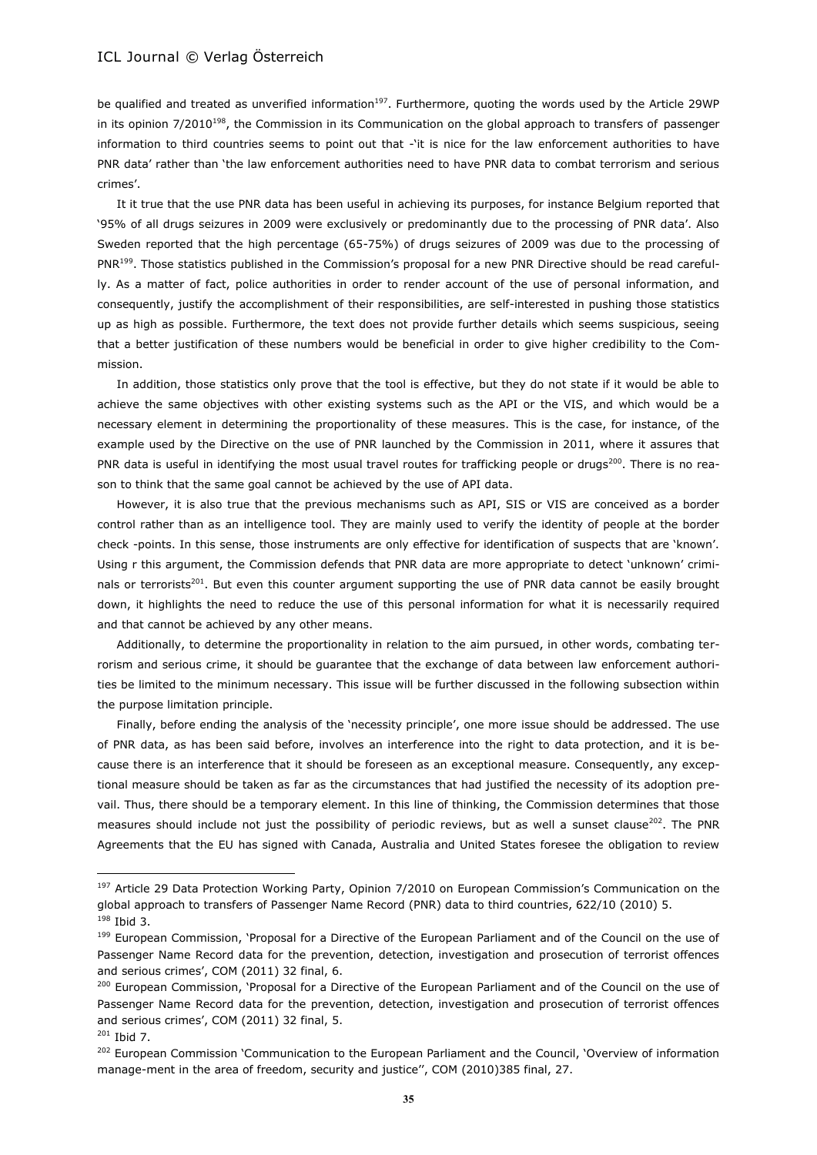be qualified and treated as unverified information<sup>197</sup>. Furthermore, quoting the words used by the Article 29WP in its opinion 7/2010<sup>198</sup>, the Commission in its Communication on the global approach to transfers of passenger information to third countries seems to point out that -'it is nice for the law enforcement authorities to have PNR data' rather than 'the law enforcement authorities need to have PNR data to combat terrorism and serious crimes'.

It it true that the use PNR data has been useful in achieving its purposes, for instance Belgium reported that '95% of all drugs seizures in 2009 were exclusively or predominantly due to the processing of PNR data'. Also Sweden reported that the high percentage (65-75%) of drugs seizures of 2009 was due to the processing of PNR<sup>199</sup>. Those statistics published in the Commission's proposal for a new PNR Directive should be read carefully. As a matter of fact, police authorities in order to render account of the use of personal information, and consequently, justify the accomplishment of their responsibilities, are self-interested in pushing those statistics up as high as possible. Furthermore, the text does not provide further details which seems suspicious, seeing that a better justification of these numbers would be beneficial in order to give higher credibility to the Commission.

In addition, those statistics only prove that the tool is effective, but they do not state if it would be able to achieve the same objectives with other existing systems such as the API or the VIS, and which would be a necessary element in determining the proportionality of these measures. This is the case, for instance, of the example used by the Directive on the use of PNR launched by the Commission in 2011, where it assures that PNR data is useful in identifying the most usual travel routes for trafficking people or drugs<sup>200</sup>. There is no reason to think that the same goal cannot be achieved by the use of API data.

However, it is also true that the previous mechanisms such as API, SIS or VIS are conceived as a border control rather than as an intelligence tool. They are mainly used to verify the identity of people at the border check -points. In this sense, those instruments are only effective for identification of suspects that are 'known'. Using r this argument, the Commission defends that PNR data are more appropriate to detect 'unknown' criminals or terrorists<sup>201</sup>. But even this counter argument supporting the use of PNR data cannot be easily brought down, it highlights the need to reduce the use of this personal information for what it is necessarily required and that cannot be achieved by any other means.

Additionally, to determine the proportionality in relation to the aim pursued, in other words, combating terrorism and serious crime, it should be guarantee that the exchange of data between law enforcement authorities be limited to the minimum necessary. This issue will be further discussed in the following subsection within the purpose limitation principle.

Finally, before ending the analysis of the 'necessity principle', one more issue should be addressed. The use of PNR data, as has been said before, involves an interference into the right to data protection, and it is because there is an interference that it should be foreseen as an exceptional measure. Consequently, any exceptional measure should be taken as far as the circumstances that had justified the necessity of its adoption prevail. Thus, there should be a temporary element. In this line of thinking, the Commission determines that those measures should include not just the possibility of periodic reviews, but as well a sunset clause<sup>202</sup>. The PNR Agreements that the EU has signed with Canada, Australia and United States foresee the obligation to review

<sup>&</sup>lt;sup>197</sup> Article 29 Data Protection Working Party, Opinion 7/2010 on European Commission's Communication on the global approach to transfers of Passenger Name Record (PNR) data to third countries, 622/10 (2010) 5. <sup>198</sup> Ibid 3.

<sup>&</sup>lt;sup>199</sup> European Commission, 'Proposal for a Directive of the European Parliament and of the Council on the use of Passenger Name Record data for the prevention, detection, investigation and prosecution of terrorist offences and serious crimes', COM (2011) 32 final, 6.

<sup>&</sup>lt;sup>200</sup> European Commission, 'Proposal for a Directive of the European Parliament and of the Council on the use of Passenger Name Record data for the prevention, detection, investigation and prosecution of terrorist offences and serious crimes', COM (2011) 32 final, 5.

 $201$  Ibid 7.

<sup>&</sup>lt;sup>202</sup> European Commission 'Communication to the European Parliament and the Council, 'Overview of information manage-ment in the area of freedom, security and justice'', COM (2010)385 final, 27.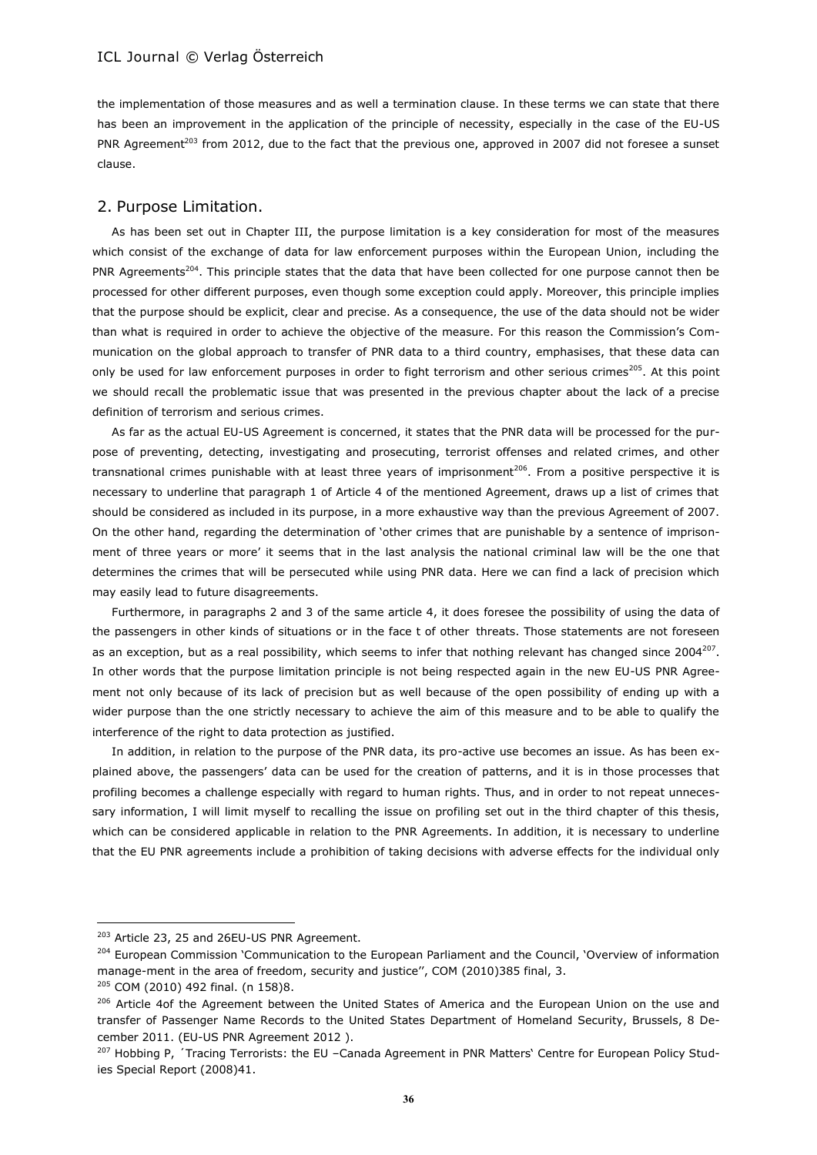the implementation of those measures and as well a termination clause. In these terms we can state that there has been an improvement in the application of the principle of necessity, especially in the case of the EU-US PNR Agreement<sup>203</sup> from 2012, due to the fact that the previous one, approved in 2007 did not foresee a sunset clause.

### 2. Purpose Limitation.

As has been set out in Chapter III, the purpose limitation is a key consideration for most of the measures which consist of the exchange of data for law enforcement purposes within the European Union, including the PNR Agreements<sup>204</sup>. This principle states that the data that have been collected for one purpose cannot then be processed for other different purposes, even though some exception could apply. Moreover, this principle implies that the purpose should be explicit, clear and precise. As a consequence, the use of the data should not be wider than what is required in order to achieve the objective of the measure. For this reason the Commission's Communication on the global approach to transfer of PNR data to a third country, emphasises, that these data can only be used for law enforcement purposes in order to fight terrorism and other serious crimes<sup>205</sup>. At this point we should recall the problematic issue that was presented in the previous chapter about the lack of a precise definition of terrorism and serious crimes.

As far as the actual EU-US Agreement is concerned, it states that the PNR data will be processed for the purpose of preventing, detecting, investigating and prosecuting, terrorist offenses and related crimes, and other transnational crimes punishable with at least three years of imprisonment<sup>206</sup>. From a positive perspective it is necessary to underline that paragraph 1 of Article 4 of the mentioned Agreement, draws up a list of crimes that should be considered as included in its purpose, in a more exhaustive way than the previous Agreement of 2007. On the other hand, regarding the determination of 'other crimes that are punishable by a sentence of imprisonment of three years or more' it seems that in the last analysis the national criminal law will be the one that determines the crimes that will be persecuted while using PNR data. Here we can find a lack of precision which may easily lead to future disagreements.

Furthermore, in paragraphs 2 and 3 of the same article 4, it does foresee the possibility of using the data of the passengers in other kinds of situations or in the face t of other threats. Those statements are not foreseen as an exception, but as a real possibility, which seems to infer that nothing relevant has changed since 2004 $^{207}$ . In other words that the purpose limitation principle is not being respected again in the new EU-US PNR Agreement not only because of its lack of precision but as well because of the open possibility of ending up with a wider purpose than the one strictly necessary to achieve the aim of this measure and to be able to qualify the interference of the right to data protection as justified.

In addition, in relation to the purpose of the PNR data, its pro-active use becomes an issue. As has been explained above, the passengers' data can be used for the creation of patterns, and it is in those processes that profiling becomes a challenge especially with regard to human rights. Thus, and in order to not repeat unnecessary information, I will limit myself to recalling the issue on profiling set out in the third chapter of this thesis, which can be considered applicable in relation to the PNR Agreements. In addition, it is necessary to underline that the EU PNR agreements include a prohibition of taking decisions with adverse effects for the individual only

<sup>&</sup>lt;sup>203</sup> Article 23, 25 and 26EU-US PNR Agreement.

<sup>&</sup>lt;sup>204</sup> European Commission 'Communication to the European Parliament and the Council, 'Overview of information manage-ment in the area of freedom, security and justice'', COM (2010)385 final, 3.

<sup>205</sup> COM (2010) 492 final. (n 158)8.

<sup>&</sup>lt;sup>206</sup> Article 4of the Agreement between the United States of America and the European Union on the use and transfer of Passenger Name Records to the United States Department of Homeland Security, Brussels, 8 December 2011. (EU-US PNR Agreement 2012 ).

 $207$  Hobbing P,  $\dot{\ }$ Tracing Terrorists: the EU –Canada Agreement in PNR Matters' Centre for European Policy Studies Special Report (2008)41.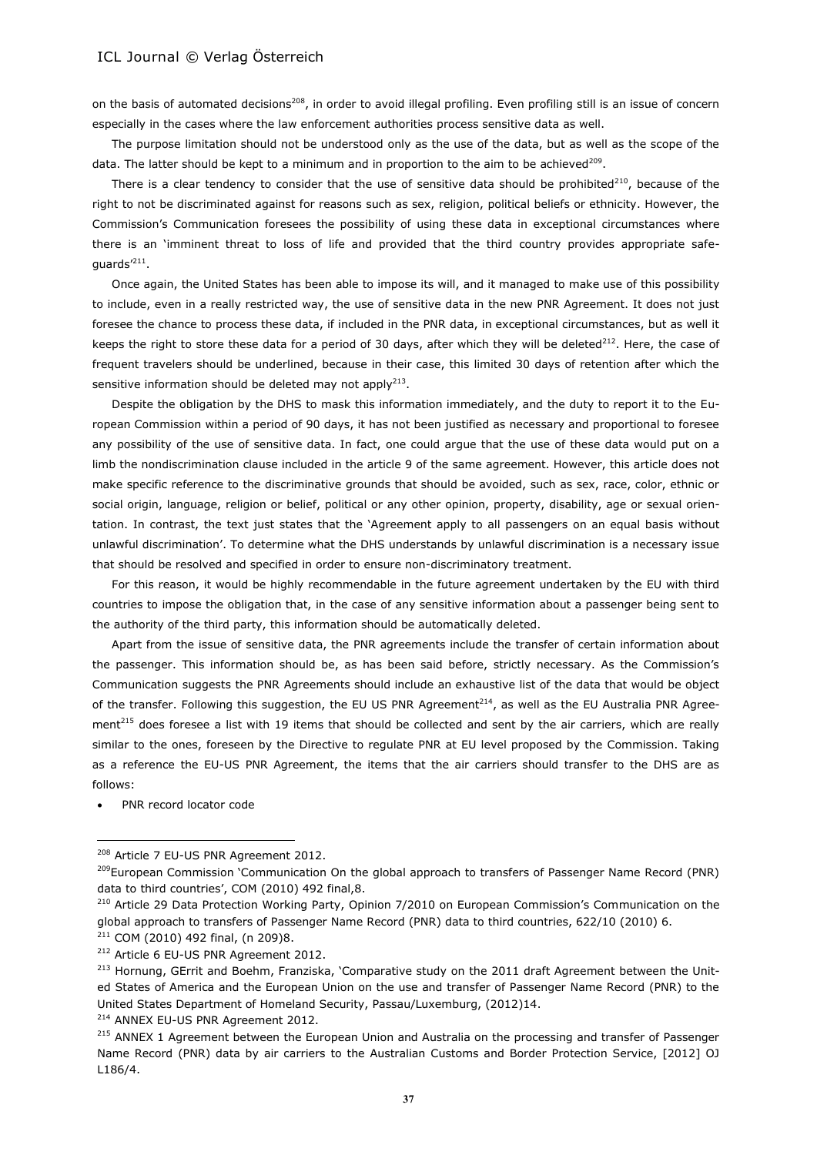on the basis of automated decisions<sup>208</sup>, in order to avoid illegal profiling. Even profiling still is an issue of concern especially in the cases where the law enforcement authorities process sensitive data as well.

The purpose limitation should not be understood only as the use of the data, but as well as the scope of the data. The latter should be kept to a minimum and in proportion to the aim to be achieved<sup>209</sup>.

There is a clear tendency to consider that the use of sensitive data should be prohibited<sup>210</sup>, because of the right to not be discriminated against for reasons such as sex, religion, political beliefs or ethnicity. However, the Commission's Communication foresees the possibility of using these data in exceptional circumstances where there is an 'imminent threat to loss of life and provided that the third country provides appropriate safeguards'<sup>211</sup>.

Once again, the United States has been able to impose its will, and it managed to make use of this possibility to include, even in a really restricted way, the use of sensitive data in the new PNR Agreement. It does not just foresee the chance to process these data, if included in the PNR data, in exceptional circumstances, but as well it keeps the right to store these data for a period of 30 days, after which they will be deleted<sup>212</sup>. Here, the case of frequent travelers should be underlined, because in their case, this limited 30 days of retention after which the sensitive information should be deleted may not apply<sup>213</sup>.

Despite the obligation by the DHS to mask this information immediately, and the duty to report it to the European Commission within a period of 90 days, it has not been justified as necessary and proportional to foresee any possibility of the use of sensitive data. In fact, one could argue that the use of these data would put on a limb the nondiscrimination clause included in the article 9 of the same agreement. However, this article does not make specific reference to the discriminative grounds that should be avoided, such as sex, race, color, ethnic or social origin, language, religion or belief, political or any other opinion, property, disability, age or sexual orientation. In contrast, the text just states that the 'Agreement apply to all passengers on an equal basis without unlawful discrimination'. To determine what the DHS understands by unlawful discrimination is a necessary issue that should be resolved and specified in order to ensure non-discriminatory treatment.

For this reason, it would be highly recommendable in the future agreement undertaken by the EU with third countries to impose the obligation that, in the case of any sensitive information about a passenger being sent to the authority of the third party, this information should be automatically deleted.

Apart from the issue of sensitive data, the PNR agreements include the transfer of certain information about the passenger. This information should be, as has been said before, strictly necessary. As the Commission's Communication suggests the PNR Agreements should include an exhaustive list of the data that would be object of the transfer. Following this suggestion, the EU US PNR Agreement<sup>214</sup>, as well as the EU Australia PNR Agreement<sup>215</sup> does foresee a list with 19 items that should be collected and sent by the air carriers, which are really similar to the ones, foreseen by the Directive to regulate PNR at EU level proposed by the Commission. Taking as a reference the EU-US PNR Agreement, the items that the air carriers should transfer to the DHS are as follows:

PNR record locator code

 $\overline{a}$ 

<sup>214</sup> ANNEX EU-US PNR Agreement 2012.

<sup>&</sup>lt;sup>208</sup> Article 7 EU-US PNR Agreement 2012.

<sup>&</sup>lt;sup>209</sup>European Commission 'Communication On the global approach to transfers of Passenger Name Record (PNR) data to third countries', COM (2010) 492 final,8.

<sup>&</sup>lt;sup>210</sup> Article 29 Data Protection Working Party, Opinion 7/2010 on European Commission's Communication on the global approach to transfers of Passenger Name Record (PNR) data to third countries, 622/10 (2010) 6. <sup>211</sup> COM (2010) 492 final, (n 209)8.

<sup>&</sup>lt;sup>212</sup> Article 6 EU-US PNR Agreement 2012.

<sup>&</sup>lt;sup>213</sup> Hornung, GErrit and Boehm, Franziska, 'Comparative study on the 2011 draft Agreement between the United States of America and the European Union on the use and transfer of Passenger Name Record (PNR) to the United States Department of Homeland Security, Passau/Luxemburg, (2012)14.

<sup>&</sup>lt;sup>215</sup> ANNEX 1 Agreement between the European Union and Australia on the processing and transfer of Passenger Name Record (PNR) data by air carriers to the Australian Customs and Border Protection Service, [2012] OJ L186/4.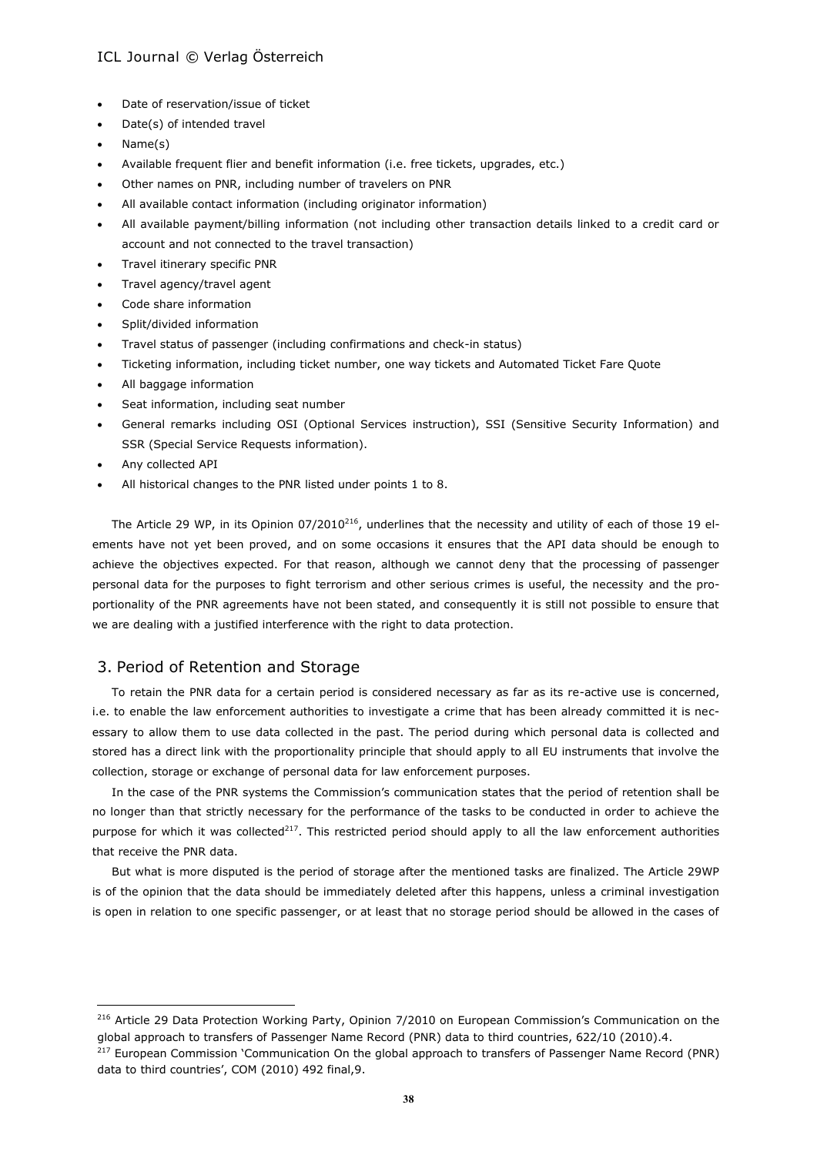- Date of reservation/issue of ticket
- Date(s) of intended travel
- Name(s)
- Available frequent flier and benefit information (i.e. free tickets, upgrades, etc.)
- Other names on PNR, including number of travelers on PNR
- All available contact information (including originator information)
- All available payment/billing information (not including other transaction details linked to a credit card or account and not connected to the travel transaction)
- Travel itinerary specific PNR
- Travel agency/travel agent
- Code share information
- Split/divided information
- Travel status of passenger (including confirmations and check-in status)
- Ticketing information, including ticket number, one way tickets and Automated Ticket Fare Quote
- All baggage information
- Seat information, including seat number
- General remarks including OSI (Optional Services instruction), SSI (Sensitive Security Information) and SSR (Special Service Requests information).
- Any collected API

 $\overline{a}$ 

All historical changes to the PNR listed under points 1 to 8.

The Article 29 WP, in its Opinion 07/2010<sup>216</sup>, underlines that the necessity and utility of each of those 19 elements have not yet been proved, and on some occasions it ensures that the API data should be enough to achieve the objectives expected. For that reason, although we cannot deny that the processing of passenger personal data for the purposes to fight terrorism and other serious crimes is useful, the necessity and the proportionality of the PNR agreements have not been stated, and consequently it is still not possible to ensure that we are dealing with a justified interference with the right to data protection.

## 3. Period of Retention and Storage

To retain the PNR data for a certain period is considered necessary as far as its re-active use is concerned, i.e. to enable the law enforcement authorities to investigate a crime that has been already committed it is necessary to allow them to use data collected in the past. The period during which personal data is collected and stored has a direct link with the proportionality principle that should apply to all EU instruments that involve the collection, storage or exchange of personal data for law enforcement purposes.

In the case of the PNR systems the Commission's communication states that the period of retention shall be no longer than that strictly necessary for the performance of the tasks to be conducted in order to achieve the purpose for which it was collected $^{217}$ . This restricted period should apply to all the law enforcement authorities that receive the PNR data.

But what is more disputed is the period of storage after the mentioned tasks are finalized. The Article 29WP is of the opinion that the data should be immediately deleted after this happens, unless a criminal investigation is open in relation to one specific passenger, or at least that no storage period should be allowed in the cases of

<sup>&</sup>lt;sup>216</sup> Article 29 Data Protection Working Party, Opinion 7/2010 on European Commission's Communication on the global approach to transfers of Passenger Name Record (PNR) data to third countries, 622/10 (2010).4. <sup>217</sup> European Commission 'Communication On the global approach to transfers of Passenger Name Record (PNR) data to third countries', COM (2010) 492 final,9.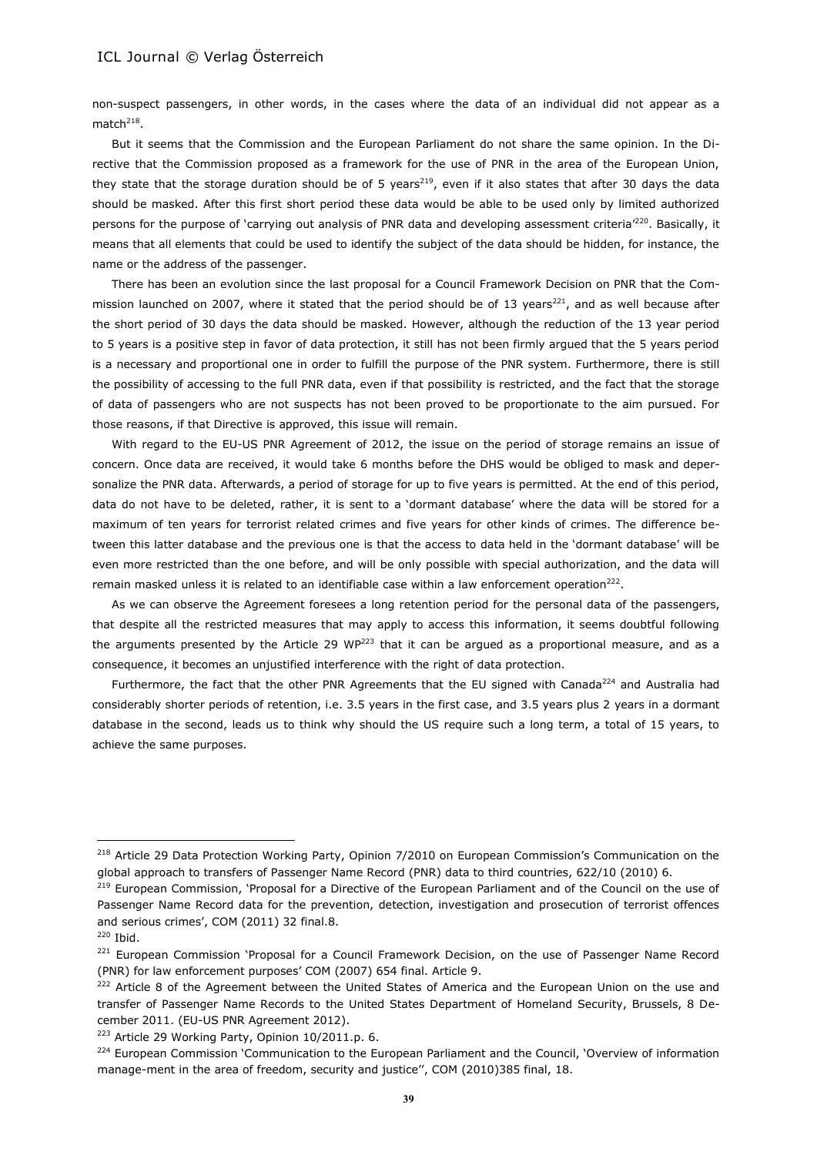non-suspect passengers, in other words, in the cases where the data of an individual did not appear as a match $^{218}$ .

But it seems that the Commission and the European Parliament do not share the same opinion. In the Directive that the Commission proposed as a framework for the use of PNR in the area of the European Union, they state that the storage duration should be of 5 years<sup>219</sup>, even if it also states that after 30 days the data should be masked. After this first short period these data would be able to be used only by limited authorized persons for the purpose of 'carrying out analysis of PNR data and developing assessment criteria'<sup>220</sup>. Basically, it means that all elements that could be used to identify the subject of the data should be hidden, for instance, the name or the address of the passenger.

There has been an evolution since the last proposal for a Council Framework Decision on PNR that the Commission launched on 2007, where it stated that the period should be of 13 years<sup>221</sup>, and as well because after the short period of 30 days the data should be masked. However, although the reduction of the 13 year period to 5 years is a positive step in favor of data protection, it still has not been firmly argued that the 5 years period is a necessary and proportional one in order to fulfill the purpose of the PNR system. Furthermore, there is still the possibility of accessing to the full PNR data, even if that possibility is restricted, and the fact that the storage of data of passengers who are not suspects has not been proved to be proportionate to the aim pursued. For those reasons, if that Directive is approved, this issue will remain.

With regard to the EU-US PNR Agreement of 2012, the issue on the period of storage remains an issue of concern. Once data are received, it would take 6 months before the DHS would be obliged to mask and depersonalize the PNR data. Afterwards, a period of storage for up to five years is permitted. At the end of this period, data do not have to be deleted, rather, it is sent to a 'dormant database' where the data will be stored for a maximum of ten years for terrorist related crimes and five years for other kinds of crimes. The difference between this latter database and the previous one is that the access to data held in the 'dormant database' will be even more restricted than the one before, and will be only possible with special authorization, and the data will remain masked unless it is related to an identifiable case within a law enforcement operation<sup>222</sup>.

As we can observe the Agreement foresees a long retention period for the personal data of the passengers, that despite all the restricted measures that may apply to access this information, it seems doubtful following the arguments presented by the Article 29 WP<sup>223</sup> that it can be argued as a proportional measure, and as a consequence, it becomes an unjustified interference with the right of data protection.

Furthermore, the fact that the other PNR Agreements that the EU signed with Canada<sup>224</sup> and Australia had considerably shorter periods of retention, i.e. 3.5 years in the first case, and 3.5 years plus 2 years in a dormant database in the second, leads us to think why should the US require such a long term, a total of 15 years, to achieve the same purposes.

<sup>&</sup>lt;sup>218</sup> Article 29 Data Protection Working Party, Opinion 7/2010 on European Commission's Communication on the global approach to transfers of Passenger Name Record (PNR) data to third countries, 622/10 (2010) 6.

<sup>&</sup>lt;sup>219</sup> European Commission, 'Proposal for a Directive of the European Parliament and of the Council on the use of Passenger Name Record data for the prevention, detection, investigation and prosecution of terrorist offences and serious crimes', COM (2011) 32 final.8.

<sup>220</sup> Ibid.

<sup>&</sup>lt;sup>221</sup> European Commission 'Proposal for a Council Framework Decision, on the use of Passenger Name Record (PNR) for law enforcement purposes' COM (2007) 654 final. Article 9.

<sup>&</sup>lt;sup>222</sup> Article 8 of the Agreement between the United States of America and the European Union on the use and transfer of Passenger Name Records to the United States Department of Homeland Security, Brussels, 8 December 2011. (EU-US PNR Agreement 2012).

<sup>&</sup>lt;sup>223</sup> Article 29 Working Party, Opinion 10/2011.p. 6.

<sup>&</sup>lt;sup>224</sup> European Commission 'Communication to the European Parliament and the Council, 'Overview of information manage-ment in the area of freedom, security and justice'', COM (2010)385 final, 18.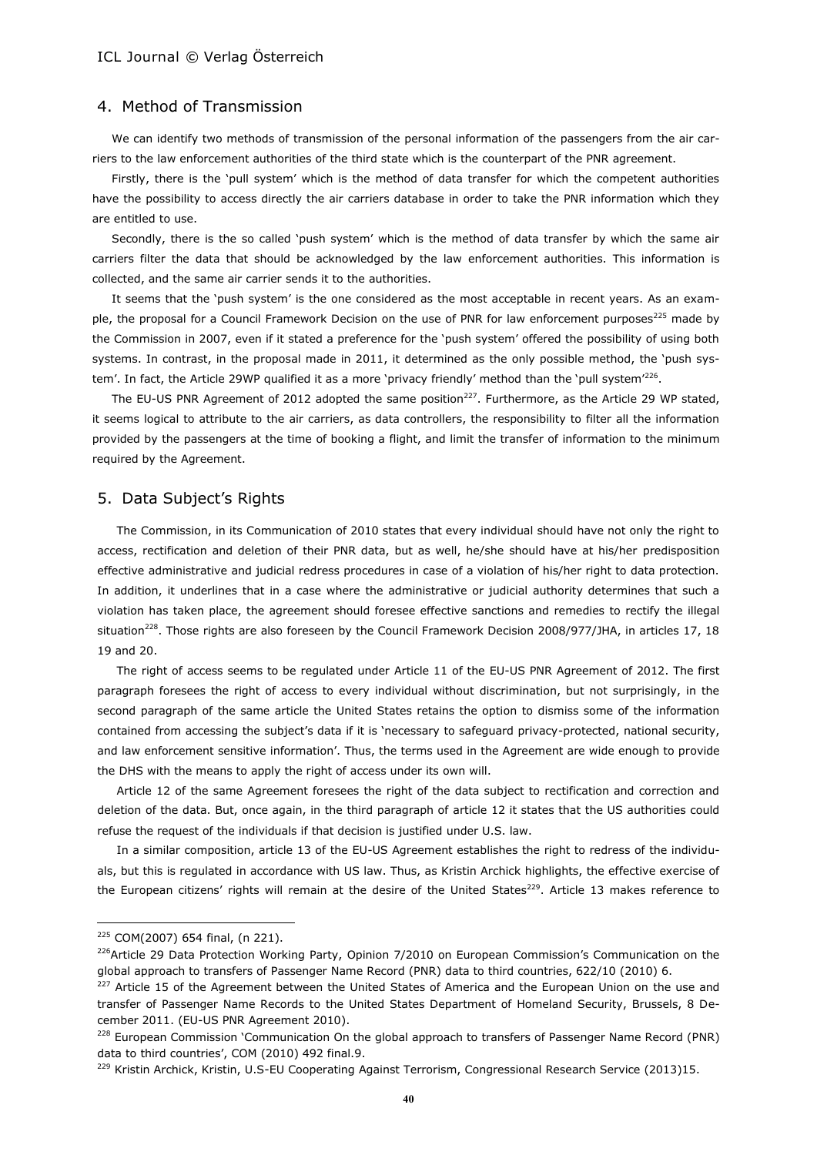## 4. Method of Transmission

We can identify two methods of transmission of the personal information of the passengers from the air carriers to the law enforcement authorities of the third state which is the counterpart of the PNR agreement.

Firstly, there is the 'pull system' which is the method of data transfer for which the competent authorities have the possibility to access directly the air carriers database in order to take the PNR information which they are entitled to use.

Secondly, there is the so called 'push system' which is the method of data transfer by which the same air carriers filter the data that should be acknowledged by the law enforcement authorities. This information is collected, and the same air carrier sends it to the authorities.

It seems that the 'push system' is the one considered as the most acceptable in recent years. As an example, the proposal for a Council Framework Decision on the use of PNR for law enforcement purposes<sup>225</sup> made by the Commission in 2007, even if it stated a preference for the 'push system' offered the possibility of using both systems. In contrast, in the proposal made in 2011, it determined as the only possible method, the 'push system'. In fact, the Article 29WP qualified it as a more `privacy friendly' method than the `pull system'<sup>226</sup>.

The EU-US PNR Agreement of 2012 adopted the same position<sup>227</sup>. Furthermore, as the Article 29 WP stated, it seems logical to attribute to the air carriers, as data controllers, the responsibility to filter all the information provided by the passengers at the time of booking a flight, and limit the transfer of information to the minimum required by the Agreement.

#### 5. Data Subject's Rights

The Commission, in its Communication of 2010 states that every individual should have not only the right to access, rectification and deletion of their PNR data, but as well, he/she should have at his/her predisposition effective administrative and judicial redress procedures in case of a violation of his/her right to data protection. In addition, it underlines that in a case where the administrative or judicial authority determines that such a violation has taken place, the agreement should foresee effective sanctions and remedies to rectify the illegal situation<sup>228</sup>. Those rights are also foreseen by the Council Framework Decision 2008/977/JHA, in articles 17, 18 19 and 20.

The right of access seems to be regulated under Article 11 of the EU-US PNR Agreement of 2012. The first paragraph foresees the right of access to every individual without discrimination, but not surprisingly, in the second paragraph of the same article the United States retains the option to dismiss some of the information contained from accessing the subject's data if it is 'necessary to safeguard privacy-protected, national security, and law enforcement sensitive information'. Thus, the terms used in the Agreement are wide enough to provide the DHS with the means to apply the right of access under its own will.

Article 12 of the same Agreement foresees the right of the data subject to rectification and correction and deletion of the data. But, once again, in the third paragraph of article 12 it states that the US authorities could refuse the request of the individuals if that decision is justified under U.S. law.

In a similar composition, article 13 of the EU-US Agreement establishes the right to redress of the individuals, but this is regulated in accordance with US law. Thus, as Kristin Archick highlights, the effective exercise of the European citizens' rights will remain at the desire of the United States<sup>229</sup>. Article 13 makes reference to

<sup>225</sup> COM(2007) 654 final, (n 221).

 $226$ Article 29 Data Protection Working Party, Opinion 7/2010 on European Commission's Communication on the global approach to transfers of Passenger Name Record (PNR) data to third countries, 622/10 (2010) 6.

<sup>&</sup>lt;sup>227</sup> Article 15 of the Agreement between the United States of America and the European Union on the use and transfer of Passenger Name Records to the United States Department of Homeland Security, Brussels, 8 December 2011. (EU-US PNR Agreement 2010).

<sup>&</sup>lt;sup>228</sup> European Commission 'Communication On the global approach to transfers of Passenger Name Record (PNR) data to third countries', COM (2010) 492 final.9.

<sup>&</sup>lt;sup>229</sup> Kristin Archick, Kristin, U.S-EU Cooperating Against Terrorism, Congressional Research Service (2013)15.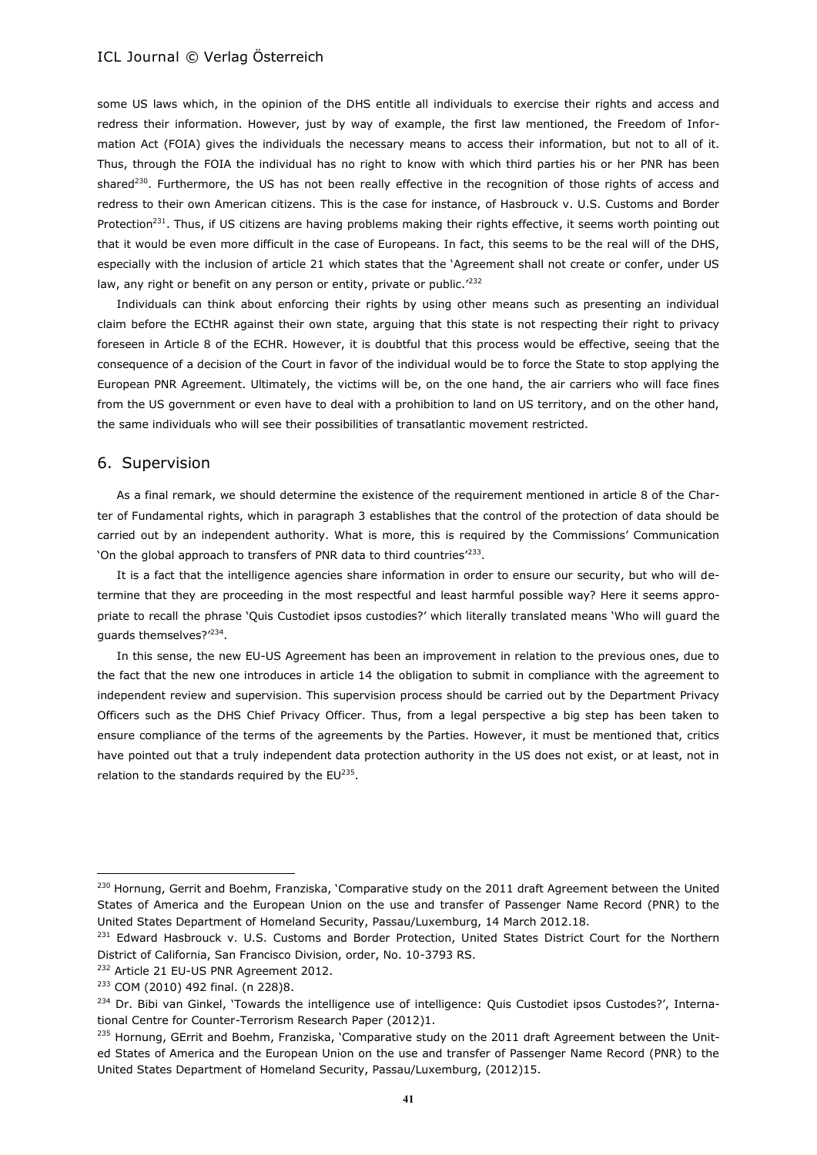some US laws which, in the opinion of the DHS entitle all individuals to exercise their rights and access and redress their information. However, just by way of example, the first law mentioned, the Freedom of Information Act (FOIA) gives the individuals the necessary means to access their information, but not to all of it. Thus, through the FOIA the individual has no right to know with which third parties his or her PNR has been shared<sup>230</sup>. Furthermore, the US has not been really effective in the recognition of those rights of access and redress to their own American citizens. This is the case for instance, of Hasbrouck v. U.S. Customs and Border Protection<sup>231</sup>. Thus, if US citizens are having problems making their rights effective, it seems worth pointing out that it would be even more difficult in the case of Europeans. In fact, this seems to be the real will of the DHS, especially with the inclusion of article 21 which states that the 'Agreement shall not create or confer, under US law, any right or benefit on any person or entity, private or public.<sup>'232</sup>

Individuals can think about enforcing their rights by using other means such as presenting an individual claim before the ECtHR against their own state, arguing that this state is not respecting their right to privacy foreseen in Article 8 of the ECHR. However, it is doubtful that this process would be effective, seeing that the consequence of a decision of the Court in favor of the individual would be to force the State to stop applying the European PNR Agreement. Ultimately, the victims will be, on the one hand, the air carriers who will face fines from the US government or even have to deal with a prohibition to land on US territory, and on the other hand, the same individuals who will see their possibilities of transatlantic movement restricted.

#### 6. Supervision

As a final remark, we should determine the existence of the requirement mentioned in article 8 of the Charter of Fundamental rights, which in paragraph 3 establishes that the control of the protection of data should be carried out by an independent authority. What is more, this is required by the Commissions' Communication 'On the global approach to transfers of PNR data to third countries'<sup>233</sup>.

It is a fact that the intelligence agencies share information in order to ensure our security, but who will determine that they are proceeding in the most respectful and least harmful possible way? Here it seems appropriate to recall the phrase 'Quis Custodiet ipsos custodies?' which literally translated means 'Who will guard the guards themselves?'<sup>234</sup>.

In this sense, the new EU-US Agreement has been an improvement in relation to the previous ones, due to the fact that the new one introduces in article 14 the obligation to submit in compliance with the agreement to independent review and supervision. This supervision process should be carried out by the Department Privacy Officers such as the DHS Chief Privacy Officer. Thus, from a legal perspective a big step has been taken to ensure compliance of the terms of the agreements by the Parties. However, it must be mentioned that, critics have pointed out that a truly independent data protection authority in the US does not exist, or at least, not in relation to the standards required by the  $EU^{235}$ .

<sup>&</sup>lt;sup>230</sup> Hornung, Gerrit and Boehm, Franziska, 'Comparative study on the 2011 draft Agreement between the United States of America and the European Union on the use and transfer of Passenger Name Record (PNR) to the United States Department of Homeland Security, Passau/Luxemburg, 14 March 2012.18.

<sup>&</sup>lt;sup>231</sup> Edward Hasbrouck v. U.S. Customs and Border Protection, United States District Court for the Northern District of California, San Francisco Division, order, No. 10-3793 RS.

<sup>&</sup>lt;sup>232</sup> Article 21 EU-US PNR Agreement 2012.

<sup>233</sup> COM (2010) 492 final. (n 228)8.

<sup>&</sup>lt;sup>234</sup> Dr. Bibi van Ginkel, 'Towards the intelligence use of intelligence: Quis Custodiet ipsos Custodes?', International Centre for Counter-Terrorism Research Paper (2012)1.

<sup>&</sup>lt;sup>235</sup> Hornung, GErrit and Boehm, Franziska, 'Comparative study on the 2011 draft Agreement between the United States of America and the European Union on the use and transfer of Passenger Name Record (PNR) to the United States Department of Homeland Security, Passau/Luxemburg, (2012)15.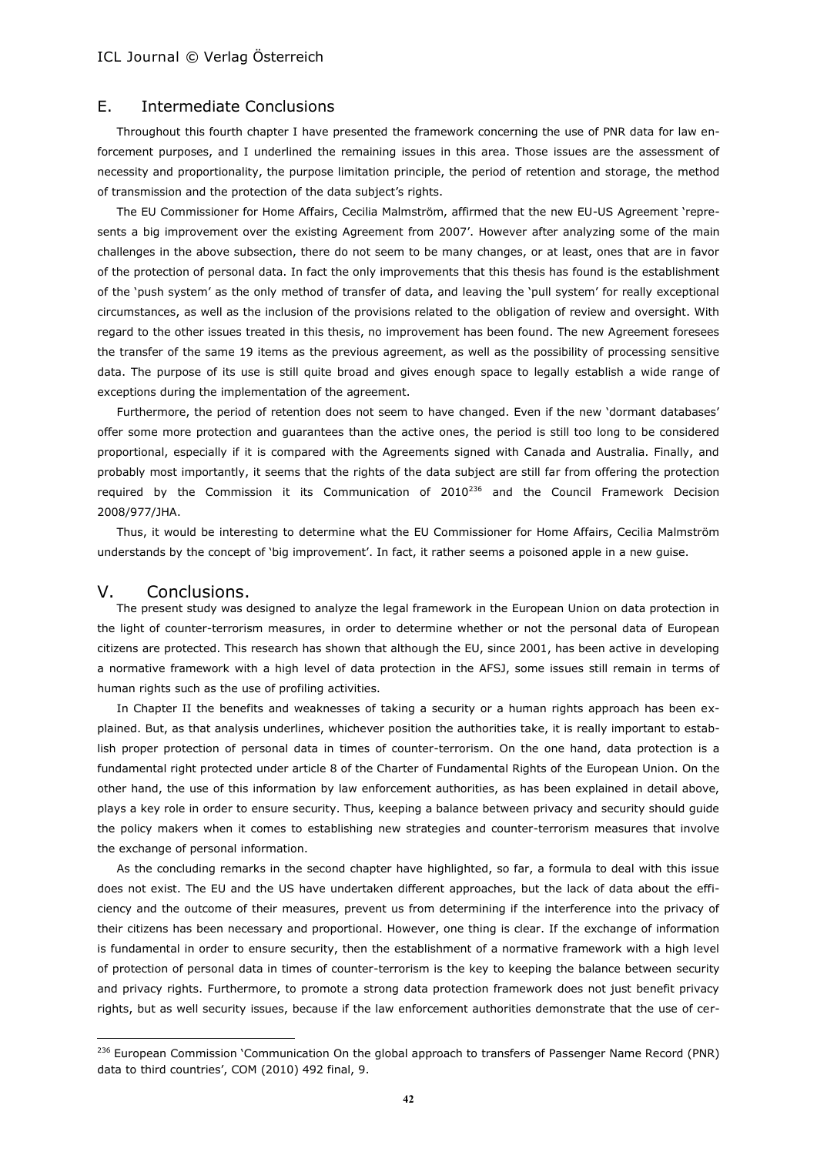### E. Intermediate Conclusions

Throughout this fourth chapter I have presented the framework concerning the use of PNR data for law enforcement purposes, and I underlined the remaining issues in this area. Those issues are the assessment of necessity and proportionality, the purpose limitation principle, the period of retention and storage, the method of transmission and the protection of the data subject's rights.

The EU Commissioner for Home Affairs, Cecilia Malmström, affirmed that the new EU-US Agreement 'represents a big improvement over the existing Agreement from 2007'. However after analyzing some of the main challenges in the above subsection, there do not seem to be many changes, or at least, ones that are in favor of the protection of personal data. In fact the only improvements that this thesis has found is the establishment of the 'push system' as the only method of transfer of data, and leaving the 'pull system' for really exceptional circumstances, as well as the inclusion of the provisions related to the obligation of review and oversight. With regard to the other issues treated in this thesis, no improvement has been found. The new Agreement foresees the transfer of the same 19 items as the previous agreement, as well as the possibility of processing sensitive data. The purpose of its use is still quite broad and gives enough space to legally establish a wide range of exceptions during the implementation of the agreement.

Furthermore, the period of retention does not seem to have changed. Even if the new 'dormant databases' offer some more protection and guarantees than the active ones, the period is still too long to be considered proportional, especially if it is compared with the Agreements signed with Canada and Australia. Finally, and probably most importantly, it seems that the rights of the data subject are still far from offering the protection required by the Commission it its Communication of  $2010^{236}$  and the Council Framework Decision 2008/977/JHA.

Thus, it would be interesting to determine what the EU Commissioner for Home Affairs, Cecilia Malmström understands by the concept of 'big improvement'. In fact, it rather seems a poisoned apple in a new guise.

#### V. Conclusions.

 $\overline{a}$ 

The present study was designed to analyze the legal framework in the European Union on data protection in the light of counter-terrorism measures, in order to determine whether or not the personal data of European citizens are protected. This research has shown that although the EU, since 2001, has been active in developing a normative framework with a high level of data protection in the AFSJ, some issues still remain in terms of human rights such as the use of profiling activities.

In Chapter II the benefits and weaknesses of taking a security or a human rights approach has been explained. But, as that analysis underlines, whichever position the authorities take, it is really important to establish proper protection of personal data in times of counter-terrorism. On the one hand, data protection is a fundamental right protected under article 8 of the Charter of Fundamental Rights of the European Union. On the other hand, the use of this information by law enforcement authorities, as has been explained in detail above, plays a key role in order to ensure security. Thus, keeping a balance between privacy and security should guide the policy makers when it comes to establishing new strategies and counter-terrorism measures that involve the exchange of personal information.

As the concluding remarks in the second chapter have highlighted, so far, a formula to deal with this issue does not exist. The EU and the US have undertaken different approaches, but the lack of data about the efficiency and the outcome of their measures, prevent us from determining if the interference into the privacy of their citizens has been necessary and proportional. However, one thing is clear. If the exchange of information is fundamental in order to ensure security, then the establishment of a normative framework with a high level of protection of personal data in times of counter-terrorism is the key to keeping the balance between security and privacy rights. Furthermore, to promote a strong data protection framework does not just benefit privacy rights, but as well security issues, because if the law enforcement authorities demonstrate that the use of cer-

<sup>&</sup>lt;sup>236</sup> European Commission 'Communication On the global approach to transfers of Passenger Name Record (PNR) data to third countries', COM (2010) 492 final, 9.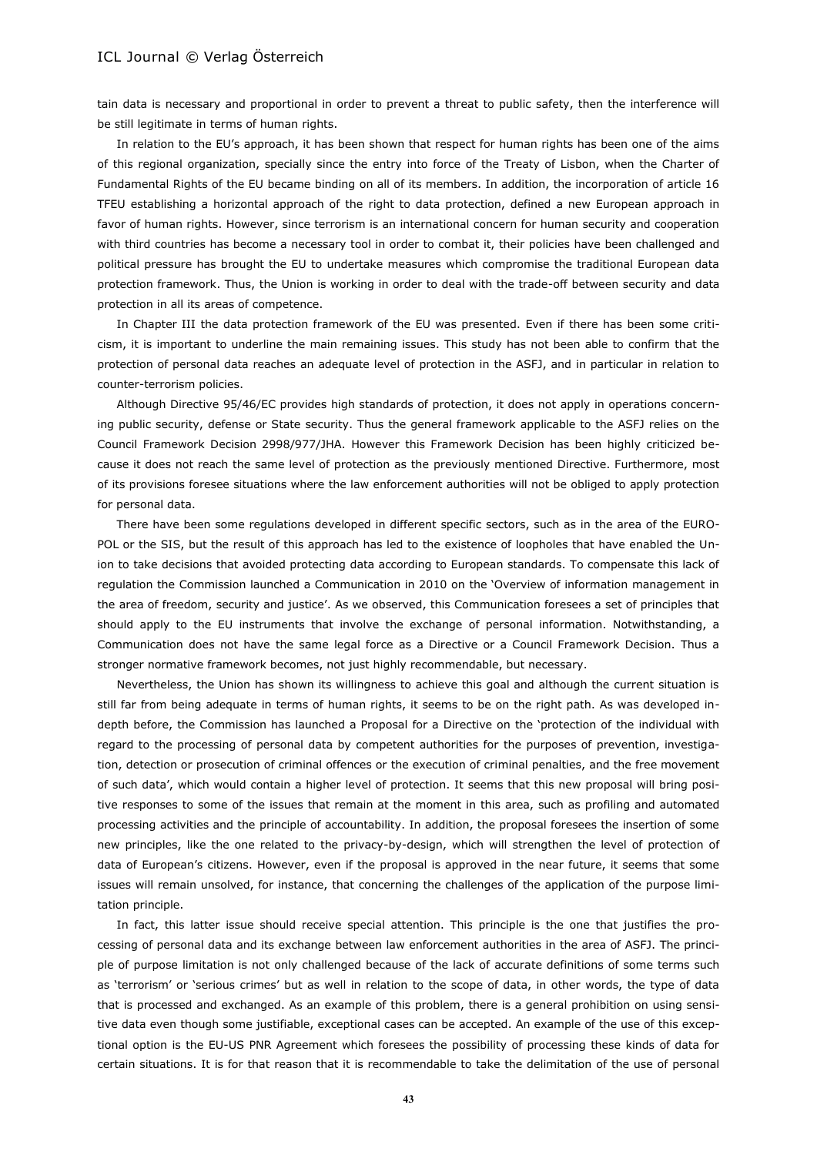tain data is necessary and proportional in order to prevent a threat to public safety, then the interference will be still legitimate in terms of human rights.

In relation to the EU's approach, it has been shown that respect for human rights has been one of the aims of this regional organization, specially since the entry into force of the Treaty of Lisbon, when the Charter of Fundamental Rights of the EU became binding on all of its members. In addition, the incorporation of article 16 TFEU establishing a horizontal approach of the right to data protection, defined a new European approach in favor of human rights. However, since terrorism is an international concern for human security and cooperation with third countries has become a necessary tool in order to combat it, their policies have been challenged and political pressure has brought the EU to undertake measures which compromise the traditional European data protection framework. Thus, the Union is working in order to deal with the trade-off between security and data protection in all its areas of competence.

In Chapter III the data protection framework of the EU was presented. Even if there has been some criticism, it is important to underline the main remaining issues. This study has not been able to confirm that the protection of personal data reaches an adequate level of protection in the ASFJ, and in particular in relation to counter-terrorism policies.

Although Directive 95/46/EC provides high standards of protection, it does not apply in operations concerning public security, defense or State security. Thus the general framework applicable to the ASFJ relies on the Council Framework Decision 2998/977/JHA. However this Framework Decision has been highly criticized because it does not reach the same level of protection as the previously mentioned Directive. Furthermore, most of its provisions foresee situations where the law enforcement authorities will not be obliged to apply protection for personal data.

There have been some regulations developed in different specific sectors, such as in the area of the EURO-POL or the SIS, but the result of this approach has led to the existence of loopholes that have enabled the Union to take decisions that avoided protecting data according to European standards. To compensate this lack of regulation the Commission launched a Communication in 2010 on the 'Overview of information management in the area of freedom, security and justice'. As we observed, this Communication foresees a set of principles that should apply to the EU instruments that involve the exchange of personal information. Notwithstanding, a Communication does not have the same legal force as a Directive or a Council Framework Decision. Thus a stronger normative framework becomes, not just highly recommendable, but necessary.

Nevertheless, the Union has shown its willingness to achieve this goal and although the current situation is still far from being adequate in terms of human rights, it seems to be on the right path. As was developed indepth before, the Commission has launched a Proposal for a Directive on the 'protection of the individual with regard to the processing of personal data by competent authorities for the purposes of prevention, investigation, detection or prosecution of criminal offences or the execution of criminal penalties, and the free movement of such data', which would contain a higher level of protection. It seems that this new proposal will bring positive responses to some of the issues that remain at the moment in this area, such as profiling and automated processing activities and the principle of accountability. In addition, the proposal foresees the insertion of some new principles, like the one related to the privacy-by-design, which will strengthen the level of protection of data of European's citizens. However, even if the proposal is approved in the near future, it seems that some issues will remain unsolved, for instance, that concerning the challenges of the application of the purpose limitation principle.

In fact, this latter issue should receive special attention. This principle is the one that justifies the processing of personal data and its exchange between law enforcement authorities in the area of ASFJ. The principle of purpose limitation is not only challenged because of the lack of accurate definitions of some terms such as 'terrorism' or 'serious crimes' but as well in relation to the scope of data, in other words, the type of data that is processed and exchanged. As an example of this problem, there is a general prohibition on using sensitive data even though some justifiable, exceptional cases can be accepted. An example of the use of this exceptional option is the EU-US PNR Agreement which foresees the possibility of processing these kinds of data for certain situations. It is for that reason that it is recommendable to take the delimitation of the use of personal

**43**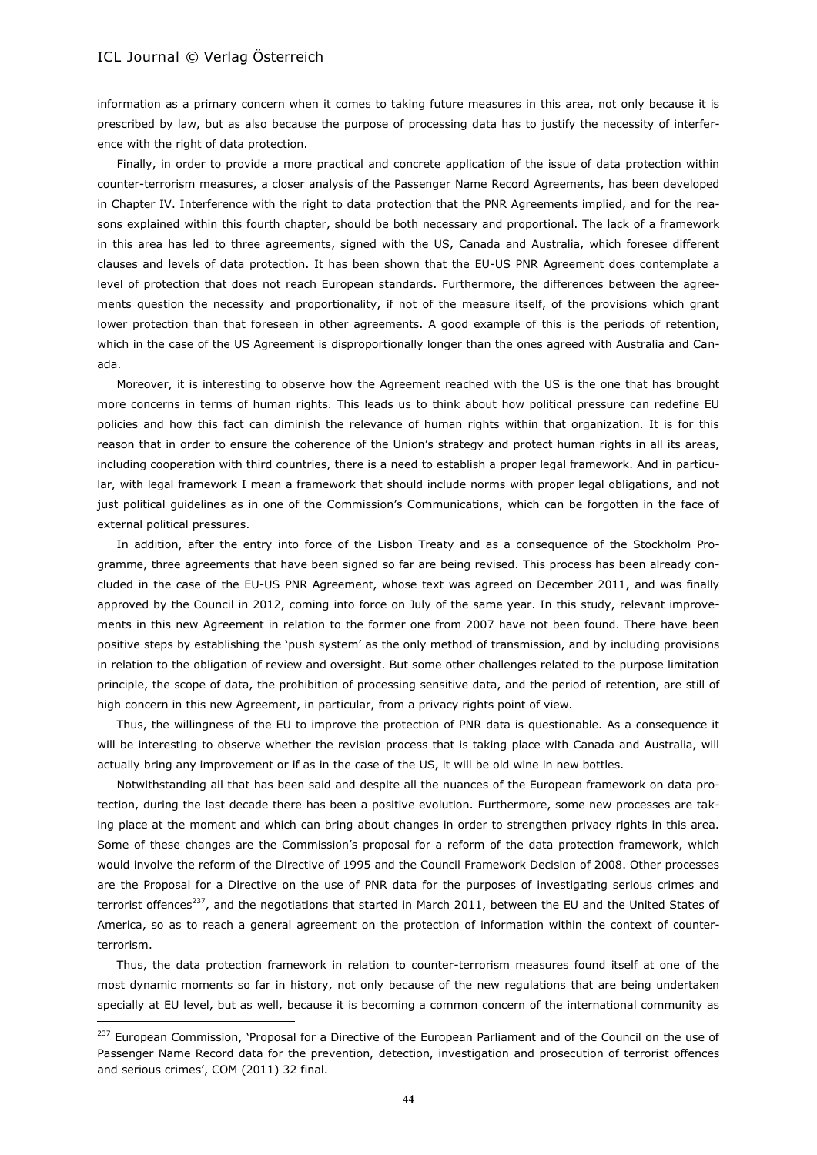$\overline{a}$ 

information as a primary concern when it comes to taking future measures in this area, not only because it is prescribed by law, but as also because the purpose of processing data has to justify the necessity of interference with the right of data protection.

Finally, in order to provide a more practical and concrete application of the issue of data protection within counter-terrorism measures, a closer analysis of the Passenger Name Record Agreements, has been developed in Chapter IV. Interference with the right to data protection that the PNR Agreements implied, and for the reasons explained within this fourth chapter, should be both necessary and proportional. The lack of a framework in this area has led to three agreements, signed with the US, Canada and Australia, which foresee different clauses and levels of data protection. It has been shown that the EU-US PNR Agreement does contemplate a level of protection that does not reach European standards. Furthermore, the differences between the agreements question the necessity and proportionality, if not of the measure itself, of the provisions which grant lower protection than that foreseen in other agreements. A good example of this is the periods of retention, which in the case of the US Agreement is disproportionally longer than the ones agreed with Australia and Canada.

Moreover, it is interesting to observe how the Agreement reached with the US is the one that has brought more concerns in terms of human rights. This leads us to think about how political pressure can redefine EU policies and how this fact can diminish the relevance of human rights within that organization. It is for this reason that in order to ensure the coherence of the Union's strategy and protect human rights in all its areas, including cooperation with third countries, there is a need to establish a proper legal framework. And in particular, with legal framework I mean a framework that should include norms with proper legal obligations, and not just political guidelines as in one of the Commission's Communications, which can be forgotten in the face of external political pressures.

In addition, after the entry into force of the Lisbon Treaty and as a consequence of the Stockholm Programme, three agreements that have been signed so far are being revised. This process has been already concluded in the case of the EU-US PNR Agreement, whose text was agreed on December 2011, and was finally approved by the Council in 2012, coming into force on July of the same year. In this study, relevant improvements in this new Agreement in relation to the former one from 2007 have not been found. There have been positive steps by establishing the 'push system' as the only method of transmission, and by including provisions in relation to the obligation of review and oversight. But some other challenges related to the purpose limitation principle, the scope of data, the prohibition of processing sensitive data, and the period of retention, are still of high concern in this new Agreement, in particular, from a privacy rights point of view.

Thus, the willingness of the EU to improve the protection of PNR data is questionable. As a consequence it will be interesting to observe whether the revision process that is taking place with Canada and Australia, will actually bring any improvement or if as in the case of the US, it will be old wine in new bottles.

Notwithstanding all that has been said and despite all the nuances of the European framework on data protection, during the last decade there has been a positive evolution. Furthermore, some new processes are taking place at the moment and which can bring about changes in order to strengthen privacy rights in this area. Some of these changes are the Commission's proposal for a reform of the data protection framework, which would involve the reform of the Directive of 1995 and the Council Framework Decision of 2008. Other processes are the Proposal for a Directive on the use of PNR data for the purposes of investigating serious crimes and terrorist offences<sup>237</sup>, and the negotiations that started in March 2011, between the EU and the United States of America, so as to reach a general agreement on the protection of information within the context of counterterrorism.

Thus, the data protection framework in relation to counter-terrorism measures found itself at one of the most dynamic moments so far in history, not only because of the new regulations that are being undertaken specially at EU level, but as well, because it is becoming a common concern of the international community as

<sup>&</sup>lt;sup>237</sup> European Commission, 'Proposal for a Directive of the European Parliament and of the Council on the use of Passenger Name Record data for the prevention, detection, investigation and prosecution of terrorist offences and serious crimes', COM (2011) 32 final.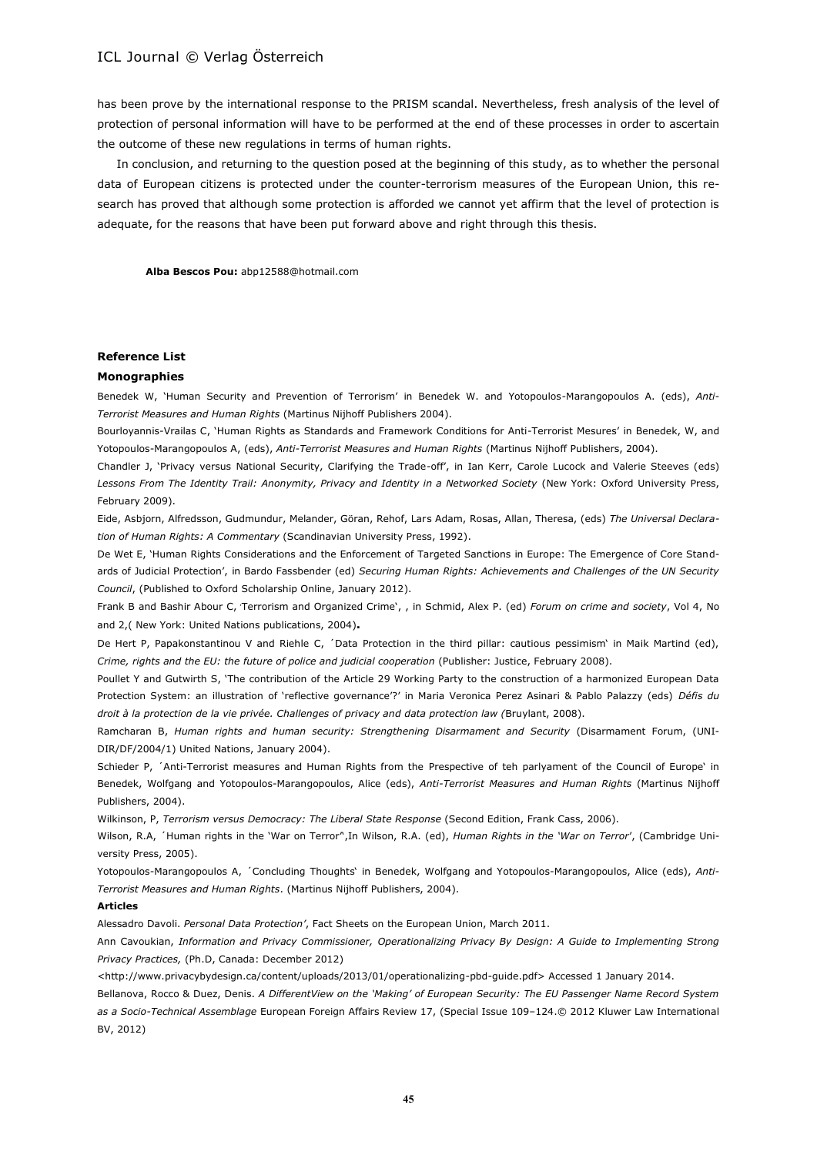has been prove by the international response to the PRISM scandal. Nevertheless, fresh analysis of the level of protection of personal information will have to be performed at the end of these processes in order to ascertain the outcome of these new regulations in terms of human rights.

In conclusion, and returning to the question posed at the beginning of this study, as to whether the personal data of European citizens is protected under the counter-terrorism measures of the European Union, this research has proved that although some protection is afforded we cannot yet affirm that the level of protection is adequate, for the reasons that have been put forward above and right through this thesis.

**Alba Bescos Pou:** abp12588@hotmail.com

#### **Reference List**

#### **Monographies**

Benedek W, 'Human Security and Prevention of Terrorism' in Benedek W. and Yotopoulos-Marangopoulos A. (eds), *Anti-Terrorist Measures and Human Rights* (Martinus Nijhoff Publishers 2004).

Bourloyannis-Vrailas C, 'Human Rights as Standards and Framework Conditions for Anti-Terrorist Mesures' in Benedek, W, and Yotopoulos-Marangopoulos A, (eds), *Anti-Terrorist Measures and Human Rights* (Martinus Nijhoff Publishers, 2004).

Chandler J, 'Privacy versus National Security, Clarifying the Trade-off', in Ian Kerr, Carole Lucock and Valerie Steeves (eds) *Lessons From The Identity Trail: Anonymity, Privacy and Identity in a Networked Society* (New York: Oxford University Press, February 2009).

Eide, Asbjorn, Alfredsson, Gudmundur, Melander, Göran, Rehof, Lars Adam, Rosas, Allan, Theresa, (eds) *The Universal Declaration of Human Rights: A Commentary* (Scandinavian University Press, 1992).

De Wet E, 'Human Rights Considerations and the Enforcement of Targeted Sanctions in Europe: The Emergence of Core Standards of Judicial Protection', in Bardo Fassbender (ed) *Securing Human Rights: Achievements and Challenges of the UN Security Council*, (Published to Oxford Scholarship Online, January 2012).

Frank B and Bashir Abour C, Terrorism and Organized Crime', , in Schmid, Alex P. (ed) *Forum on crime and society*, Vol 4, No and 2,( New York: United Nations publications, 2004)**.**

De Hert P, Papakonstantinou V and Riehle C, ´Data Protection in the third pillar: cautious pessimism' in Maik Martind (ed), *Crime, rights and the EU: the future of police and judicial cooperation* (Publisher: Justice, February 2008).

Poullet Y and Gutwirth S, 'The contribution of the Article 29 Working Party to the construction of a harmonized European Data Protection System: an illustration of 'reflective governance'?' in Maria Veronica Perez Asinari & Pablo Palazzy (eds) *Défis du droit à la protection de la vie privée. Challenges of privacy and data protection law (*Bruylant, 2008).

Ramcharan B, *Human rights and human security: Strengthening Disarmament and Security* (Disarmament Forum, (UNI-DIR/DF/2004/1) United Nations, January 2004).

Schieder P, 'Anti-Terrorist measures and Human Rights from the Prespective of teh parlyament of the Council of Europe' in Benedek, Wolfgang and Yotopoulos-Marangopoulos, Alice (eds), *Anti-Terrorist Measures and Human Rights* (Martinus Nijhoff Publishers, 2004).

Wilkinson, P, *Terrorism versus Democracy: The Liberal State Response* (Second Edition, Frank Cass, 2006).

Wilson, R.A, 'Human rights in the 'War on Terror",In Wilson, R.A. (ed), *Human Rights in the 'War on Terror'*, (Cambridge University Press, 2005).

Yotopoulos-Marangopoulos A, ´Concluding Thoughts' in Benedek, Wolfgang and Yotopoulos-Marangopoulos, Alice (eds), *Anti-Terrorist Measures and Human Rights*. (Martinus Nijhoff Publishers, 2004).

#### **Articles**

Alessadro Davoli. *Personal Data Protection'*, Fact Sheets on the European Union, March 2011.

Ann Cavoukian, *Information and Privacy Commissioner, Operationalizing Privacy By Design: A Guide to Implementing Strong Privacy Practices,* (Ph.D, Canada: December 2012)

<http://www.privacybydesign.ca/content/uploads/2013/01/operationalizing-pbd-guide.pdf> Accessed 1 January 2014.

Bellanova, Rocco & Duez, Denis. *A DifferentView on the 'Making' of European Security: The EU Passenger Name Record System as a Socio-Technical Assemblage* European Foreign Affairs Review 17, (Special Issue 109–124.© 2012 Kluwer Law International BV, 2012)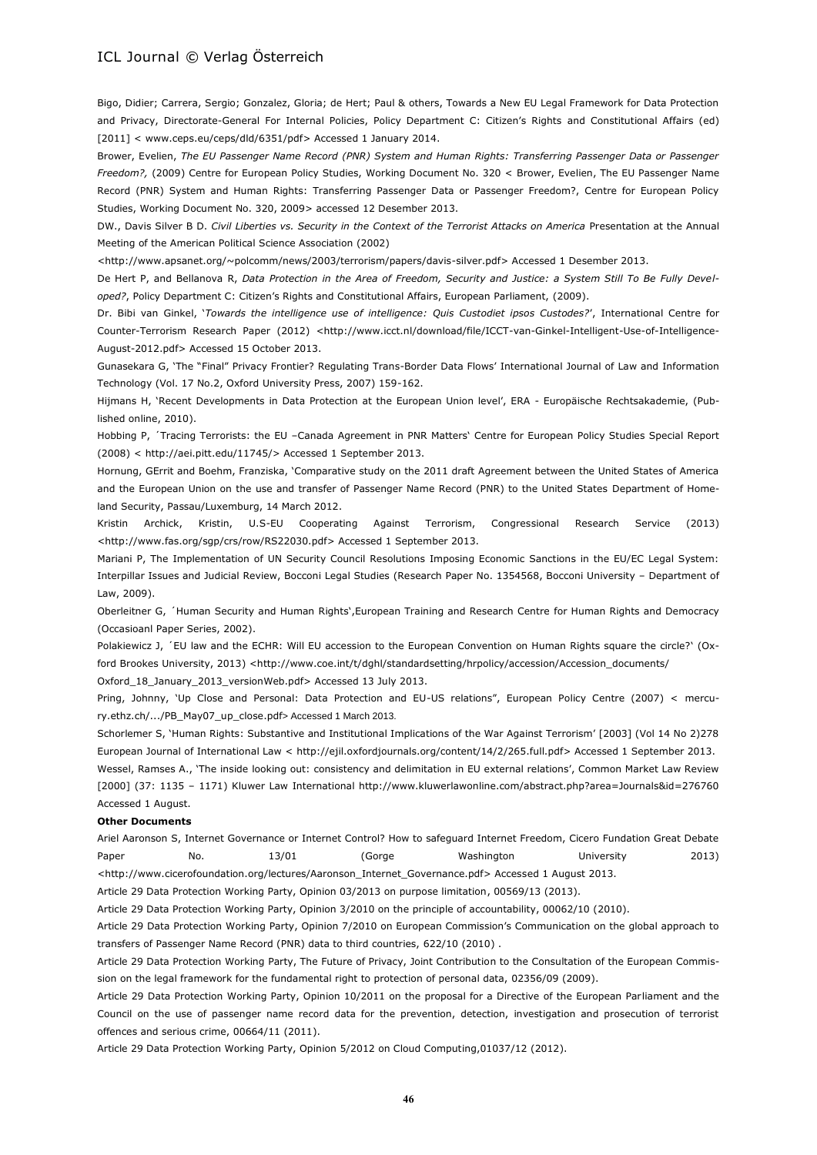Bigo, Didier; Carrera, Sergio; Gonzalez, Gloria; de Hert; Paul & others, Towards a New EU Legal Framework for Data Protection and Privacy, Directorate-General For Internal Policies, Policy Department C: Citizen's Rights and Constitutional Affairs (ed) [2011] < www.ceps.eu/ceps/dld/6351/pdf> Accessed 1 January 2014.

Brower, Evelien, *The EU Passenger Name Record (PNR) System and Human Rights: Transferring Passenger Data or Passenger Freedom?,* (2009) Centre for European Policy Studies, Working Document No. 320 < Brower, Evelien, The EU Passenger Name Record (PNR) System and Human Rights: Transferring Passenger Data or Passenger Freedom?, Centre for European Policy Studies, Working Document No. 320, 2009> accessed 12 Desember 2013.

DW., Davis Silver B D. *Civil Liberties vs. Security in the Context of the Terrorist Attacks on America* Presentation at the Annual Meeting of the American Political Science Association (2002)

<http://www.apsanet.org/~polcomm/news/2003/terrorism/papers/davis-silver.pdf> Accessed 1 Desember 2013.

De Hert P, and Bellanova R, *Data Protection in the Area of Freedom, Security and Justice: a System Still To Be Fully Developed?*, Policy Department C: Citizen's Rights and Constitutional Affairs, European Parliament, (2009).

Dr. Bibi van Ginkel, '*Towards the intelligence use of intelligence: Quis Custodiet ipsos Custodes?*', International Centre for Counter-Terrorism Research Paper (2012) <http://www.icct.nl/download/file/ICCT-van-Ginkel-Intelligent-Use-of-Intelligence-August-2012.pdf> Accessed 15 October 2013.

Gunasekara G, 'The "Final" Privacy Frontier? Regulating Trans-Border Data Flows' International Journal of Law and Information Technology (Vol. 17 No.2, Oxford University Press, 2007) 159-162.

Hijmans H, 'Recent Developments in Data Protection at the European Union level', ERA - Europäische Rechtsakademie, (Published online, 2010).

Hobbing P, ´Tracing Terrorists: the EU –Canada Agreement in PNR Matters' Centre for European Policy Studies Special Report (2008) < http://aei.pitt.edu/11745/> Accessed 1 September 2013.

Hornung, GErrit and Boehm, Franziska, 'Comparative study on the 2011 draft Agreement between the United States of America and the European Union on the use and transfer of Passenger Name Record (PNR) to the United States Department of Homeland Security, Passau/Luxemburg, 14 March 2012.

Kristin Archick, Kristin, U.S-EU Cooperating Against Terrorism, Congressional Research Service (2013) <http://www.fas.org/sgp/crs/row/RS22030.pdf> Accessed 1 September 2013.

Mariani P, The Implementation of UN Security Council Resolutions Imposing Economic Sanctions in the EU/EC Legal System: Interpillar Issues and Judicial Review, Bocconi Legal Studies (Research Paper No. 1354568, Bocconi University – Department of Law, 2009).

Oberleitner G, ´Human Security and Human Rights',European Training and Research Centre for Human Rights and Democracy (Occasioanl Paper Series, 2002).

Polakiewicz J, ´EU law and the ECHR: Will EU accession to the European Convention on Human Rights square the circle?' (Oxford Brookes University, 2013) <http://www.coe.int/t/dghl/standardsetting/hrpolicy/accession/Accession\_documents/

Oxford\_18\_January\_2013\_versionWeb.pdf> Accessed 13 July 2013.

Pring, Johnny, 'Up Close and Personal: Data Protection and EU-US relations", European Policy Centre (2007) < mercury.ethz.ch/.../PB\_May07\_up\_close.pdf> Accessed 1 March 2013.

Schorlemer S, 'Human Rights: Substantive and Institutional Implications of the War Against Terrorism' [2003] (Vol 14 No 2)278 European Journal of International Law < http://ejil.oxfordjournals.org/content/14/2/265.full.pdf> Accessed 1 September 2013.

Wessel, Ramses A., 'The inside looking out: consistency and delimitation in EU external relations', Common Market Law Review [2000] (37: 1135 – 1171) Kluwer Law International http://www.kluwerlawonline.com/abstract.php?area=Journals&id=276760 Accessed 1 August.

#### **Other Documents**

Ariel Aaronson S, Internet Governance or Internet Control? How to safeguard Internet Freedom, Cicero Fundation Great Debate Paper No. 13/01 (Gorge Washington University 2013)

<http://www.cicerofoundation.org/lectures/Aaronson\_Internet\_Governance.pdf> Accessed 1 August 2013.

Article 29 Data Protection Working Party, Opinion 03/2013 on purpose limitation, 00569/13 (2013).

Article 29 Data Protection Working Party, Opinion 3/2010 on the principle of accountability, 00062/10 (2010).

Article 29 Data Protection Working Party, Opinion 7/2010 on European Commission's Communication on the global approach to transfers of Passenger Name Record (PNR) data to third countries, 622/10 (2010) .

Article 29 Data Protection Working Party, The Future of Privacy, Joint Contribution to the Consultation of the European Commission on the legal framework for the fundamental right to protection of personal data, 02356/09 (2009).

Article 29 Data Protection Working Party, Opinion 10/2011 on the proposal for a Directive of the European Parliament and the Council on the use of passenger name record data for the prevention, detection, investigation and prosecution of terrorist offences and serious crime, 00664/11 (2011).

Article 29 Data Protection Working Party, Opinion 5/2012 on Cloud Computing,01037/12 (2012).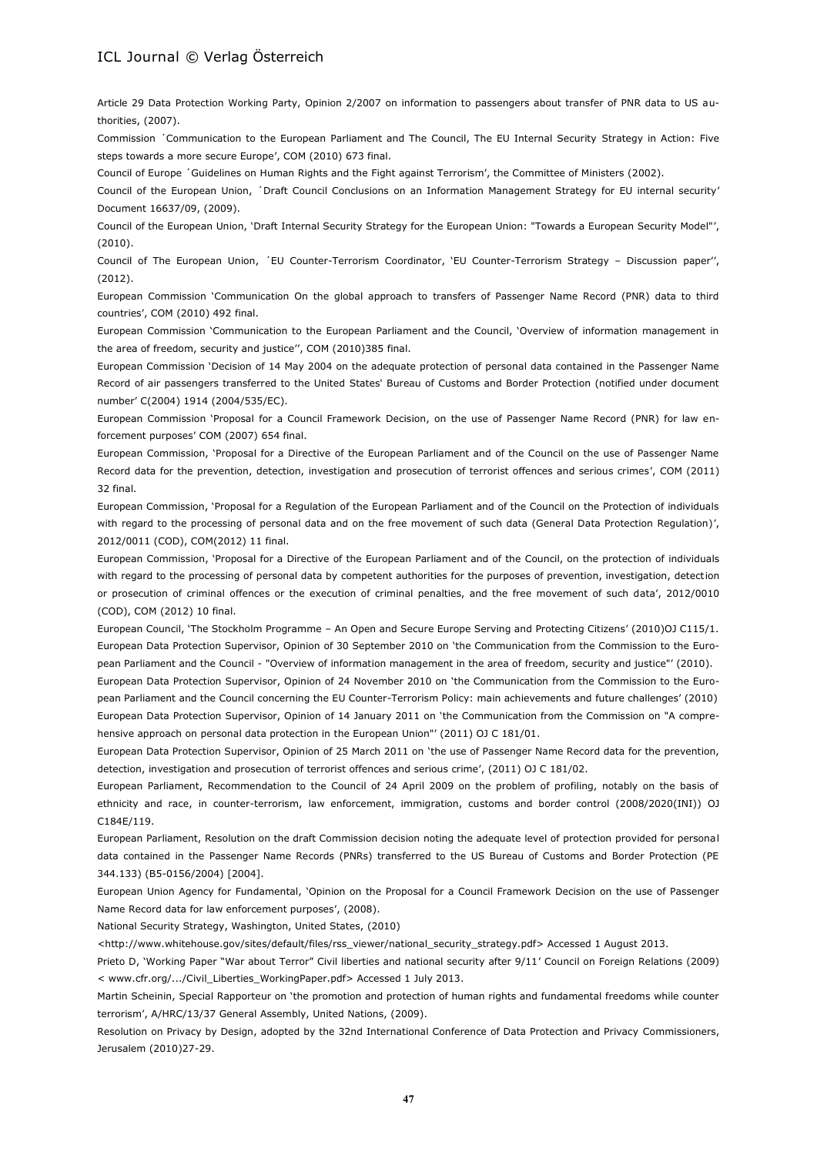Article 29 Data Protection Working Party, Opinion 2/2007 on information to passengers about transfer of PNR data to US authorities, (2007).

Commission ´Communication to the European Parliament and The Council, The EU Internal Security Strategy in Action: Five steps towards a more secure Europe', COM (2010) 673 final.

Council of Europe ´Guidelines on Human Rights and the Fight against Terrorism', the Committee of Ministers (2002).

Council of the European Union, ´Draft Council Conclusions on an Information Management Strategy for EU internal security' Document 16637/09, (2009).

Council of the European Union, 'Draft Internal Security Strategy for the European Union: "Towards a European Security Model"', (2010).

Council of The European Union, ´EU Counter-Terrorism Coordinator, 'EU Counter-Terrorism Strategy – Discussion paper'', (2012).

European Commission 'Communication On the global approach to transfers of Passenger Name Record (PNR) data to third countries', COM (2010) 492 final.

European Commission 'Communication to the European Parliament and the Council, 'Overview of information management in the area of freedom, security and justice'', COM (2010)385 final.

European Commission 'Decision of 14 May 2004 on the adequate protection of personal data contained in the Passenger Name Record of air passengers transferred to the United States' Bureau of Customs and Border Protection (notified under document number' C(2004) 1914 (2004/535/EC).

European Commission 'Proposal for a Council Framework Decision, on the use of Passenger Name Record (PNR) for law enforcement purposes' COM (2007) 654 final.

European Commission, 'Proposal for a Directive of the European Parliament and of the Council on the use of Passenger Name Record data for the prevention, detection, investigation and prosecution of terrorist offences and serious crimes', COM (2011) 32 final.

European Commission, 'Proposal for a Regulation of the European Parliament and of the Council on the Protection of individuals with regard to the processing of personal data and on the free movement of such data (General Data Protection Regulation)', 2012/0011 (COD), COM(2012) 11 final.

European Commission, 'Proposal for a Directive of the European Parliament and of the Council, on the protection of individuals with regard to the processing of personal data by competent authorities for the purposes of prevention, investigation, detection or prosecution of criminal offences or the execution of criminal penalties, and the free movement of such data', 2012/0010 (COD), COM (2012) 10 final.

European Council, 'The Stockholm Programme – An Open and Secure Europe Serving and Protecting Citizens' (2010)OJ C115/1. European Data Protection Supervisor, Opinion of 30 September 2010 on 'the Communication from the Commission to the European Parliament and the Council - "Overview of information management in the area of freedom, security and justice"' (2010).

European Data Protection Supervisor, Opinion of 24 November 2010 on 'the Communication from the Commission to the European Parliament and the Council concerning the EU Counter-Terrorism Policy: main achievements and future challenges' (2010) European Data Protection Supervisor, Opinion of 14 January 2011 on 'the Communication from the Commission on "A comprehensive approach on personal data protection in the European Union"' (2011) OJ C 181/01.

European Data Protection Supervisor, Opinion of 25 March 2011 on 'the use of Passenger Name Record data for the prevention, detection, investigation and prosecution of terrorist offences and serious crime', (2011) OJ C 181/02.

European Parliament, Recommendation to the Council of 24 April 2009 on the problem of profiling, notably on the basis of ethnicity and race, in counter-terrorism, law enforcement, immigration, customs and border control (2008/2020(INI)) OJ C184E/119.

European Parliament, Resolution on the draft Commission decision noting the adequate level of protection provided for personal data contained in the Passenger Name Records (PNRs) transferred to the US Bureau of Customs and Border Protection (PE 344.133) (B5-0156/2004) [2004].

European Union Agency for Fundamental, 'Opinion on the Proposal for a Council Framework Decision on the use of Passenger Name Record data for law enforcement purposes', (2008).

National Security Strategy, Washington, United States, (2010)

<http://www.whitehouse.gov/sites/default/files/rss\_viewer/national\_security\_strategy.pdf> Accessed 1 August 2013.

Prieto D, 'Working Paper "War about Terror" Civil liberties and national security after 9/11' Council on Foreign Relations (2009) < www.cfr.org/.../Civil\_Liberties\_WorkingPaper.pdf> Accessed 1 July 2013.

Martin Scheinin, Special Rapporteur on 'the promotion and protection of human rights and fundamental freedoms while counter terrorism', A/HRC/13/37 General Assembly, United Nations, (2009).

Resolution on Privacy by Design, adopted by the 32nd International Conference of Data Protection and Privacy Commissioners, Jerusalem (2010)27-29.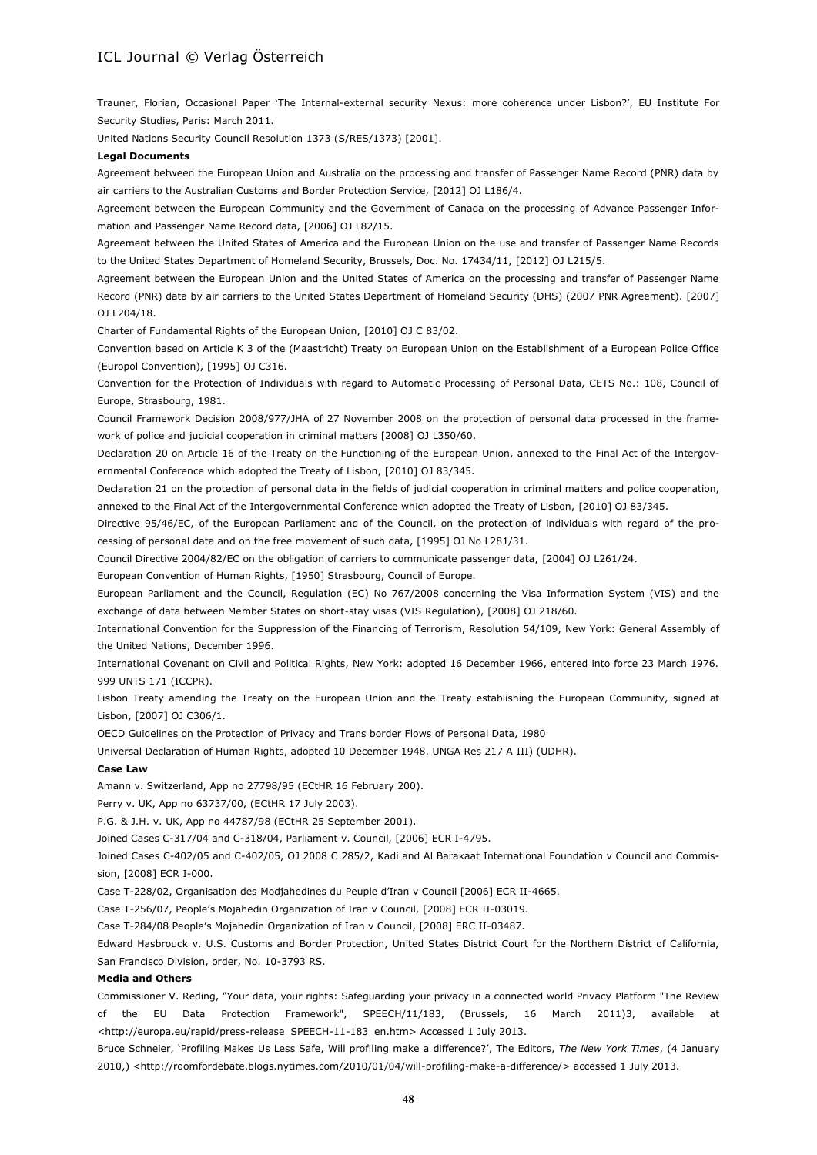Trauner, Florian, Occasional Paper 'The Internal-external security Nexus: more coherence under Lisbon?', EU Institute For Security Studies, Paris: March 2011.

United Nations Security Council Resolution 1373 (S/RES/1373) [2001].

#### **Legal Documents**

Agreement between the European Union and Australia on the processing and transfer of Passenger Name Record (PNR) data by air carriers to the Australian Customs and Border Protection Service, [2012] OJ L186/4.

Agreement between the European Community and the Government of Canada on the processing of Advance Passenger Information and Passenger Name Record data, [2006] OJ L82/15.

Agreement between the United States of America and the European Union on the use and transfer of Passenger Name Records to the United States Department of Homeland Security, Brussels, Doc. No. 17434/11, [2012] OJ L215/5.

Agreement between the European Union and the United States of America on the processing and transfer of Passenger Name Record (PNR) data by air carriers to the United States Department of Homeland Security (DHS) (2007 PNR Agreement). [2007]  $011204/18$ 

Charter of Fundamental Rights of the European Union, [2010] OJ C 83/02.

Convention based on Article K 3 of the (Maastricht) Treaty on European Union on the Establishment of a European Police Office (Europol Convention), [1995] OJ C316.

Convention for the Protection of Individuals with regard to Automatic Processing of Personal Data, CETS No.: 108, Council of Europe, Strasbourg, 1981.

Council Framework Decision 2008/977/JHA of 27 November 2008 on the protection of personal data processed in the framework of police and judicial cooperation in criminal matters [2008] OJ L350/60.

Declaration 20 on Article 16 of the Treaty on the Functioning of the European Union, annexed to the Final Act of the Intergovernmental Conference which adopted the Treaty of Lisbon, [2010] OJ 83/345.

Declaration 21 on the protection of personal data in the fields of judicial cooperation in criminal matters and police cooperation, annexed to the Final Act of the Intergovernmental Conference which adopted the Treaty of Lisbon, [2010] OJ 83/345.

Directive 95/46/EC, of the European Parliament and of the Council, on the protection of individuals with regard of the processing of personal data and on the free movement of such data, [1995] OJ No L281/31.

Council Directive 2004/82/EC on the obligation of carriers to communicate passenger data, [2004] OJ L261/24.

European Convention of Human Rights, [1950] Strasbourg, Council of Europe.

European Parliament and the Council, Regulation (EC) No 767/2008 concerning the Visa Information System (VIS) and the exchange of data between Member States on short-stay visas (VIS Regulation), [2008] OJ 218/60.

International Convention for the Suppression of the Financing of Terrorism, Resolution 54/109, New York: General Assembly of the United Nations, December 1996.

International Covenant on Civil and Political Rights, New York: adopted 16 December 1966, entered into force 23 March 1976. 999 UNTS 171 (ICCPR).

Lisbon Treaty amending the Treaty on the European Union and the Treaty establishing the European Community, signed at Lisbon, [2007] OJ C306/1.

OECD Guidelines on the Protection of Privacy and Trans border Flows of Personal Data, 1980

Universal Declaration of Human Rights, adopted 10 December 1948. UNGA Res 217 A III) (UDHR).

#### **Case Law**

Amann v. Switzerland, App no 27798/95 (ECtHR 16 February 200).

Perry v. UK, App no 63737/00, (ECtHR 17 July 2003).

P.G. & J.H. v. UK, App no 44787/98 (ECtHR 25 September 2001).

Joined Cases C-317/04 and C-318/04, Parliament v. Council, [2006] ECR I-4795.

Joined Cases C-402/05 and C-402/05, OJ 2008 C 285/2, Kadi and Al Barakaat International Foundation v Council and Commission, [2008] ECR I-000.

Case T-228/02, Organisation des Modjahedines du Peuple d'Iran v Council [2006] ECR II-4665.

Case T-256/07, People's Mojahedin Organization of Iran v Council, [2008] ECR II-03019.

Case T-284/08 People's Mojahedin Organization of Iran v Council, [2008] ERC II-03487.

Edward Hasbrouck v. U.S. Customs and Border Protection, United States District Court for the Northern District of California, San Francisco Division, order, No. 10-3793 RS.

#### **Media and Others**

Commissioner V. Reding, "Your data, your rights: Safeguarding your privacy in a connected world Privacy Platform "The Review of the EU Data Protection Framework", SPEECH/11/183, (Brussels, 16 March 2011)3, available at <http://europa.eu/rapid/press-release\_SPEECH-11-183\_en.htm> Accessed 1 July 2013.

Bruce Schneier, 'Profiling Makes Us Less Safe, Will profiling make a difference?', The Editors, *The New York Times*, (4 January 2010,) <http://roomfordebate.blogs.nytimes.com/2010/01/04/will-profiling-make-a-difference/> accessed 1 July 2013.